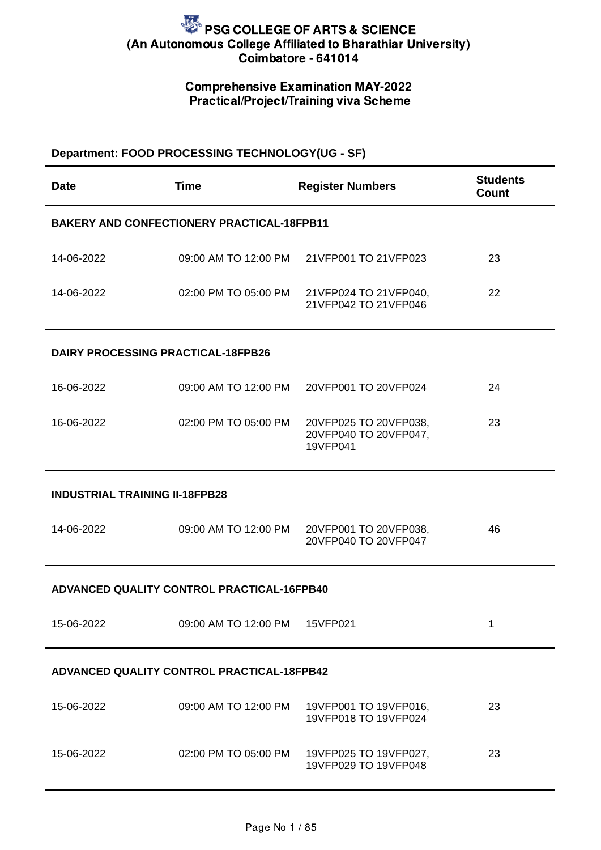## Comprehensive Examination MAY-2022 Practical/Project/Training viva Scheme

### **Department: FOOD PROCESSING TECHNOLOGY(UG - SF)**

| Date                                       | <b>Time</b>                                       | <b>Register Numbers</b>                                            | <b>Students</b><br>Count |  |
|--------------------------------------------|---------------------------------------------------|--------------------------------------------------------------------|--------------------------|--|
|                                            | <b>BAKERY AND CONFECTIONERY PRACTICAL-18FPB11</b> |                                                                    |                          |  |
| 14-06-2022                                 |                                                   | 09:00 AM TO 12:00 PM 21VFP001 TO 21VFP023                          | 23                       |  |
| 14-06-2022                                 |                                                   | 02:00 PM TO 05:00 PM 21VFP024 TO 21VFP040,<br>21VFP042 TO 21VFP046 | 22                       |  |
| <b>DAIRY PROCESSING PRACTICAL-18FPB26</b>  |                                                   |                                                                    |                          |  |
| 16-06-2022                                 |                                                   | 09:00 AM TO 12:00 PM 20VFP001 TO 20VFP024                          | 24                       |  |
| 16-06-2022                                 | 02:00 PM TO 05:00 PM                              | 20VFP025 TO 20VFP038,<br>20VFP040 TO 20VFP047,<br>19VFP041         | 23                       |  |
| <b>INDUSTRIAL TRAINING II-18FPB28</b>      |                                                   |                                                                    |                          |  |
| 14-06-2022                                 |                                                   | 09:00 AM TO 12:00 PM 20VFP001 TO 20VFP038,<br>20VFP040 TO 20VFP047 | 46                       |  |
| ADVANCED QUALITY CONTROL PRACTICAL-16FPB40 |                                                   |                                                                    |                          |  |
| 15-06-2022                                 | 09:00 AM TO 12:00 PM 15VFP021                     |                                                                    | $\mathbf 1$              |  |
| ADVANCED QUALITY CONTROL PRACTICAL-18FPB42 |                                                   |                                                                    |                          |  |
| 15-06-2022                                 | 09:00 AM TO 12:00 PM                              | 19VFP001 TO 19VFP016,<br>19VFP018 TO 19VFP024                      | 23                       |  |
| 15-06-2022                                 | 02:00 PM TO 05:00 PM                              | 19VFP025 TO 19VFP027,<br>19VFP029 TO 19VFP048                      | 23                       |  |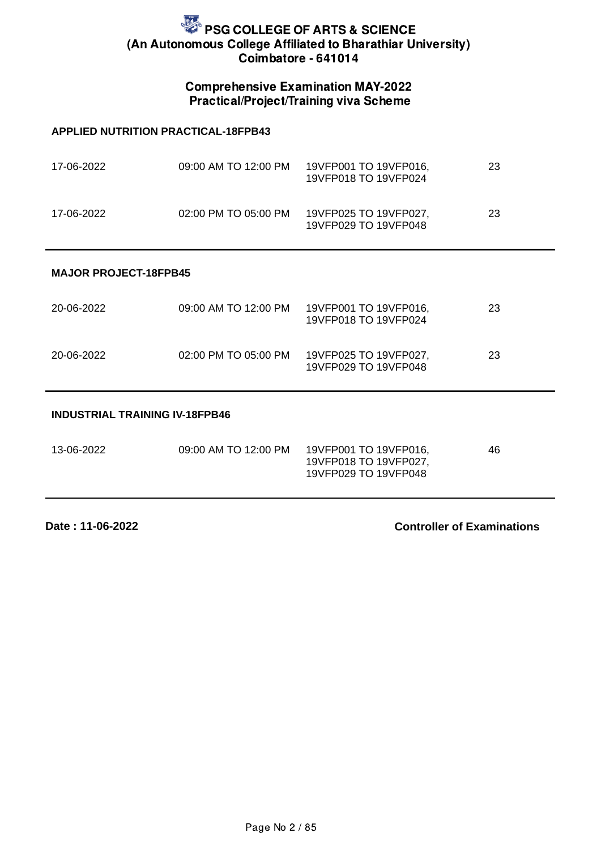### Comprehensive Examination MAY-2022 Practical/Project/Training viva Scheme

#### **APPLIED NUTRITION PRACTICAL-18FPB43**

| 17-06-2022 | 09:00 AM TO 12:00 PM | 19VFP001 TO 19VFP016,<br>19VFP018 TO 19VFP024 | 23 |
|------------|----------------------|-----------------------------------------------|----|
| 17-06-2022 | 02:00 PM TO 05:00 PM | 19VFP025 TO 19VFP027,<br>19VFP029 TO 19VFP048 | 23 |

#### **MAJOR PROJECT-18FPB45**

| 20-06-2022 | 09:00 AM TO 12:00 PM | 19VFP001 TO 19VFP016,<br>19VFP018 TO 19VFP024 | 23 |
|------------|----------------------|-----------------------------------------------|----|
| 20-06-2022 | 02:00 PM TO 05:00 PM | 19VFP025 TO 19VFP027,<br>19VFP029 TO 19VFP048 | 23 |

#### **INDUSTRIAL TRAINING IV-18FPB46**

| 13-06-2022 | 09:00 AM TO 12:00 PM | 19VFP001 TO 19VFP016, | 46 |
|------------|----------------------|-----------------------|----|
|            |                      | 19VFP018 TO 19VFP027, |    |
|            |                      | 19VFP029 TO 19VFP048  |    |

**Date : 11-06-2022**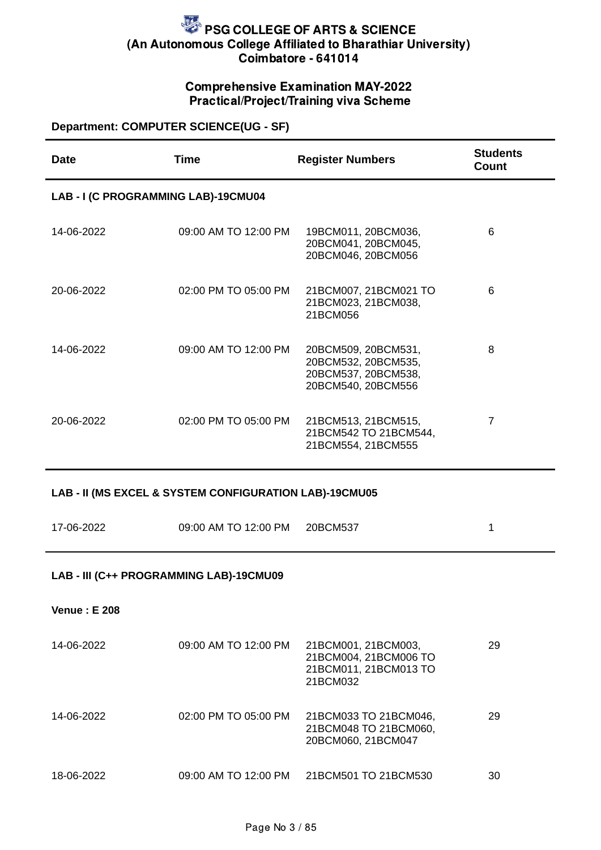### Comprehensive Examination MAY-2022 Practical/Project/Training viva Scheme

### **Department: COMPUTER SCIENCE(UG - SF)**

| <b>Date</b>                             | <b>Time</b>                                            | <b>Register Numbers</b>                                                                 | <b>Students</b><br>Count |  |  |
|-----------------------------------------|--------------------------------------------------------|-----------------------------------------------------------------------------------------|--------------------------|--|--|
| LAB - I (C PROGRAMMING LAB)-19CMU04     |                                                        |                                                                                         |                          |  |  |
| 14-06-2022                              | 09:00 AM TO 12:00 PM                                   | 19BCM011, 20BCM036,<br>20BCM041, 20BCM045,<br>20BCM046, 20BCM056                        | 6                        |  |  |
| 20-06-2022                              | 02:00 PM TO 05:00 PM                                   | 21BCM007, 21BCM021 TO<br>21BCM023, 21BCM038,<br>21BCM056                                | 6                        |  |  |
| 14-06-2022                              | 09:00 AM TO 12:00 PM                                   | 20BCM509, 20BCM531,<br>20BCM532, 20BCM535,<br>20BCM537, 20BCM538,<br>20BCM540, 20BCM556 | 8                        |  |  |
| 20-06-2022                              | 02:00 PM TO 05:00 PM                                   | 21BCM513, 21BCM515,<br>21BCM542 TO 21BCM544,<br>21BCM554, 21BCM555                      | $\overline{7}$           |  |  |
|                                         | LAB - II (MS EXCEL & SYSTEM CONFIGURATION LAB)-19CMU05 |                                                                                         |                          |  |  |
| 17-06-2022                              | 09:00 AM TO 12:00 PM                                   | 20BCM537                                                                                | $\mathbf{1}$             |  |  |
| LAB - III (C++ PROGRAMMING LAB)-19CMU09 |                                                        |                                                                                         |                          |  |  |
| <b>Venue: E 208</b>                     |                                                        |                                                                                         |                          |  |  |
| 14-06-2022                              | 09:00 AM TO 12:00 PM                                   | 21BCM001, 21BCM003,<br>21BCM004, 21BCM006 TO<br>21BCM011, 21BCM013 TO<br>21BCM032       | 29                       |  |  |
| 14-06-2022                              | 02:00 PM TO 05:00 PM                                   | 21BCM033 TO 21BCM046,<br>21BCM048 TO 21BCM060,<br>20BCM060, 21BCM047                    | 29                       |  |  |
| 18-06-2022                              | 09:00 AM TO 12:00 PM                                   | 21BCM501 TO 21BCM530                                                                    | 30                       |  |  |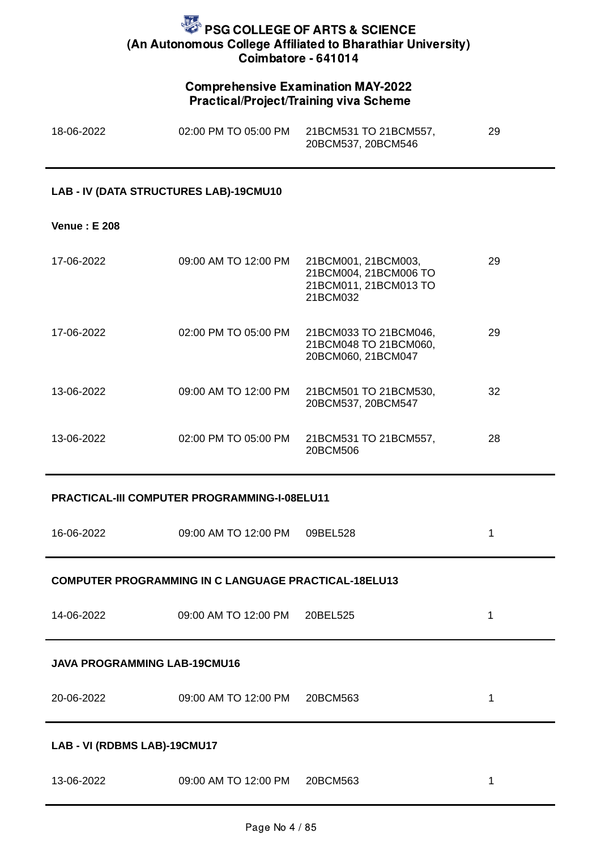### Comprehensive Examination MAY-2022 Practical/Project/Training viva Scheme

| 18-06-2022 | 02:00 PM TO 05:00 PM | 21BCM531 TO 21BCM557, | 29 |
|------------|----------------------|-----------------------|----|
|            |                      | 20BCM537, 20BCM546    |    |

#### **LAB - IV (DATA STRUCTURES LAB)-19CMU10**

#### **Venue : E 208**

| 17-06-2022 | 09:00 AM TO 12:00 PM | 21BCM001, 21BCM003,<br>21BCM004, 21BCM006 TO<br>21BCM011, 21BCM013 TO<br>21BCM032 | 29 |
|------------|----------------------|-----------------------------------------------------------------------------------|----|
| 17-06-2022 | 02:00 PM TO 05:00 PM | 21BCM033 TO 21BCM046,<br>21BCM048 TO 21BCM060,<br>20BCM060, 21BCM047              | 29 |
| 13-06-2022 | 09:00 AM TO 12:00 PM | 21BCM501 TO 21BCM530,<br>20BCM537, 20BCM547                                       | 32 |
| 13-06-2022 | 02:00 PM TO 05:00 PM | 21BCM531 TO 21BCM557,<br>20BCM506                                                 | 28 |

#### **PRACTICAL-III COMPUTER PROGRAMMING-I-08ELU11**

| 16-06-2022 | 09:00 AM TO 12:00 PM | 09BEL528 |  |
|------------|----------------------|----------|--|
|            |                      |          |  |

### **COMPUTER PROGRAMMING IN C LANGUAGE PRACTICAL-18ELU13**

| 14-06-2022 | 09:00 AM TO 12:00 PM 20BEL525 |  |
|------------|-------------------------------|--|
|            |                               |  |

#### **JAVA PROGRAMMING LAB-19CMU16**

| 20-06-2022 | 09:00 AM TO 12:00 PM 20BCM563 |  |
|------------|-------------------------------|--|
|            |                               |  |

#### **LAB - VI (RDBMS LAB)-19CMU17**

| 13-06-2022 | 09:00 AM TO 12:00 PM 20BCM563 |  |
|------------|-------------------------------|--|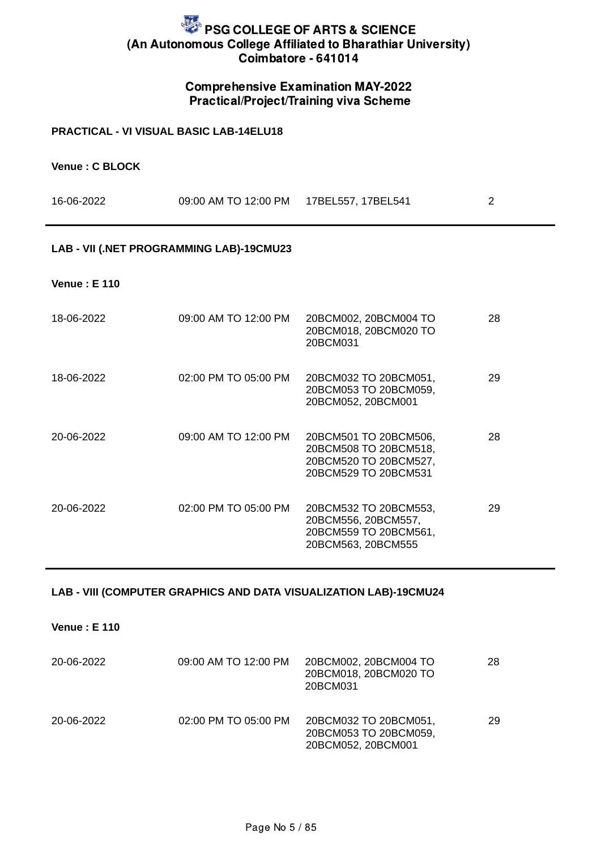### Comprehensive Examination MAY-2022 Practical/Project/Training viva Scheme

#### **PRACTICAL - VI VISUAL BASIC LAB-14ELU18**

| Venue: C BLOCK |  |  |
|----------------|--|--|
|----------------|--|--|

| 16-06-2022 | 09:00 AM TO 12:00 PM   17BEL557, 17BEL541 |  |
|------------|-------------------------------------------|--|
|            |                                           |  |

#### **LAB - VII (.NET PROGRAMMING LAB)-19CMU23**

**Venue : E 110**

| 18-06-2022 | 09:00 AM TO 12:00 PM | 20BCM002, 20BCM004 TO<br>20BCM018, 20BCM020 TO<br>20BCM031                                      | 28 |
|------------|----------------------|-------------------------------------------------------------------------------------------------|----|
| 18-06-2022 | 02:00 PM TO 05:00 PM | 20BCM032 TO 20BCM051,<br>20BCM053 TO 20BCM059,<br>20BCM052, 20BCM001                            | 29 |
| 20-06-2022 | 09:00 AM TO 12:00 PM | 20BCM501 TO 20BCM506,<br>20BCM508 TO 20BCM518,<br>20BCM520 TO 20BCM527,<br>20BCM529 TO 20BCM531 | 28 |
| 20-06-2022 | 02:00 PM TO 05:00 PM | 20BCM532 TO 20BCM553,<br>20BCM556, 20BCM557,<br>20BCM559 TO 20BCM561,<br>20BCM563, 20BCM555     | 29 |

#### **LAB - VIII (COMPUTER GRAPHICS AND DATA VISUALIZATION LAB)-19CMU24**

**Venue : E 110**

| 20-06-2022 | 09:00 AM TO 12:00 PM | 20BCM002, 20BCM004 TO<br>20BCM018, 20BCM020 TO<br>20BCM031           | 28 |
|------------|----------------------|----------------------------------------------------------------------|----|
| 20-06-2022 | 02:00 PM TO 05:00 PM | 20BCM032 TO 20BCM051,<br>20BCM053 TO 20BCM059,<br>20BCM052, 20BCM001 | 29 |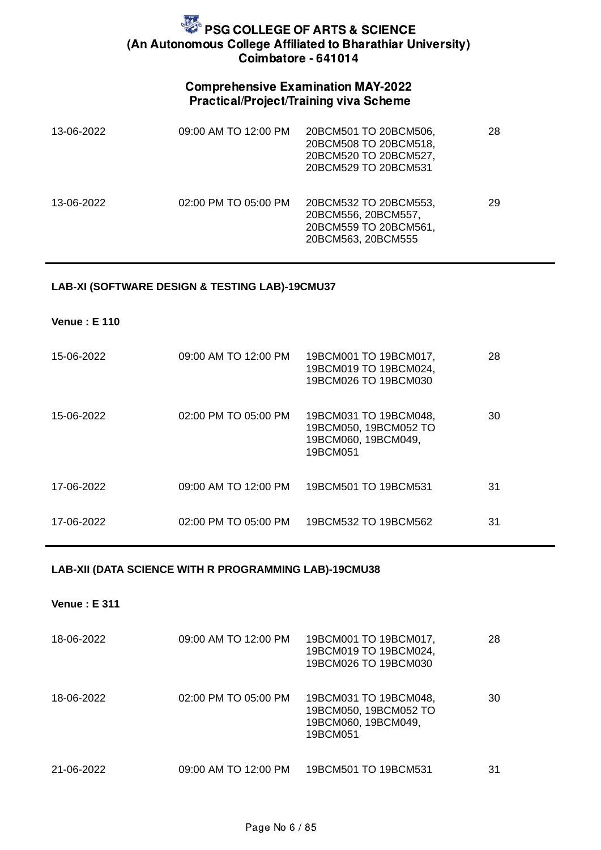### Comprehensive Examination MAY-2022 Practical/Project/Training viva Scheme

| 13-06-2022 | 09:00 AM TO 12:00 PM | 20BCM501 TO 20BCM506,<br>20BCM508 TO 20BCM518,<br>20BCM520 TO 20BCM527,<br>20BCM529 TO 20BCM531 | 28 |
|------------|----------------------|-------------------------------------------------------------------------------------------------|----|
| 13-06-2022 | 02:00 PM TO 05:00 PM | 20BCM532 TO 20BCM553,<br>20BCM556, 20BCM557,<br>20BCM559 TO 20BCM561,<br>20BCM563, 20BCM555     | 29 |

#### **LAB-XI (SOFTWARE DESIGN & TESTING LAB)-19CMU37**

**Venue : E 110**

| 15-06-2022 | 09:00 AM TO 12:00 PM | 19BCM001 TO 19BCM017,<br>19BCM019 TO 19BCM024,<br>19BCM026 TO 19BCM030            | 28 |
|------------|----------------------|-----------------------------------------------------------------------------------|----|
| 15-06-2022 | 02:00 PM TO 05:00 PM | 19BCM031 TO 19BCM048,<br>19BCM050, 19BCM052 TO<br>19BCM060, 19BCM049,<br>19BCM051 | 30 |
| 17-06-2022 | 09:00 AM TO 12:00 PM | 19BCM501 TO 19BCM531                                                              | 31 |
| 17-06-2022 | 02:00 PM TO 05:00 PM | 19BCM532 TO 19BCM562                                                              | 31 |

#### **LAB-XII (DATA SCIENCE WITH R PROGRAMMING LAB)-19CMU38**

**Venue : E 311**

| 18-06-2022 | 09:00 AM TO 12:00 PM | 19BCM001 TO 19BCM017,<br>19BCM019 TO 19BCM024,<br>19BCM026 TO 19BCM030            | 28 |
|------------|----------------------|-----------------------------------------------------------------------------------|----|
| 18-06-2022 | 02:00 PM TO 05:00 PM | 19BCM031 TO 19BCM048,<br>19BCM050, 19BCM052 TO<br>19BCM060, 19BCM049,<br>19BCM051 | 30 |
| 21-06-2022 | 09:00 AM TO 12:00 PM | 19BCM501 TO 19BCM531                                                              | 31 |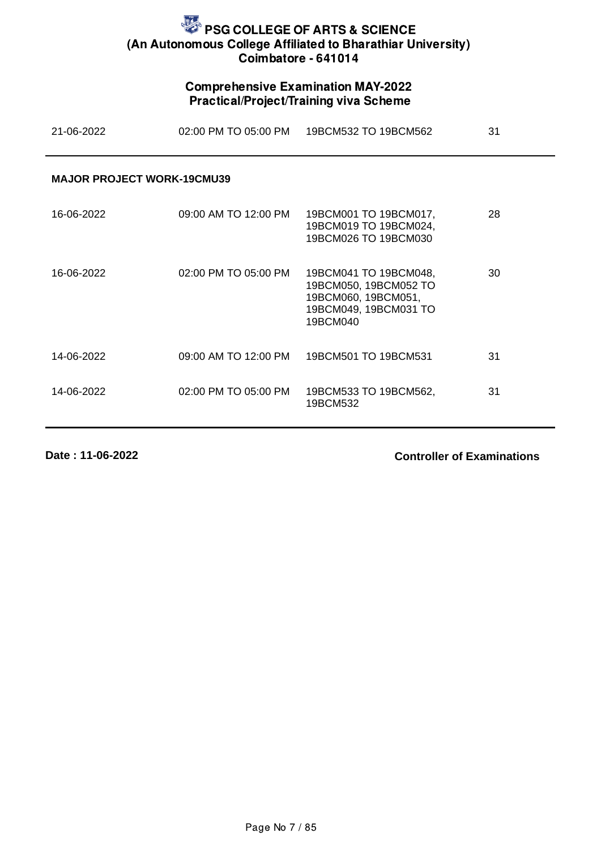## Comprehensive Examination MAY-2022 Practical/Project/Training viva Scheme

| 21-06-2022                        | 02:00 PM TO 05:00 PM | 19BCM532 TO 19BCM562                                                                                       | 31 |
|-----------------------------------|----------------------|------------------------------------------------------------------------------------------------------------|----|
| <b>MAJOR PROJECT WORK-19CMU39</b> |                      |                                                                                                            |    |
| 16-06-2022                        | 09:00 AM TO 12:00 PM | 19BCM001 TO 19BCM017,<br>19BCM019 TO 19BCM024,<br>19BCM026 TO 19BCM030                                     | 28 |
| 16-06-2022                        | 02:00 PM TO 05:00 PM | 19BCM041 TO 19BCM048,<br>19BCM050, 19BCM052 TO<br>19BCM060, 19BCM051,<br>19BCM049, 19BCM031 TO<br>19BCM040 | 30 |
| 14-06-2022                        | 09:00 AM TO 12:00 PM | 19BCM501 TO 19BCM531                                                                                       | 31 |
| 14-06-2022                        | 02:00 PM TO 05:00 PM | 19BCM533 TO 19BCM562,<br>19BCM532                                                                          | 31 |

**Date : 11-06-2022**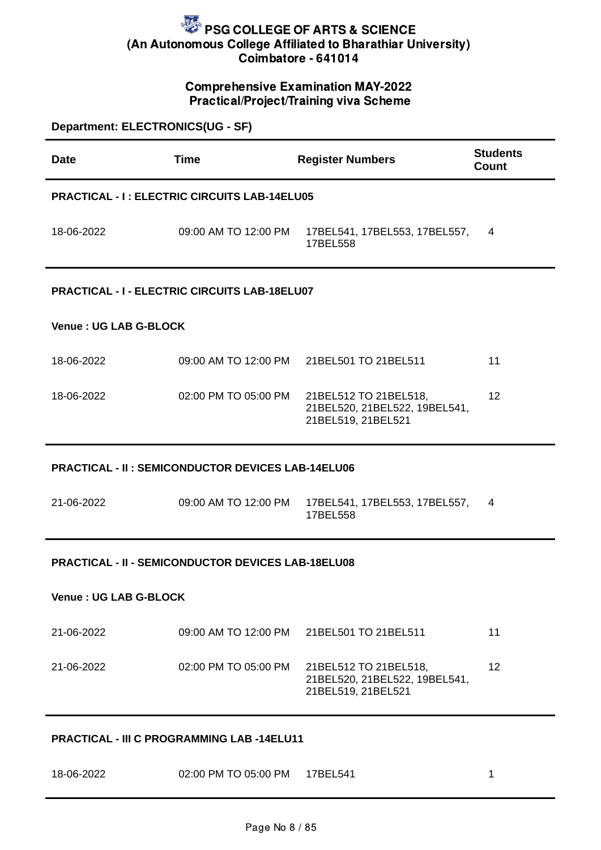## Comprehensive Examination MAY-2022 Practical/Project/Training viva Scheme

| Department: ELECTRONICS(UG - SF)                         |                                                           |                                                                              |                                 |  |
|----------------------------------------------------------|-----------------------------------------------------------|------------------------------------------------------------------------------|---------------------------------|--|
| <b>Date</b>                                              | <b>Time</b>                                               | <b>Register Numbers</b>                                                      | <b>Students</b><br><b>Count</b> |  |
|                                                          | <b>PRACTICAL - I: ELECTRIC CIRCUITS LAB-14ELU05</b>       |                                                                              |                                 |  |
| 18-06-2022                                               | 09:00 AM TO 12:00 PM                                      | 17BEL541, 17BEL553, 17BEL557,<br>17BEL558                                    | 4                               |  |
|                                                          | <b>PRACTICAL - I - ELECTRIC CIRCUITS LAB-18ELU07</b>      |                                                                              |                                 |  |
| <b>Venue: UG LAB G-BLOCK</b>                             |                                                           |                                                                              |                                 |  |
| 18-06-2022                                               | 09:00 AM TO 12:00 PM                                      | 21BEL501 TO 21BEL511                                                         | 11                              |  |
| 18-06-2022                                               | 02:00 PM TO 05:00 PM                                      | 21BEL512 TO 21BEL518,<br>21BEL520, 21BEL522, 19BEL541,<br>21BEL519, 21BEL521 | 12                              |  |
| <b>PRACTICAL - II: SEMICONDUCTOR DEVICES LAB-14ELU06</b> |                                                           |                                                                              |                                 |  |
| 21-06-2022                                               | 09:00 AM TO 12:00 PM                                      | 17BEL541, 17BEL553, 17BEL557,<br>17BEL558                                    | 4                               |  |
|                                                          | <b>PRACTICAL - II - SEMICONDUCTOR DEVICES LAB-18ELU08</b> |                                                                              |                                 |  |
| <b>Venue: UG LAB G-BLOCK</b>                             |                                                           |                                                                              |                                 |  |
| 21-06-2022                                               | 09:00 AM TO 12:00 PM                                      | 21BEL501 TO 21BEL511                                                         | 11                              |  |
| 21-06-2022                                               | 02:00 PM TO 05:00 PM                                      | 21BEL512 TO 21BEL518,<br>21BEL520, 21BEL522, 19BEL541,<br>21BEL519, 21BEL521 | 12                              |  |
| PRACTICAL - III C PROGRAMMING LAB -14ELU11               |                                                           |                                                                              |                                 |  |

18-06-2022 02:00 PM TO 05:00 PM 17BEL541 1

Page No 8 / 85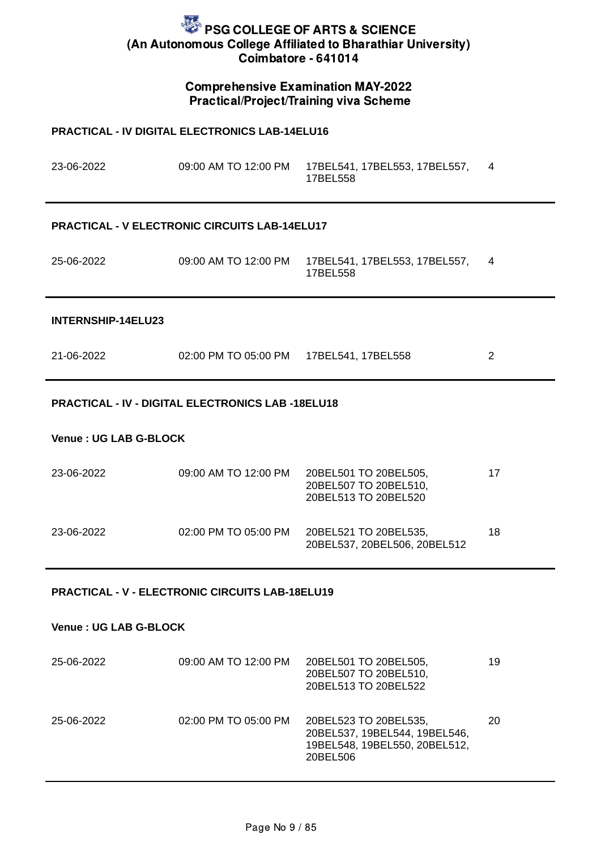## Comprehensive Examination MAY-2022 Practical/Project/Training viva Scheme

| <b>PRACTICAL - IV DIGITAL ELECTRONICS LAB-14ELU16</b> |                                                          |                                                                        |    |
|-------------------------------------------------------|----------------------------------------------------------|------------------------------------------------------------------------|----|
| 23-06-2022                                            |                                                          | 09:00 AM TO 12:00 PM   17BEL541, 17BEL553, 17BEL557,<br>17BEL558       | 4  |
|                                                       | <b>PRACTICAL - V ELECTRONIC CIRCUITS LAB-14ELU17</b>     |                                                                        |    |
| 25-06-2022                                            | 09:00 AM TO 12:00 PM                                     | 17BEL541, 17BEL553, 17BEL557,<br>17BEL558                              | 4  |
| INTERNSHIP-14ELU23                                    |                                                          |                                                                        |    |
| 21-06-2022                                            | 02:00 PM TO 05:00 PM 17BEL541, 17BEL558                  |                                                                        | 2  |
|                                                       | <b>PRACTICAL - IV - DIGITAL ELECTRONICS LAB -18ELU18</b> |                                                                        |    |
| <b>Venue: UG LAB G-BLOCK</b>                          |                                                          |                                                                        |    |
| 23-06-2022                                            | 09:00 AM TO 12:00 PM                                     | 20BEL501 TO 20BEL505,<br>20BEL507 TO 20BEL510,<br>20BEL513 TO 20BEL520 | 17 |
| 23-06-2022                                            | 02:00 PM TO 05:00 PM                                     | 20BEL521 TO 20BEL535,<br>20BEL537, 20BEL506, 20BEL512                  | 18 |

### **PRACTICAL - V - ELECTRONIC CIRCUITS LAB-18ELU19**

#### **Venue : UG LAB G-BLOCK**

| 25-06-2022 | 09:00 AM TO 12:00 PM | 20BEL501 TO 20BEL505,<br>20BEL507 TO 20BEL510,<br>20BEL513 TO 20BEL522                              | 19 |
|------------|----------------------|-----------------------------------------------------------------------------------------------------|----|
| 25-06-2022 | 02:00 PM TO 05:00 PM | 20BEL523 TO 20BEL535,<br>20BEL537, 19BEL544, 19BEL546,<br>19BEL548, 19BEL550, 20BEL512,<br>20BEL506 | 20 |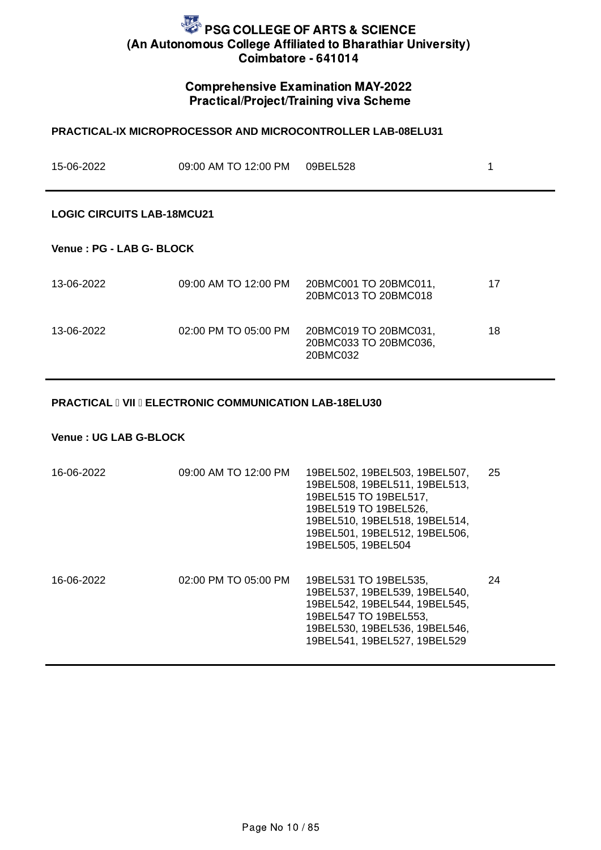### Comprehensive Examination MAY-2022 Practical/Project/Training viva Scheme

**PRACTICAL-IX MICROPROCESSOR AND MICROCONTROLLER LAB-08ELU31**

# 15-06-2022 09:00 AM TO 12:00 PM 09BEL528 1 **LOGIC CIRCUITS LAB-18MCU21 Venue : PG - LAB G- BLOCK** 13-06-2022 09:00 AM TO 12:00 PM 20BMC001 TO 20BMC011, 20BMC013 TO 20BMC018 17 13-06-2022 02:00 PM TO 05:00 PM 20BMC019 TO 20BMC031, 20BMC033 TO 20BMC036, 20BMC032 18

#### **PRACTICAL I VII I ELECTRONIC COMMUNICATION LAB-18ELU30**

#### **Venue : UG LAB G-BLOCK**

| 16-06-2022 | 09:00 AM TO 12:00 PM | 19BEL502, 19BEL503, 19BEL507,<br>19BEL508, 19BEL511, 19BEL513,<br>19BEL515 TO 19BEL517,<br>19BEL519 TO 19BEL526,<br>19BEL510, 19BEL518, 19BEL514,<br>19BEL501, 19BEL512, 19BEL506,<br>19BEL505, 19BEL504 | 25 |
|------------|----------------------|----------------------------------------------------------------------------------------------------------------------------------------------------------------------------------------------------------|----|
| 16-06-2022 | 02:00 PM TO 05:00 PM | 19BEL531 TO 19BEL535,<br>19BEL537, 19BEL539, 19BEL540,<br>19BEL542, 19BEL544, 19BEL545,<br>19BEL547 TO 19BEL553,<br>19BEL530, 19BEL536, 19BEL546,<br>19BEL541, 19BEL527, 19BEL529                        | 24 |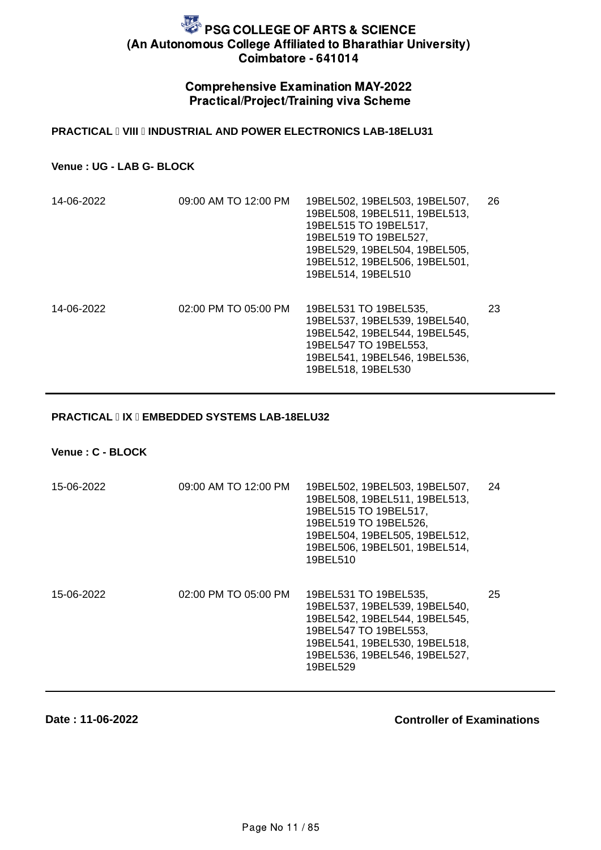### Comprehensive Examination MAY-2022 Practical/Project/Training viva Scheme

#### **PRACTICAL I VIII II INDUSTRIAL AND POWER ELECTRONICS LAB-18ELU31**

### **Venue : UG - LAB G- BLOCK**

| 14-06-2022 | 09:00 AM TO 12:00 PM | 19BEL502, 19BEL503, 19BEL507,<br>19BEL508, 19BEL511, 19BEL513,<br>19BEL515 TO 19BEL517,<br>19BEL519 TO 19BEL527,<br>19BEL529, 19BEL504, 19BEL505,<br>19BEL512, 19BEL506, 19BEL501,<br>19BEL514, 19BEL510 | 26 |
|------------|----------------------|----------------------------------------------------------------------------------------------------------------------------------------------------------------------------------------------------------|----|
| 14-06-2022 | 02:00 PM TO 05:00 PM | 19BEL531 TO 19BEL535,<br>19BEL537, 19BEL539, 19BEL540,<br>19BEL542, 19BEL544, 19BEL545,<br>19BEL547 TO 19BEL553,<br>19BEL541, 19BEL546, 19BEL536,<br>19BEL518, 19BEL530                                  | 23 |

#### **PRACTICAL IIX II EMBEDDED SYSTEMS LAB-18ELU32**

**Venue : C - BLOCK**

| 15-06-2022 | 09:00 AM TO 12:00 PM | 19BEL502, 19BEL503, 19BEL507,<br>19BEL508, 19BEL511, 19BEL513,<br>19BEL515 TO 19BEL517,<br>19BEL519 TO 19BEL526,<br>19BEL504, 19BEL505, 19BEL512,<br>19BEL506, 19BEL501, 19BEL514,<br>19BEL510 | 24 |
|------------|----------------------|------------------------------------------------------------------------------------------------------------------------------------------------------------------------------------------------|----|
| 15-06-2022 | 02:00 PM TO 05:00 PM | 19BEL531 TO 19BEL535,<br>19BEL537, 19BEL539, 19BEL540,<br>19BEL542, 19BEL544, 19BEL545,<br>19BEL547 TO 19BEL553,<br>19BEL541, 19BEL530, 19BEL518,<br>19BEL536, 19BEL546, 19BEL527,<br>19BEL529 | 25 |

#### **Date : 11-06-2022**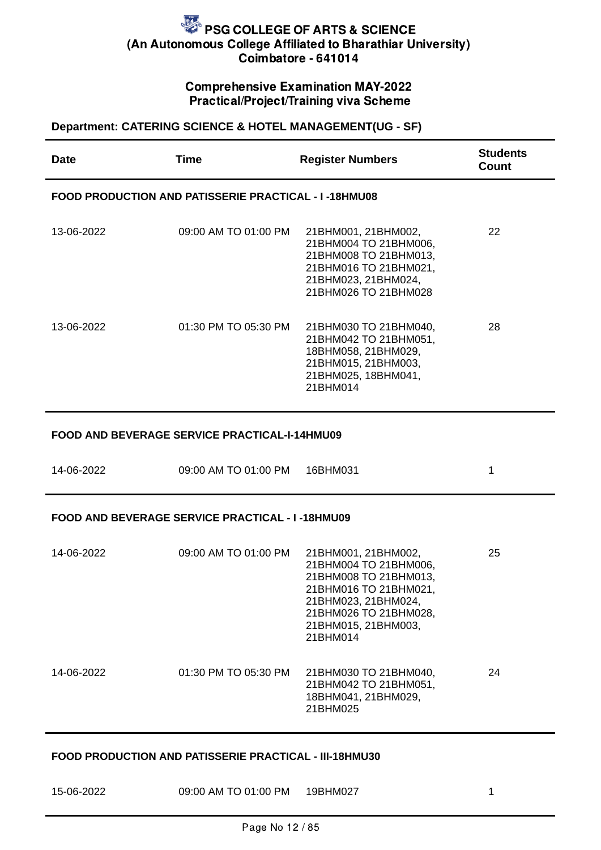## Comprehensive Examination MAY-2022 Practical/Project/Training viva Scheme

## **Department: CATERING SCIENCE & HOTEL MANAGEMENT(UG - SF)**

| <b>Date</b> | <b>Time</b>                                                 | <b>Register Numbers</b>                                                                                                                                                           | <b>Students</b><br>Count |
|-------------|-------------------------------------------------------------|-----------------------------------------------------------------------------------------------------------------------------------------------------------------------------------|--------------------------|
|             | <b>FOOD PRODUCTION AND PATISSERIE PRACTICAL - I-18HMU08</b> |                                                                                                                                                                                   |                          |
| 13-06-2022  | 09:00 AM TO 01:00 PM                                        | 21BHM001, 21BHM002,<br>21BHM004 TO 21BHM006,<br>21BHM008 TO 21BHM013,<br>21BHM016 TO 21BHM021,<br>21BHM023, 21BHM024,<br>21BHM026 TO 21BHM028                                     | 22                       |
| 13-06-2022  | 01:30 PM TO 05:30 PM                                        | 21BHM030 TO 21BHM040,<br>21BHM042 TO 21BHM051,<br>18BHM058, 21BHM029,<br>21BHM015, 21BHM003,<br>21BHM025, 18BHM041,<br>21BHM014                                                   | 28                       |
|             | FOOD AND BEVERAGE SERVICE PRACTICAL-I-14HMU09               |                                                                                                                                                                                   |                          |
| 14-06-2022  | 09:00 AM TO 01:00 PM                                        | 16BHM031                                                                                                                                                                          | 1                        |
|             | <b>FOOD AND BEVERAGE SERVICE PRACTICAL - I-18HMU09</b>      |                                                                                                                                                                                   |                          |
| 14-06-2022  | 09:00 AM TO 01:00 PM                                        | 21BHM001, 21BHM002,<br>21BHM004 TO 21BHM006,<br>21BHM008 TO 21BHM013,<br>21BHM016 TO 21BHM021,<br>21BHM023, 21BHM024,<br>21BHM026 TO 21BHM028,<br>21BHM015, 21BHM003,<br>21BHM014 | 25                       |
| 14-06-2022  | 01:30 PM TO 05:30 PM                                        | 21BHM030 TO 21BHM040,<br>21BHM042 TO 21BHM051,<br>18BHM041, 21BHM029,<br>21BHM025                                                                                                 | 24                       |

#### **FOOD PRODUCTION AND PATISSERIE PRACTICAL - III-18HMU30**

| 15-06-2022 | 09:00 AM TO 01:00 PM | 19BHM027 |  |
|------------|----------------------|----------|--|
|            |                      |          |  |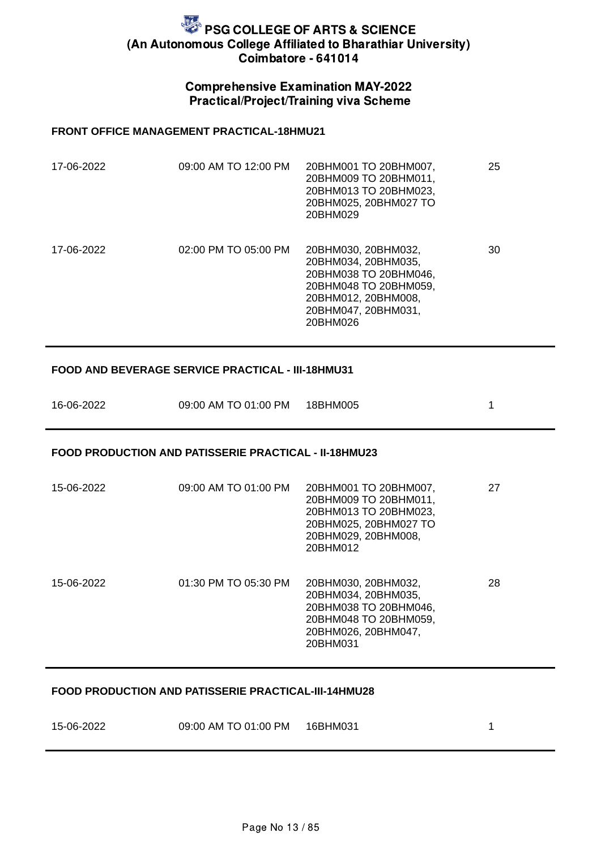### Comprehensive Examination MAY-2022 Practical/Project/Training viva Scheme

#### **FRONT OFFICE MANAGEMENT PRACTICAL-18HMU21**

| 17-06-2022 | 09:00 AM TO 12:00 PM | 20BHM001 TO 20BHM007,<br>20BHM009 TO 20BHM011,<br>20BHM013 TO 20BHM023,<br>20BHM025, 20BHM027 TO<br>20BHM029                                           | 25 |
|------------|----------------------|--------------------------------------------------------------------------------------------------------------------------------------------------------|----|
| 17-06-2022 | 02:00 PM TO 05:00 PM | 20BHM030, 20BHM032,<br>20BHM034, 20BHM035,<br>20BHM038 TO 20BHM046.<br>20BHM048 TO 20BHM059,<br>20BHM012, 20BHM008,<br>20BHM047, 20BHM031,<br>20BHM026 | 30 |

#### **FOOD AND BEVERAGE SERVICE PRACTICAL - III-18HMU31**

| 16-06-2022 | 09:00 AM TO 01:00 PM 18BHM005 |  |
|------------|-------------------------------|--|
|            |                               |  |

#### **FOOD PRODUCTION AND PATISSERIE PRACTICAL - II-18HMU23**

| 15-06-2022 | 09:00 AM TO 01:00 PM | 20BHM001 TO 20BHM007,<br>20BHM009 TO 20BHM011,<br>20BHM013 TO 20BHM023,<br>20BHM025, 20BHM027 TO<br>20BHM029, 20BHM008,<br>20BHM012 | 27 |
|------------|----------------------|-------------------------------------------------------------------------------------------------------------------------------------|----|
| 15-06-2022 | 01:30 PM TO 05:30 PM | 20BHM030, 20BHM032.<br>20BHM034, 20BHM035,<br>20BHM038 TO 20BHM046,<br>20BHM048 TO 20BHM059,<br>20BHM026, 20BHM047,<br>20BHM031     | 28 |

#### **FOOD PRODUCTION AND PATISSERIE PRACTICAL-III-14HMU28**

| 15-06-2022 | 09:00 AM TO 01:00 PM 16BHM031 |  |
|------------|-------------------------------|--|
|            |                               |  |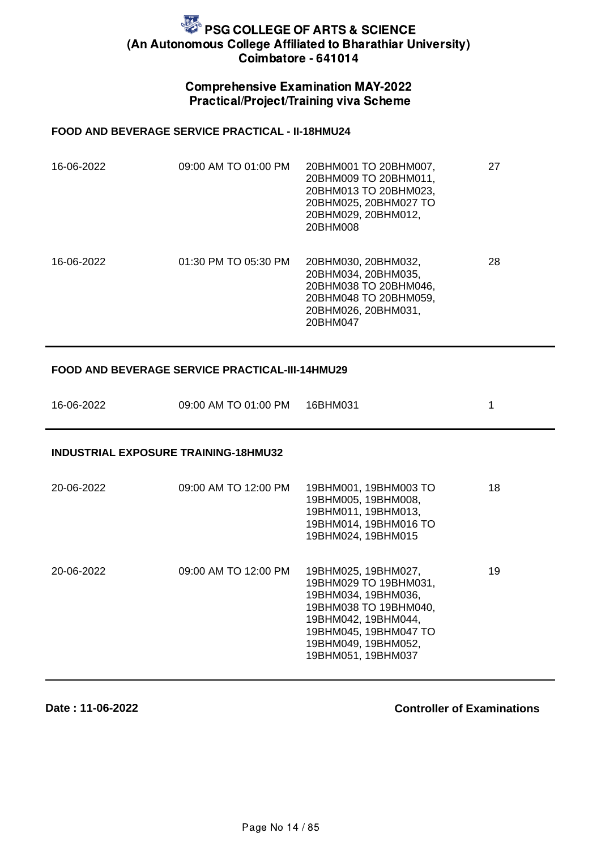### Comprehensive Examination MAY-2022 Practical/Project/Training viva Scheme

#### **FOOD AND BEVERAGE SERVICE PRACTICAL - II-18HMU24**

| 16-06-2022 | 09:00 AM TO 01:00 PM | 20BHM001 TO 20BHM007,<br>20BHM009 TO 20BHM011,<br>20BHM013 TO 20BHM023,<br>20BHM025, 20BHM027 TO<br>20BHM029, 20BHM012,<br>20BHM008 | 27 |
|------------|----------------------|-------------------------------------------------------------------------------------------------------------------------------------|----|
| 16-06-2022 | 01:30 PM TO 05:30 PM | 20BHM030, 20BHM032,<br>20BHM034, 20BHM035,<br>20BHM038 TO 20BHM046.<br>20BHM048 TO 20BHM059,<br>20BHM026, 20BHM031,<br>20BHM047     | 28 |

#### **FOOD AND BEVERAGE SERVICE PRACTICAL-III-14HMU29**

| 16-06-2022 | 09:00 AM TO 01:00 PM 16BHM031 |  |
|------------|-------------------------------|--|
|            |                               |  |

#### **INDUSTRIAL EXPOSURE TRAINING-18HMU32**

| 20-06-2022 | 09:00 AM TO 12:00 PM | 19BHM001, 19BHM003 TO<br>19BHM005, 19BHM008,<br>19BHM011, 19BHM013,<br>19BHM014, 19BHM016 TO<br>19BHM024, 19BHM015                                                                        | 18 |
|------------|----------------------|-------------------------------------------------------------------------------------------------------------------------------------------------------------------------------------------|----|
| 20-06-2022 | 09:00 AM TO 12:00 PM | 19BHM025, 19BHM027,<br>19BHM029 TO 19BHM031,<br>19BHM034, 19BHM036,<br>19BHM038 TO 19BHM040,<br>19BHM042, 19BHM044,<br>19BHM045, 19BHM047 TO<br>19BHM049, 19BHM052,<br>19BHM051, 19BHM037 | 19 |

#### **Date : 11-06-2022**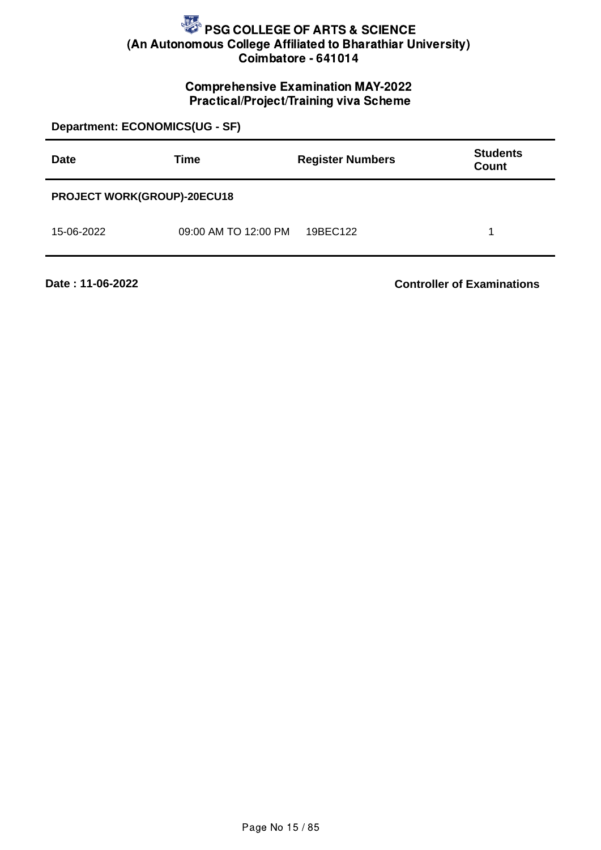## Comprehensive Examination MAY-2022 Practical/Project/Training viva Scheme

**Department: ECONOMICS(UG - SF) Date Time Register Numbers Students Count PROJECT WORK(GROUP)-20ECU18** 15-06-2022 09:00 AM TO 12:00 PM 19BEC122 1

**Date : 11-06-2022**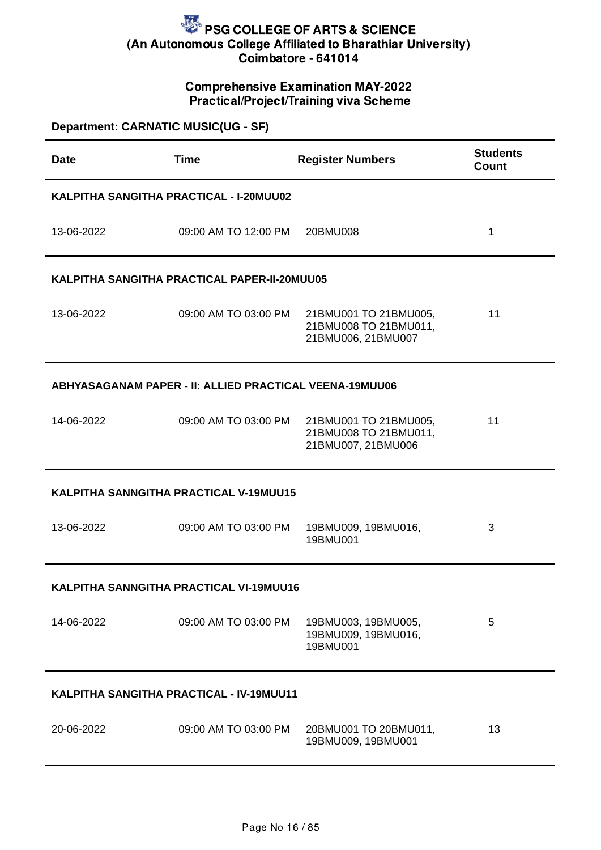### Comprehensive Examination MAY-2022 Practical/Project/Training viva Scheme

| <b>Department: CARNATIC MUSIC(UG - SF)</b> |                                                                |                                                                      |                                 |
|--------------------------------------------|----------------------------------------------------------------|----------------------------------------------------------------------|---------------------------------|
| <b>Date</b>                                | <b>Time</b>                                                    | <b>Register Numbers</b>                                              | <b>Students</b><br><b>Count</b> |
|                                            | KALPITHA SANGITHA PRACTICAL - I-20MUU02                        |                                                                      |                                 |
| 13-06-2022                                 | 09:00 AM TO 12:00 PM                                           | 20BMU008                                                             | $\mathbf{1}$                    |
|                                            | KALPITHA SANGITHA PRACTICAL PAPER-II-20MUU05                   |                                                                      |                                 |
| 13-06-2022                                 | 09:00 AM TO 03:00 PM                                           | 21BMU001 TO 21BMU005,<br>21BMU008 TO 21BMU011,<br>21BMU006, 21BMU007 | 11                              |
|                                            | <b>ABHYASAGANAM PAPER - II: ALLIED PRACTICAL VEENA-19MUU06</b> |                                                                      |                                 |
| 14-06-2022                                 | 09:00 AM TO 03:00 PM                                           | 21BMU001 TO 21BMU005,<br>21BMU008 TO 21BMU011,<br>21BMU007, 21BMU006 | 11                              |
|                                            | KALPITHA SANNGITHA PRACTICAL V-19MUU15                         |                                                                      |                                 |
| 13-06-2022                                 | 09:00 AM TO 03:00 PM                                           | 19BMU009, 19BMU016,<br>19BMU001                                      | 3                               |
|                                            | KALPITHA SANNGITHA PRACTICAL VI-19MUU16                        |                                                                      |                                 |
| 14-06-2022                                 | 09:00 AM TO 03:00 PM                                           | 19BMU003, 19BMU005,<br>19BMU009, 19BMU016,<br>19BMU001               | 5                               |
| KALPITHA SANGITHA PRACTICAL - IV-19MUU11   |                                                                |                                                                      |                                 |
| 20-06-2022                                 | 09:00 AM TO 03:00 PM                                           | 20BMU001 TO 20BMU011,<br>19BMU009, 19BMU001                          | 13                              |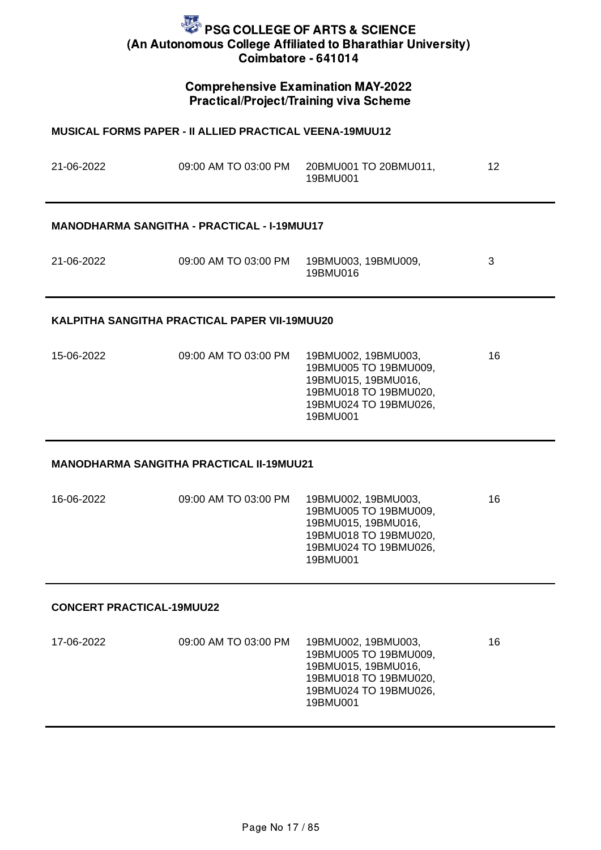### Comprehensive Examination MAY-2022 Practical/Project/Training viva Scheme

| <b>MUSICAL FORMS PAPER - II ALLIED PRACTICAL VEENA-19MUU12</b> |                                                    |                                                                                                                                   |    |  |
|----------------------------------------------------------------|----------------------------------------------------|-----------------------------------------------------------------------------------------------------------------------------------|----|--|
| 21-06-2022                                                     | 09:00 AM TO 03:00 PM                               | 20BMU001 TO 20BMU011,<br>19BMU001                                                                                                 | 12 |  |
|                                                                | <b>MANODHARMA SANGITHA - PRACTICAL - I-19MUU17</b> |                                                                                                                                   |    |  |
| 21-06-2022                                                     | 09:00 AM TO 03:00 PM                               | 19BMU003, 19BMU009,<br>19BMU016                                                                                                   | 3  |  |
|                                                                | KALPITHA SANGITHA PRACTICAL PAPER VII-19MUU20      |                                                                                                                                   |    |  |
| 15-06-2022                                                     | 09:00 AM TO 03:00 PM                               | 19BMU002, 19BMU003,<br>19BMU005 TO 19BMU009,<br>19BMU015, 19BMU016,<br>19BMU018 TO 19BMU020,<br>19BMU024 TO 19BMU026,<br>19BMU001 | 16 |  |
|                                                                | <b>MANODHARMA SANGITHA PRACTICAL II-19MUU21</b>    |                                                                                                                                   |    |  |
| 16-06-2022                                                     | 09:00 AM TO 03:00 PM                               | 19BMU002, 19BMU003,<br>19BMU005 TO 19BMU009,<br>19BMU015, 19BMU016,<br>19BMU018 TO 19BMU020,<br>19BMU024 TO 19BMU026,<br>19BMU001 | 16 |  |
| <b>CONCERT PRACTICAL-19MUU22</b>                               |                                                    |                                                                                                                                   |    |  |
| 17-06-2022                                                     | 09:00 AM TO 03:00 PM                               | 19BMU002, 19BMU003,<br>19BMU005 TO 19BMU009,<br>19BMU015, 19BMU016,<br>19BMU018 TO 19BMU020,<br>19BMU024 TO 19BMU026,<br>19BMU001 | 16 |  |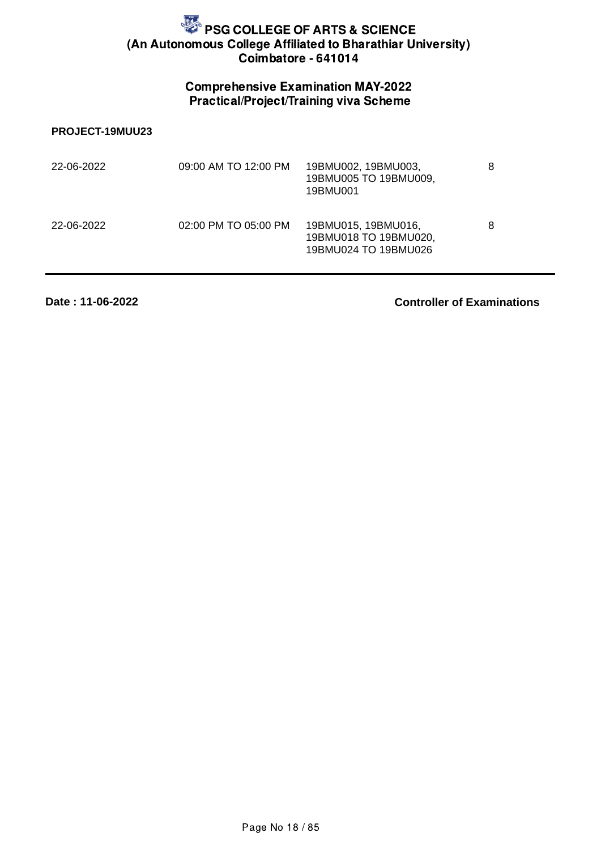## Comprehensive Examination MAY-2022 Practical/Project/Training viva Scheme

#### **PROJECT-19MUU23**

| 22-06-2022 | 09:00 AM TO 12:00 PM | 19BMU002, 19BMU003,<br>19BMU005 TO 19BMU009,<br>19BMU001             | 8 |
|------------|----------------------|----------------------------------------------------------------------|---|
| 22-06-2022 | 02:00 PM TO 05:00 PM | 19BMU015, 19BMU016,<br>19BMU018 TO 19BMU020,<br>19BMU024 TO 19BMU026 | 8 |

**Date : 11-06-2022**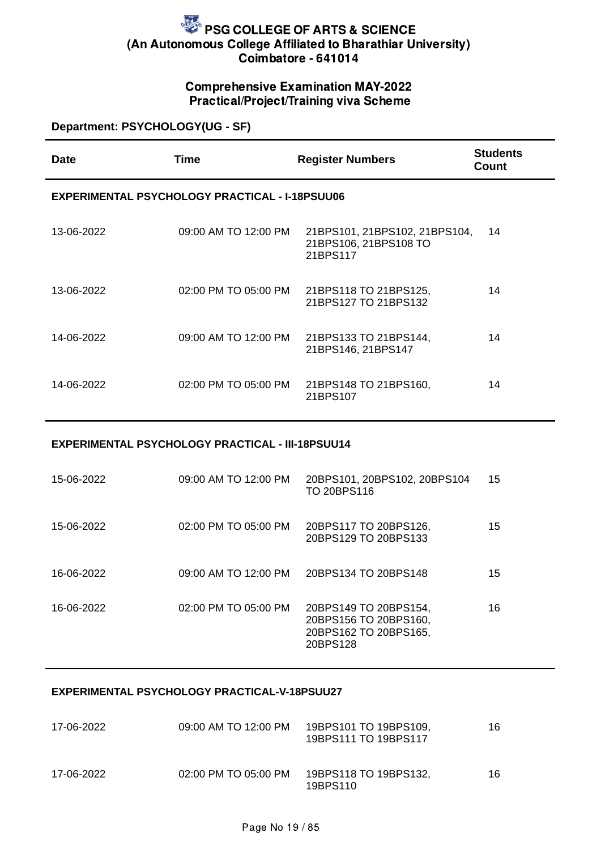## Comprehensive Examination MAY-2022 Practical/Project/Training viva Scheme

### **Department: PSYCHOLOGY(UG - SF)**

| Date       | Time                                                  | <b>Register Numbers</b>                                            | <b>Students</b><br>Count |
|------------|-------------------------------------------------------|--------------------------------------------------------------------|--------------------------|
|            | <b>EXPERIMENTAL PSYCHOLOGY PRACTICAL - I-18PSUU06</b> |                                                                    |                          |
| 13-06-2022 | 09:00 AM TO 12:00 PM                                  | 21BPS101, 21BPS102, 21BPS104,<br>21BPS106, 21BPS108 TO<br>21BPS117 | 14                       |
| 13-06-2022 | 02:00 PM TO 05:00 PM                                  | 21BPS118 TO 21BPS125,<br>21BPS127 TO 21BPS132                      | 14                       |
| 14-06-2022 | 09:00 AM TO 12:00 PM                                  | 21BPS133 TO 21BPS144,<br>21BPS146, 21BPS147                        | 14                       |
| 14-06-2022 | 02:00 PM TO 05:00 PM                                  | 21BPS148 TO 21BPS160,<br>21BPS107                                  | 14                       |

#### **EXPERIMENTAL PSYCHOLOGY PRACTICAL - III-18PSUU14**

| 15-06-2022 | 09:00 AM TO 12:00 PM | 20BPS101, 20BPS102, 20BPS104<br>TO 20BPS116                                         | 15 |
|------------|----------------------|-------------------------------------------------------------------------------------|----|
| 15-06-2022 | 02:00 PM TO 05:00 PM | 20BPS117 TO 20BPS126,<br>20BPS129 TO 20BPS133                                       | 15 |
| 16-06-2022 | 09:00 AM TO 12:00 PM | 20BPS134 TO 20BPS148                                                                | 15 |
| 16-06-2022 | 02:00 PM TO 05:00 PM | 20BPS149 TO 20BPS154,<br>20BPS156 TO 20BPS160,<br>20BPS162 TO 20BPS165,<br>20BPS128 | 16 |

#### **EXPERIMENTAL PSYCHOLOGY PRACTICAL-V-18PSUU27**

| 17-06-2022 | 09:00 AM TO 12:00 PM | 19BPS101 TO 19BPS109.<br>19BPS111 TO 19BPS117 | 16 |
|------------|----------------------|-----------------------------------------------|----|
| 17-06-2022 | 02:00 PM TO 05:00 PM | 19BPS118 TO 19BPS132.<br>19BPS110             | 16 |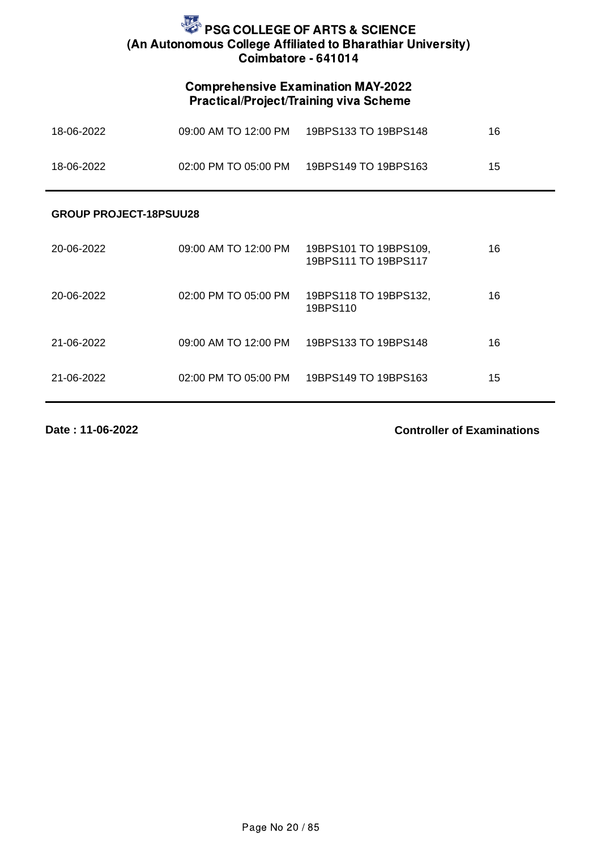## Comprehensive Examination MAY-2022 Practical/Project/Training viva Scheme

| 18-06-2022 | 09:00 AM TO 12:00 PM     | 19BPS133 TO 19BPS148 | 16 |
|------------|--------------------------|----------------------|----|
| 18-06-2022 | $02:00$ PM TO $05:00$ PM | 19BPS149 TO 19BPS163 | 15 |

#### **GROUP PROJECT-18PSUU28**

| 20-06-2022 | 09:00 AM TO 12:00 PM | 19BPS101 TO 19BPS109,<br>19BPS111 TO 19BPS117 | 16 |
|------------|----------------------|-----------------------------------------------|----|
| 20-06-2022 | 02:00 PM TO 05:00 PM | 19BPS118 TO 19BPS132,<br>19BPS110             | 16 |
| 21-06-2022 | 09:00 AM TO 12:00 PM | 19BPS133 TO 19BPS148                          | 16 |
| 21-06-2022 | 02:00 PM TO 05:00 PM | 19BPS149 TO 19BPS163                          | 15 |

**Date : 11-06-2022**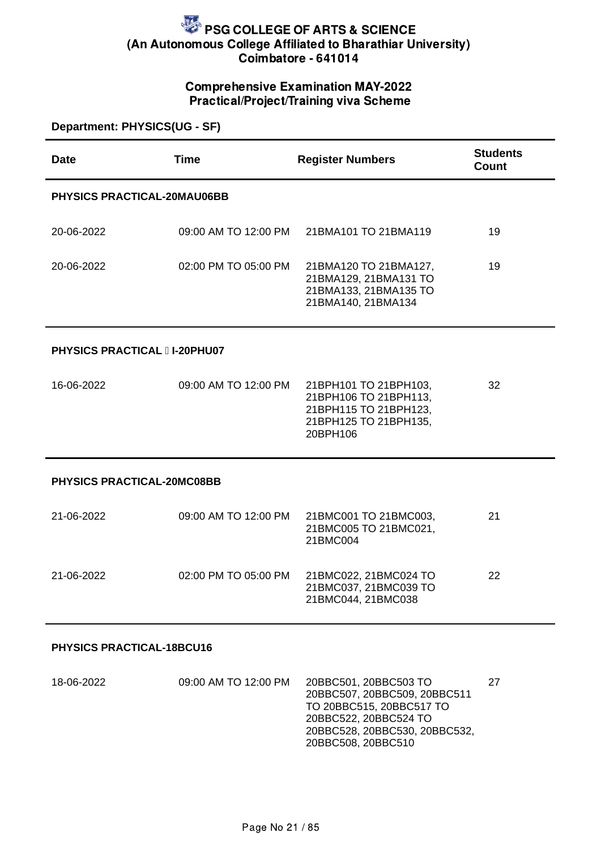### Comprehensive Examination MAY-2022 Practical/Project/Training viva Scheme

| Department: PHYSICS(UG - SF)      |                                     |                                                                                                              |                          |  |
|-----------------------------------|-------------------------------------|--------------------------------------------------------------------------------------------------------------|--------------------------|--|
| <b>Date</b>                       | <b>Time</b>                         | <b>Register Numbers</b>                                                                                      | <b>Students</b><br>Count |  |
| PHYSICS PRACTICAL-20MAU06BB       |                                     |                                                                                                              |                          |  |
| 20-06-2022                        | 09:00 AM TO 12:00 PM                | 21BMA101 TO 21BMA119                                                                                         | 19                       |  |
| 20-06-2022                        | 02:00 PM TO 05:00 PM                | 21BMA120 TO 21BMA127,<br>21BMA129, 21BMA131 TO<br>21BMA133, 21BMA135 TO<br>21BMA140, 21BMA134                | 19                       |  |
|                                   | <b>PHYSICS PRACTICAL II-20PHU07</b> |                                                                                                              |                          |  |
| 16-06-2022                        | 09:00 AM TO 12:00 PM                | 21BPH101 TO 21BPH103,<br>21BPH106 TO 21BPH113,<br>21BPH115 TO 21BPH123,<br>21BPH125 TO 21BPH135,<br>20BPH106 | 32                       |  |
| <b>PHYSICS PRACTICAL-20MC08BB</b> |                                     |                                                                                                              |                          |  |
| 21-06-2022                        | 09:00 AM TO 12:00 PM                | 21BMC001 TO 21BMC003,<br>21BMC005 TO 21BMC021,<br>21BMC004                                                   | 21                       |  |
| 21-06-2022                        | 02:00 PM TO 05:00 PM                | 21BMC022, 21BMC024 TO<br>21BMC037, 21BMC039 TO<br>21BMC044, 21BMC038                                         | 22                       |  |
|                                   |                                     |                                                                                                              |                          |  |

#### **PHYSICS PRACTICAL-18BCU16**

| 18-06-2022 | 09:00 AM TO 12:00 PM | 20BBC501, 20BBC503 TO<br>20BBC507, 20BBC509, 20BBC511 | 27 |
|------------|----------------------|-------------------------------------------------------|----|
|            |                      | TO 20BBC515, 20BBC517 TO                              |    |
|            |                      | 20BBC522, 20BBC524 TO                                 |    |
|            |                      | 20BBC528, 20BBC530, 20BBC532,                         |    |
|            |                      | 20BBC508, 20BBC510                                    |    |
|            |                      |                                                       |    |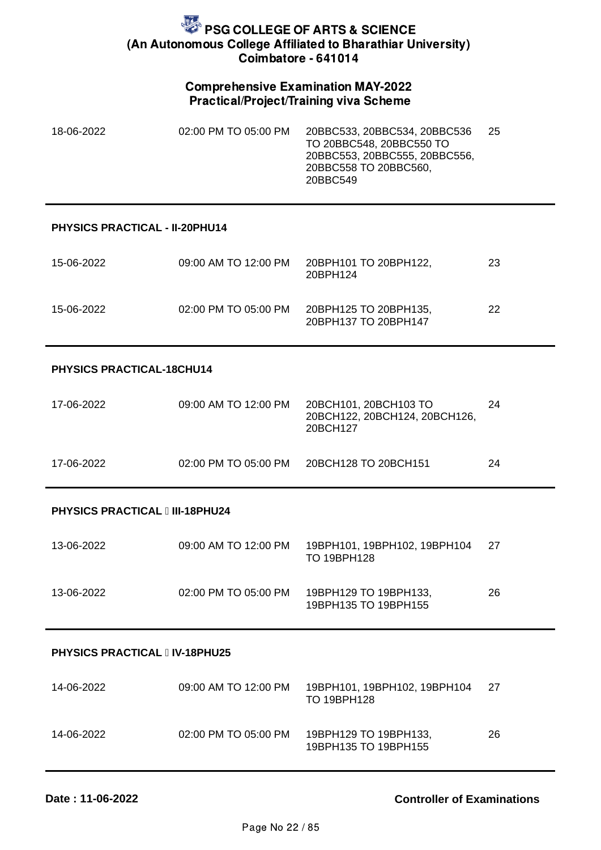### Comprehensive Examination MAY-2022 Practical/Project/Training viva Scheme

| 18-06-2022 | 02:00 PM TO 05:00 PM | 20BBC533, 20BBC534, 20BBC536<br>TO 20BBC548, 20BBC550 TO<br>20BBC553, 20BBC555, 20BBC556,<br>20BBC558 TO 20BBC560.<br>20BBC549 | 25 |
|------------|----------------------|--------------------------------------------------------------------------------------------------------------------------------|----|
|            |                      |                                                                                                                                |    |

#### **PHYSICS PRACTICAL - II-20PHU14**

| 15-06-2022 | 09:00 AM TO 12:00 PM | 20BPH101 TO 20BPH122,<br>20BPH124             | 23 |
|------------|----------------------|-----------------------------------------------|----|
| 15-06-2022 | 02:00 PM TO 05:00 PM | 20BPH125 TO 20BPH135,<br>20BPH137 TO 20BPH147 | 22 |

#### **PHYSICS PRACTICAL-18CHU14**

| 17-06-2022 | 09:00 AM TO 12:00 PM | 20BCH101, 20BCH103 TO<br>20BCH122, 20BCH124, 20BCH126,<br>20BCH127 | 24 |
|------------|----------------------|--------------------------------------------------------------------|----|
| 17-06-2022 | 02:00 PM TO 05:00 PM | 20BCH128 TO 20BCH151                                               | 24 |

#### **PHYSICS PRACTICAL III-18PHU24**

| 13-06-2022 | 09:00 AM TO 12:00 PM | 19BPH101, 19BPH102, 19BPH104<br>TO 19BPH128   | -27 |
|------------|----------------------|-----------------------------------------------|-----|
| 13-06-2022 | 02:00 PM TO 05:00 PM | 19BPH129 TO 19BPH133.<br>19BPH135 TO 19BPH155 | 26  |

#### **PHYSICS PRACTICAL IV-18PHU25**

| 14-06-2022 | 09:00 AM TO 12:00 PM | 19BPH101.19BPH102.19BPH104<br>TO 19BPH128     | -27 |
|------------|----------------------|-----------------------------------------------|-----|
| 14-06-2022 | 02:00 PM TO 05:00 PM | 19BPH129 TO 19BPH133.<br>19BPH135 TO 19BPH155 | 26  |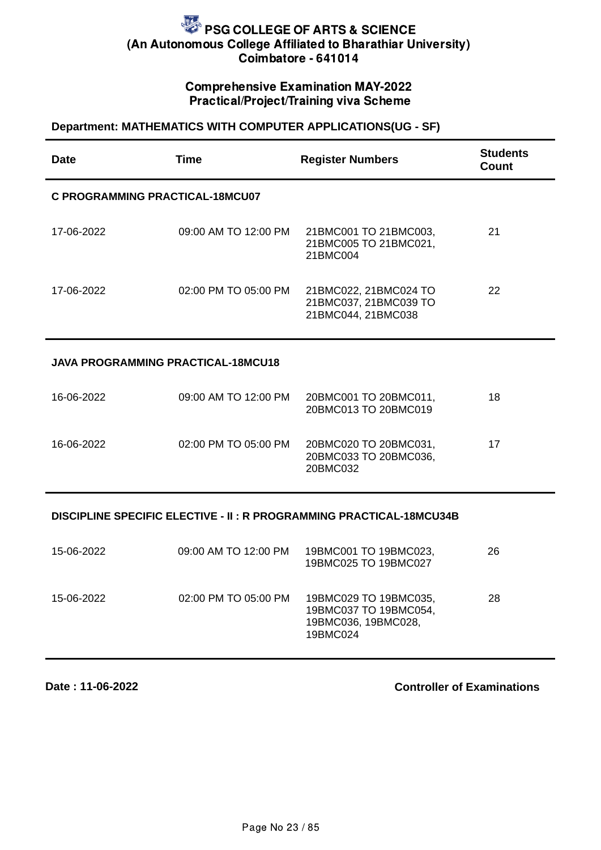### Comprehensive Examination MAY-2022 Practical/Project/Training viva Scheme

#### **Department: MATHEMATICS WITH COMPUTER APPLICATIONS(UG - SF)**

| <b>Date</b>                                                          | <b>Time</b>          | <b>Register Numbers</b>                                              | <b>Students</b><br><b>Count</b> |
|----------------------------------------------------------------------|----------------------|----------------------------------------------------------------------|---------------------------------|
| C PROGRAMMING PRACTICAL-18MCU07                                      |                      |                                                                      |                                 |
| 17-06-2022                                                           | 09:00 AM TO 12:00 PM | 21BMC001 TO 21BMC003,<br>21BMC005 TO 21BMC021,<br>21BMC004           | 21                              |
| 17-06-2022                                                           | 02:00 PM TO 05:00 PM | 21BMC022, 21BMC024 TO<br>21BMC037, 21BMC039 TO<br>21BMC044, 21BMC038 | 22                              |
| <b>JAVA PROGRAMMING PRACTICAL-18MCU18</b>                            |                      |                                                                      |                                 |
| 16-06-2022                                                           | 09:00 AM TO 12:00 PM | 20BMC001 TO 20BMC011,<br>20BMC013 TO 20BMC019                        | 18                              |
| 16-06-2022                                                           | 02:00 PM TO 05:00 PM | 20BMC020 TO 20BMC031,<br>20BMC033 TO 20BMC036,<br>20BMC032           | 17                              |
| DISCIPLINE SPECIFIC ELECTIVE - II : R PROGRAMMING PRACTICAL-18MCU34B |                      |                                                                      |                                 |
| 15-06-2022                                                           | 09:00 AM TO 12:00 PM | 19BMC001 TO 19BMC023,<br>19BMC025 TO 19BMC027                        | 26                              |
| 15-06-2022                                                           | 02:00 PM TO 05:00 PM | 19BMC029 TO 19BMC035,<br>19BMC037 TO 19BMC054,                       | 28                              |

19BMC036, 19BMC028,

19BMC024

**Date : 11-06-2022**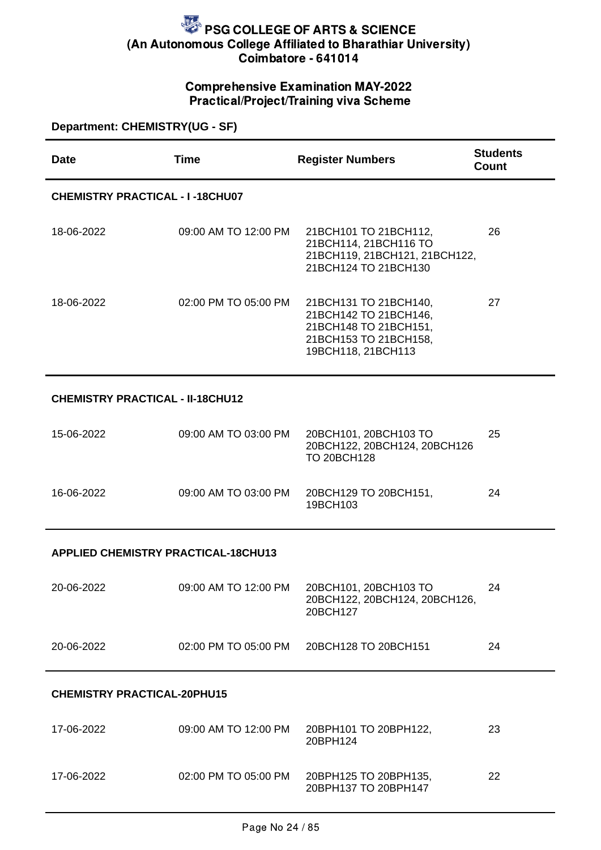### Comprehensive Examination MAY-2022 Practical/Project/Training viva Scheme

| <b>Department: CHEMISTRY(UG - SF)</b>      |                      |                                                                                                                        |                                 |
|--------------------------------------------|----------------------|------------------------------------------------------------------------------------------------------------------------|---------------------------------|
| <b>Date</b>                                | <b>Time</b>          | <b>Register Numbers</b>                                                                                                | <b>Students</b><br><b>Count</b> |
| <b>CHEMISTRY PRACTICAL - I-18CHU07</b>     |                      |                                                                                                                        |                                 |
| 18-06-2022                                 | 09:00 AM TO 12:00 PM | 21BCH101 TO 21BCH112,<br>21BCH114, 21BCH116 TO<br>21BCH119, 21BCH121, 21BCH122,<br>21BCH124 TO 21BCH130                | 26                              |
| 18-06-2022                                 | 02:00 PM TO 05:00 PM | 21BCH131 TO 21BCH140,<br>21BCH142 TO 21BCH146,<br>21BCH148 TO 21BCH151,<br>21BCH153 TO 21BCH158,<br>19BCH118, 21BCH113 | 27                              |
| <b>CHEMISTRY PRACTICAL - II-18CHU12</b>    |                      |                                                                                                                        |                                 |
| 15-06-2022                                 | 09:00 AM TO 03:00 PM | 20BCH101, 20BCH103 TO<br>20BCH122, 20BCH124, 20BCH126<br><b>TO 20BCH128</b>                                            | 25                              |
| 16-06-2022                                 | 09:00 AM TO 03:00 PM | 20BCH129 TO 20BCH151,<br>19BCH103                                                                                      | 24                              |
| <b>APPLIED CHEMISTRY PRACTICAL-18CHU13</b> |                      |                                                                                                                        |                                 |
| 20-06-2022                                 | 09:00 AM TO 12:00 PM | 20BCH101, 20BCH103 TO<br>20BCH122, 20BCH124, 20BCH126,<br>20BCH127                                                     | 24                              |
| 20-06-2022                                 | 02:00 PM TO 05:00 PM | 20BCH128 TO 20BCH151                                                                                                   | 24                              |
| <b>CHEMISTRY PRACTICAL-20PHU15</b>         |                      |                                                                                                                        |                                 |
| 17-06-2022                                 | 09:00 AM TO 12:00 PM | 20BPH101 TO 20BPH122,<br>20BPH124                                                                                      | 23                              |

20BPH137 TO 20BPH147

22

17-06-2022 02:00 PM TO 05:00 PM 20BPH125 TO 20BPH135,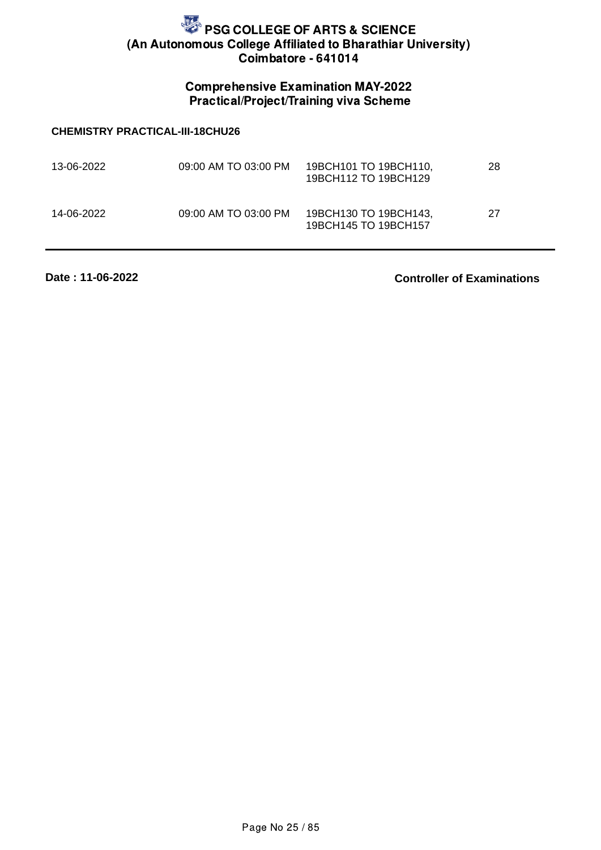## Comprehensive Examination MAY-2022 Practical/Project/Training viva Scheme

#### **CHEMISTRY PRACTICAL-III-18CHU26**

| 13-06-2022 | 09:00 AM TO 03:00 PM | 19BCH101 TO 19BCH110,<br>19BCH112 TO 19BCH129 | 28 |
|------------|----------------------|-----------------------------------------------|----|
| 14-06-2022 | 09:00 AM TO 03:00 PM | 19BCH130 TO 19BCH143.<br>19BCH145 TO 19BCH157 | 27 |

**Date : 11-06-2022**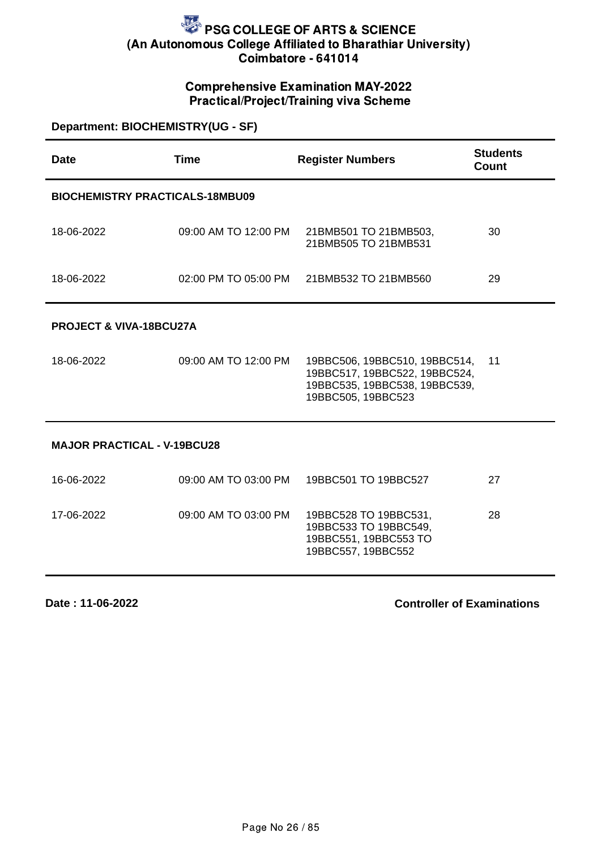### Comprehensive Examination MAY-2022 Practical/Project/Training viva Scheme

| Department: BIOCHEMISTRY(UG - SF) |
|-----------------------------------|
|-----------------------------------|

| Date                                   | <b>Time</b>          | <b>Register Numbers</b>                                                                                               | <b>Students</b><br>Count |  |
|----------------------------------------|----------------------|-----------------------------------------------------------------------------------------------------------------------|--------------------------|--|
| <b>BIOCHEMISTRY PRACTICALS-18MBU09</b> |                      |                                                                                                                       |                          |  |
| 18-06-2022                             | 09:00 AM TO 12:00 PM | 21BMB501 TO 21BMB503,<br>21BMB505 TO 21BMB531                                                                         | 30                       |  |
| 18-06-2022                             | 02:00 PM TO 05:00 PM | 21BMB532 TO 21BMB560                                                                                                  | 29                       |  |
| PROJECT & VIVA-18BCU27A                |                      |                                                                                                                       |                          |  |
| 18-06-2022                             | 09:00 AM TO 12:00 PM | 19BBC506, 19BBC510, 19BBC514,<br>19BBC517, 19BBC522, 19BBC524,<br>19BBC535, 19BBC538, 19BBC539,<br>19BBC505, 19BBC523 | 11                       |  |
| <b>MAJOR PRACTICAL - V-19BCU28</b>     |                      |                                                                                                                       |                          |  |
| 16-06-2022                             | 09:00 AM TO 03:00 PM | 19BBC501 TO 19BBC527                                                                                                  | 27                       |  |
| 17-06-2022                             | 09:00 AM TO 03:00 PM | 19BBC528 TO 19BBC531,<br>19BBC533 TO 19BBC549,<br>19BBC551, 19BBC553 TO<br>19BBC557, 19BBC552                         | 28                       |  |

**Date : 11-06-2022**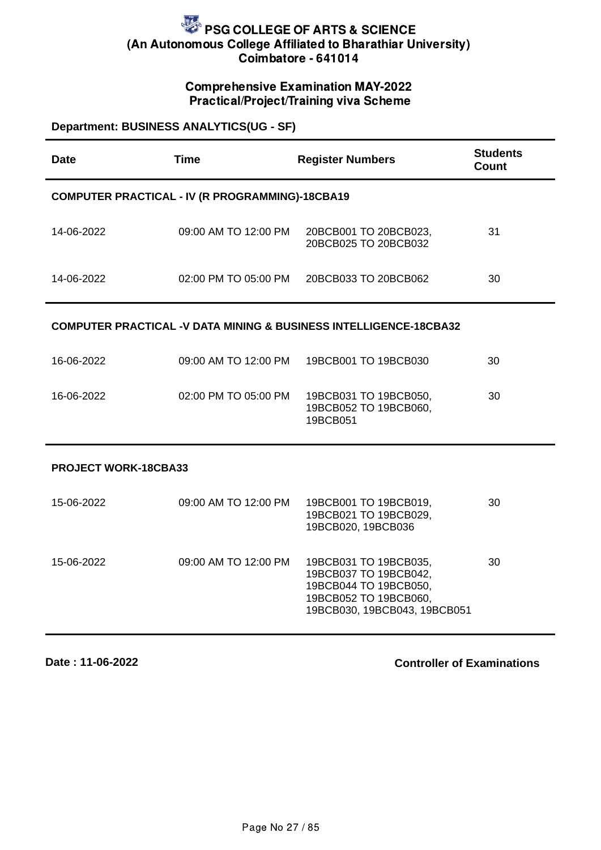## Comprehensive Examination MAY-2022 Practical/Project/Training viva Scheme

| <b>Department: BUSINESS ANALYTICS(UG - SF)</b>                               |                                                 |                                                                                                                                  |                                 |
|------------------------------------------------------------------------------|-------------------------------------------------|----------------------------------------------------------------------------------------------------------------------------------|---------------------------------|
| <b>Date</b>                                                                  | <b>Time</b>                                     | <b>Register Numbers</b>                                                                                                          | <b>Students</b><br><b>Count</b> |
|                                                                              | COMPUTER PRACTICAL - IV (R PROGRAMMING)-18CBA19 |                                                                                                                                  |                                 |
| 14-06-2022                                                                   | 09:00 AM TO 12:00 PM                            | 20BCB001 TO 20BCB023,<br>20BCB025 TO 20BCB032                                                                                    | 31                              |
| 14-06-2022                                                                   | 02:00 PM TO 05:00 PM                            | 20BCB033 TO 20BCB062                                                                                                             | 30                              |
| <b>COMPUTER PRACTICAL -V DATA MINING &amp; BUSINESS INTELLIGENCE-18CBA32</b> |                                                 |                                                                                                                                  |                                 |
| 16-06-2022                                                                   | 09:00 AM TO 12:00 PM                            | 19BCB001 TO 19BCB030                                                                                                             | 30                              |
| 16-06-2022                                                                   | 02:00 PM TO 05:00 PM                            | 19BCB031 TO 19BCB050,<br>19BCB052 TO 19BCB060,<br>19BCB051                                                                       | 30                              |
| PROJECT WORK-18CBA33                                                         |                                                 |                                                                                                                                  |                                 |
| 15-06-2022                                                                   | 09:00 AM TO 12:00 PM                            | 19BCB001 TO 19BCB019,<br>19BCB021 TO 19BCB029,<br>19BCB020, 19BCB036                                                             | 30                              |
| 15-06-2022                                                                   | 09:00 AM TO 12:00 PM                            | 19BCB031 TO 19BCB035,<br>19BCB037 TO 19BCB042,<br>19BCB044 TO 19BCB050,<br>19BCB052 TO 19BCB060,<br>19BCB030, 19BCB043, 19BCB051 | 30                              |

**Date : 11-06-2022**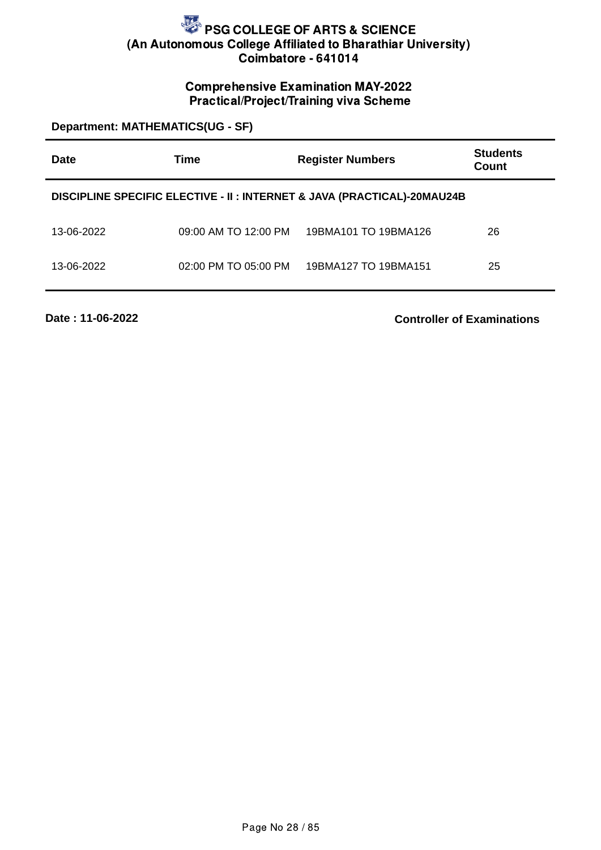## Comprehensive Examination MAY-2022 Practical/Project/Training viva Scheme

**Department: MATHEMATICS(UG - SF)**

| Date       | Time                 | <b>Register Numbers</b>                                                  | <b>Students</b><br>Count |
|------------|----------------------|--------------------------------------------------------------------------|--------------------------|
|            |                      | DISCIPLINE SPECIFIC ELECTIVE - II : INTERNET & JAVA (PRACTICAL)-20MAU24B |                          |
| 13-06-2022 | 09:00 AM TO 12:00 PM | 19BMA101 TO 19BMA126                                                     | 26                       |
| 13-06-2022 | 02:00 PM TO 05:00 PM | 19BMA127 TO 19BMA151                                                     | 25                       |

**Date : 11-06-2022**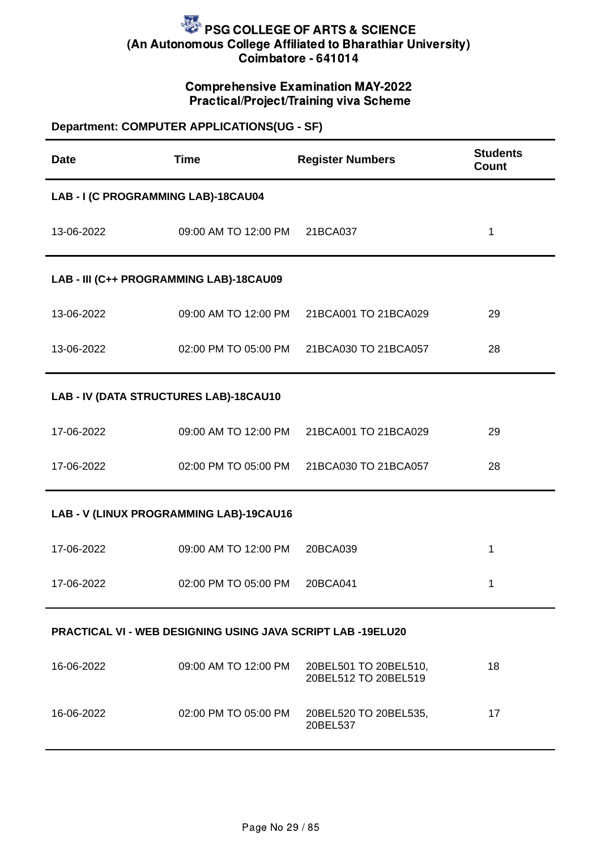### Comprehensive Examination MAY-2022 Practical/Project/Training viva Scheme

## **Department: COMPUTER APPLICATIONS(UG - SF)**

| <b>Date</b>                                                        | <b>Time</b>                             | <b>Register Numbers</b>                       | <b>Students</b><br>Count |  |
|--------------------------------------------------------------------|-----------------------------------------|-----------------------------------------------|--------------------------|--|
| LAB - I (C PROGRAMMING LAB)-18CAU04                                |                                         |                                               |                          |  |
| 13-06-2022                                                         | 09:00 AM TO 12:00 PM 21BCA037           |                                               | $\mathbf 1$              |  |
| LAB - III (C++ PROGRAMMING LAB)-18CAU09                            |                                         |                                               |                          |  |
| 13-06-2022                                                         |                                         | 09:00 AM TO 12:00 PM 21BCA001 TO 21BCA029     | 29                       |  |
| 13-06-2022                                                         |                                         | 02:00 PM TO 05:00 PM 21BCA030 TO 21BCA057     | 28                       |  |
| LAB - IV (DATA STRUCTURES LAB)-18CAU10                             |                                         |                                               |                          |  |
| 17-06-2022                                                         |                                         | 09:00 AM TO 12:00 PM 21BCA001 TO 21BCA029     | 29                       |  |
| 17-06-2022                                                         | 02:00 PM TO 05:00 PM                    | 21BCA030 TO 21BCA057                          | 28                       |  |
|                                                                    | LAB - V (LINUX PROGRAMMING LAB)-19CAU16 |                                               |                          |  |
| 17-06-2022                                                         | 09:00 AM TO 12:00 PM                    | 20BCA039                                      | $\mathbf 1$              |  |
| 17-06-2022                                                         | 02:00 PM TO 05:00 PM                    | 20BCA041                                      | 1                        |  |
| <b>PRACTICAL VI - WEB DESIGNING USING JAVA SCRIPT LAB -19ELU20</b> |                                         |                                               |                          |  |
| 16-06-2022                                                         | 09:00 AM TO 12:00 PM                    | 20BEL501 TO 20BEL510,<br>20BEL512 TO 20BEL519 | 18                       |  |
| 16-06-2022                                                         | 02:00 PM TO 05:00 PM                    | 20BEL520 TO 20BEL535,<br>20BEL537             | 17                       |  |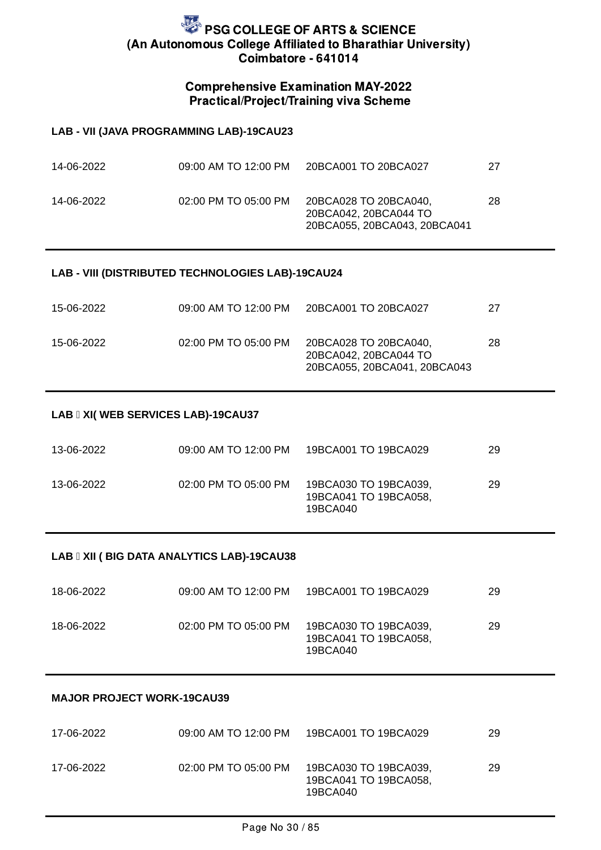### Comprehensive Examination MAY-2022 Practical/Project/Training viva Scheme

#### **LAB - VII (JAVA PROGRAMMING LAB)-19CAU23**

| 14-06-2022 | 09:00 AM TO 12:00 PM | 20BCA001 TO 20BCA027                                                           | 27 |
|------------|----------------------|--------------------------------------------------------------------------------|----|
| 14-06-2022 | 02:00 PM TO 05:00 PM | 20BCA028 TO 20BCA040,<br>20BCA042, 20BCA044 TO<br>20BCA055, 20BCA043, 20BCA041 | 28 |

#### **LAB - VIII (DISTRIBUTED TECHNOLOGIES LAB)-19CAU24**

| 15-06-2022 | 09:00 AM TO 12:00 PM | 20BCA001 TO 20BCA027                                                           | 27 |
|------------|----------------------|--------------------------------------------------------------------------------|----|
| 15-06-2022 | 02:00 PM TO 05:00 PM | 20BCA028 TO 20BCA040.<br>20BCA042, 20BCA044 TO<br>20BCA055, 20BCA041, 20BCA043 | 28 |

#### LAB **II XI( WEB SERVICES LAB)-19CAU37**

| 13-06-2022 | 09:00 AM TO 12:00 PM | 19BCA001 TO 19BCA029                                       | 29  |
|------------|----------------------|------------------------------------------------------------|-----|
| 13-06-2022 | 02:00 PM TO 05:00 PM | 19BCA030 TO 19BCA039,<br>19BCA041 TO 19BCA058.<br>19BCA040 | -29 |

#### LAB **II XII ( BIG DATA ANALYTICS LAB)-19CAU38**

| 18-06-2022 | 09:00 AM TO 12:00 PM | 19BCA001 TO 19BCA029                                       | 29 |
|------------|----------------------|------------------------------------------------------------|----|
| 18-06-2022 | 02:00 PM TO 05:00 PM | 19BCA030 TO 19BCA039,<br>19BCA041 TO 19BCA058,<br>19BCA040 | 29 |

#### **MAJOR PROJECT WORK-19CAU39**

| 17-06-2022 | 09:00 AM TO 12:00 PM | 19BCA001 TO 19BCA029                                       | 29  |
|------------|----------------------|------------------------------------------------------------|-----|
| 17-06-2022 | 02:00 PM TO 05:00 PM | 19BCA030 TO 19BCA039,<br>19BCA041 TO 19BCA058,<br>19BCA040 | -29 |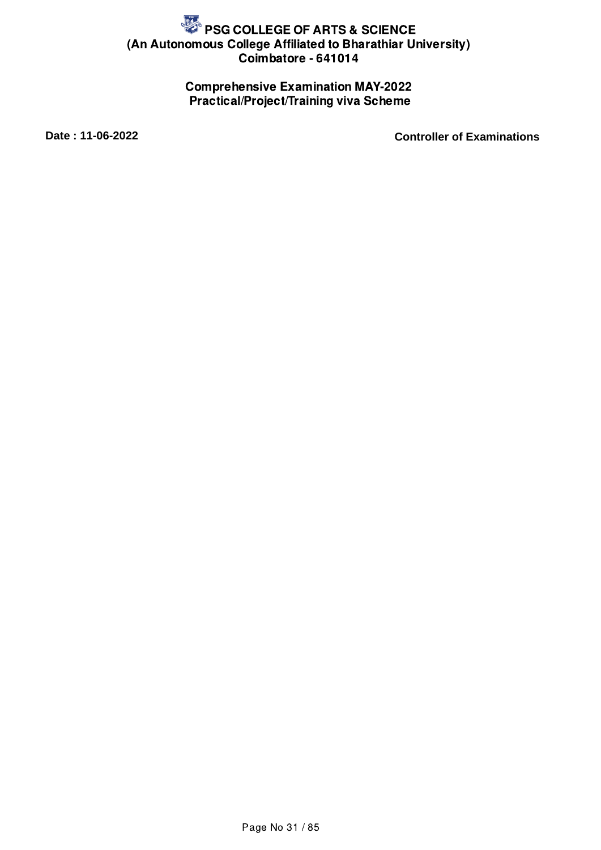## Comprehensive Examination MAY-2022 Practical/Project/Training viva Scheme

**Date : 11-06-2022 Controller of Examinations**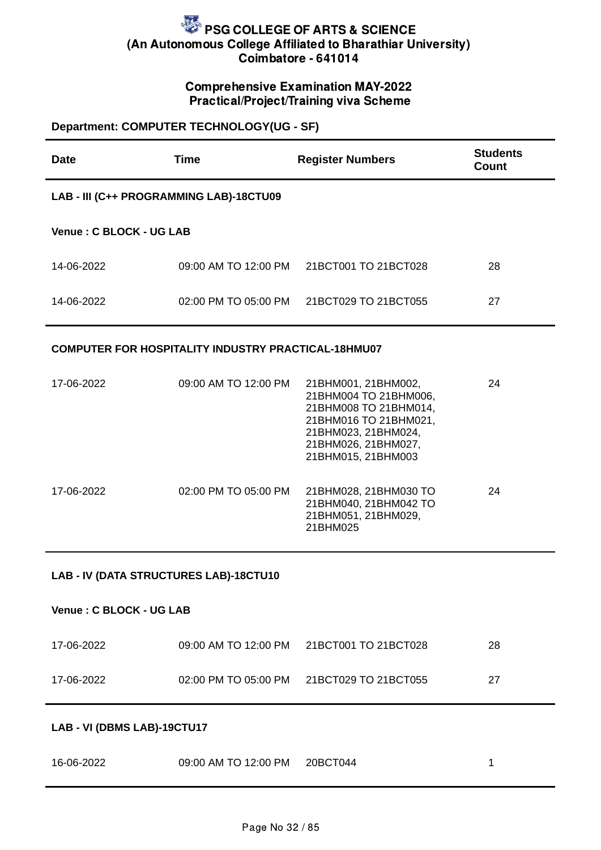## Comprehensive Examination MAY-2022 Practical/Project/Training viva Scheme

## **Department: COMPUTER TECHNOLOGY(UG - SF)**

| <b>Date</b>                             | <b>Time</b>                                                | <b>Register Numbers</b>                                                                                                                                            | <b>Students</b><br>Count |
|-----------------------------------------|------------------------------------------------------------|--------------------------------------------------------------------------------------------------------------------------------------------------------------------|--------------------------|
| LAB - III (C++ PROGRAMMING LAB)-18CTU09 |                                                            |                                                                                                                                                                    |                          |
| Venue: C BLOCK - UG LAB                 |                                                            |                                                                                                                                                                    |                          |
| 14-06-2022                              | 09:00 AM TO 12:00 PM                                       | 21BCT001 TO 21BCT028                                                                                                                                               | 28                       |
| 14-06-2022                              | 02:00 PM TO 05:00 PM                                       | 21BCT029 TO 21BCT055                                                                                                                                               | 27                       |
|                                         | <b>COMPUTER FOR HOSPITALITY INDUSTRY PRACTICAL-18HMU07</b> |                                                                                                                                                                    |                          |
| 17-06-2022                              | 09:00 AM TO 12:00 PM                                       | 21BHM001, 21BHM002,<br>21BHM004 TO 21BHM006,<br>21BHM008 TO 21BHM014,<br>21BHM016 TO 21BHM021,<br>21BHM023, 21BHM024,<br>21BHM026, 21BHM027,<br>21BHM015, 21BHM003 | 24                       |
| 17-06-2022                              | 02:00 PM TO 05:00 PM                                       | 21BHM028, 21BHM030 TO<br>21BHM040, 21BHM042 TO<br>21BHM051, 21BHM029,<br>21BHM025                                                                                  | 24                       |
| LAB - IV (DATA STRUCTURES LAB)-18CTU10  |                                                            |                                                                                                                                                                    |                          |
| Venue: C BLOCK - UG LAB                 |                                                            |                                                                                                                                                                    |                          |
| 17-06-2022                              | 09:00 AM TO 12:00 PM                                       | 21BCT001 TO 21BCT028                                                                                                                                               | 28                       |
| 17-06-2022                              | 02:00 PM TO 05:00 PM                                       | 21BCT029 TO 21BCT055                                                                                                                                               | 27                       |
| LAB - VI (DBMS LAB)-19CTU17             |                                                            |                                                                                                                                                                    |                          |
| 16-06-2022                              | 09:00 AM TO 12:00 PM 20BCT044                              |                                                                                                                                                                    | 1                        |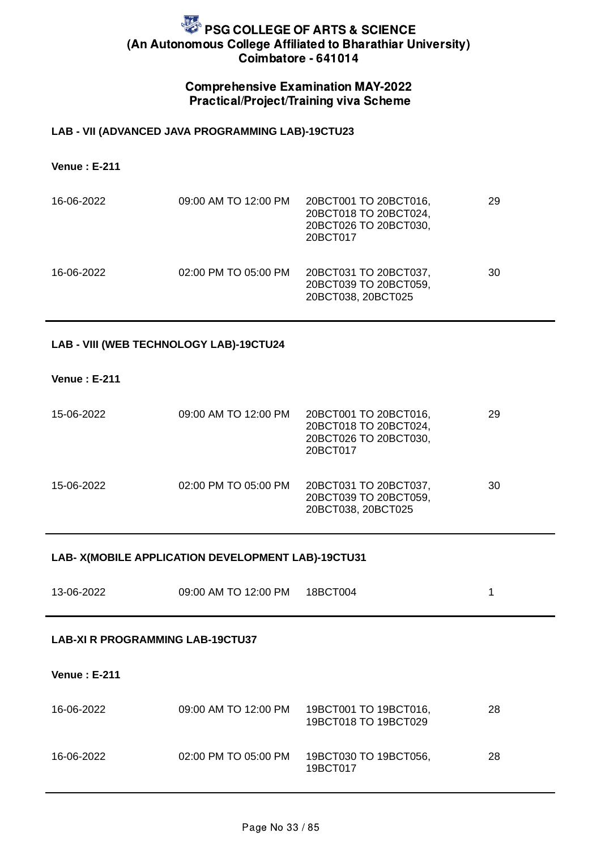### Comprehensive Examination MAY-2022 Practical/Project/Training viva Scheme

#### **LAB - VII (ADVANCED JAVA PROGRAMMING LAB)-19CTU23**

**Venue : E-211**

| 16-06-2022 | 09:00 AM TO 12:00 PM | 20BCT001 TO 20BCT016,<br>20BCT018 TO 20BCT024,<br>20BCT026 TO 20BCT030,<br>20BCT017 | 29 |
|------------|----------------------|-------------------------------------------------------------------------------------|----|
| 16-06-2022 | 02:00 PM TO 05:00 PM | 20BCT031 TO 20BCT037,<br>20BCT039 TO 20BCT059,<br>20BCT038, 20BCT025                | 30 |

#### **LAB - VIII (WEB TECHNOLOGY LAB)-19CTU24**

#### **Venue : E-211**

| 15-06-2022 | 09:00 AM TO 12:00 PM | 20BCT001 TO 20BCT016,<br>20BCT018 TO 20BCT024,<br>20BCT026 TO 20BCT030,<br>20BCT017 | 29 |
|------------|----------------------|-------------------------------------------------------------------------------------|----|
| 15-06-2022 | 02:00 PM TO 05:00 PM | 20BCT031 TO 20BCT037,<br>20BCT039 TO 20BCT059,<br>20BCT038, 20BCT025                | 30 |

#### **LAB- X(MOBILE APPLICATION DEVELOPMENT LAB)-19CTU31**

| 13-06-2022 | 09:00 AM TO 12:00 PM | 18BCT004 |  |
|------------|----------------------|----------|--|
|            |                      |          |  |

#### **LAB-XI R PROGRAMMING LAB-19CTU37**

#### **Venue : E-211**

| 16-06-2022 | 09:00 AM TO 12:00 PM | 19BCT001 TO 19BCT016,<br>19BCT018 TO 19BCT029 | 28 |
|------------|----------------------|-----------------------------------------------|----|
| 16-06-2022 | 02:00 PM TO 05:00 PM | 19BCT030 TO 19BCT056,<br>19BCT017             | 28 |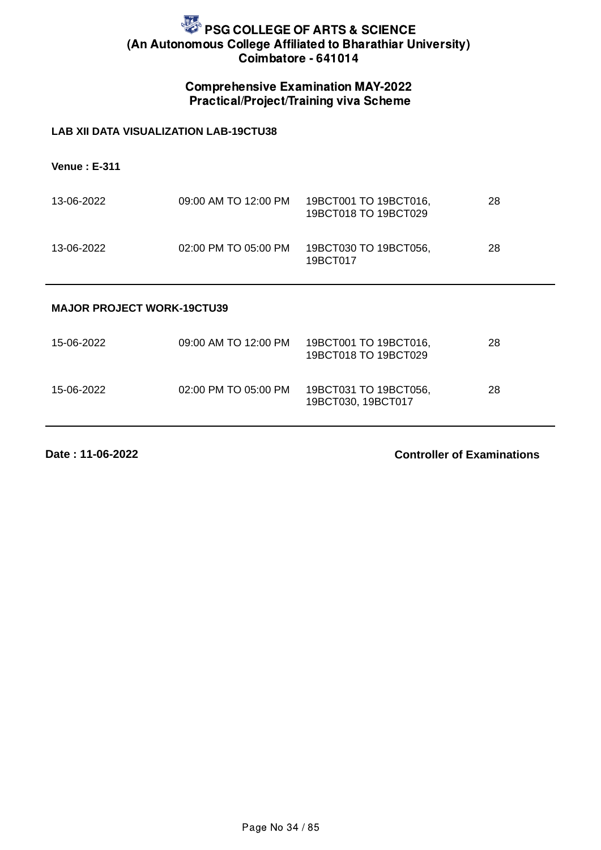## Comprehensive Examination MAY-2022 Practical/Project/Training viva Scheme

#### **LAB XII DATA VISUALIZATION LAB-19CTU38**

**Venue : E-311**

| 13-06-2022 | 09:00 AM TO 12:00 PM | 19BCT001 TO 19BCT016,<br>19BCT018 TO 19BCT029 | 28 |
|------------|----------------------|-----------------------------------------------|----|
| 13-06-2022 | 02:00 PM TO 05:00 PM | 19BCT030 TO 19BCT056,<br>19BCT017             | 28 |

#### **MAJOR PROJECT WORK-19CTU39**

| 15-06-2022 | 09:00 AM TO 12:00 PM | 19BCT001 TO 19BCT016,<br>19BCT018 TO 19BCT029 | 28 |
|------------|----------------------|-----------------------------------------------|----|
| 15-06-2022 | 02:00 PM TO 05:00 PM | 19BCT031 TO 19BCT056,<br>19BCT030, 19BCT017   | 28 |

**Date : 11-06-2022**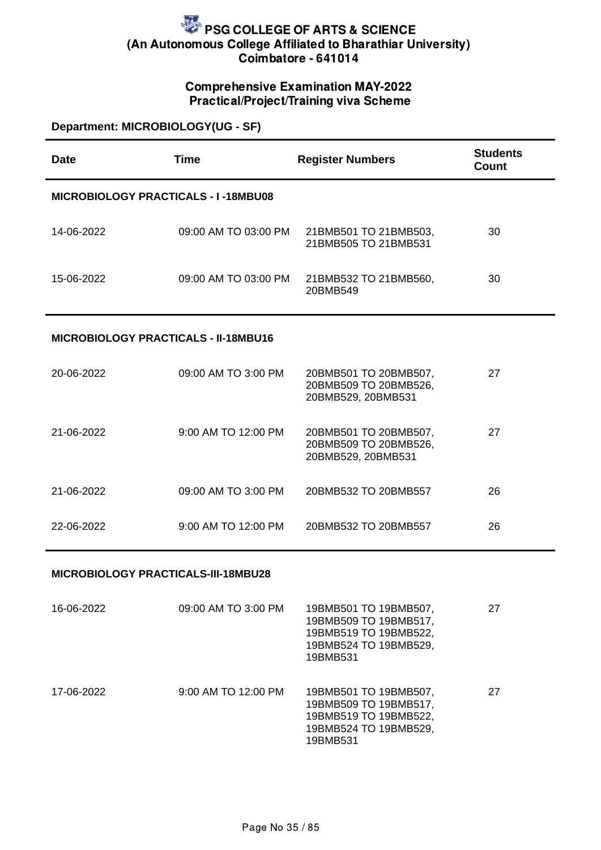## Comprehensive Examination MAY-2022 Practical/Project/Training viva Scheme

### **Department: MICROBIOLOGY(UG - SF)**

| <b>Date</b>                                 | <b>Time</b>          | <b>Register Numbers</b>                                              | <b>Students</b><br><b>Count</b> |  |
|---------------------------------------------|----------------------|----------------------------------------------------------------------|---------------------------------|--|
| MICROBIOLOGY PRACTICALS - I-18MBU08         |                      |                                                                      |                                 |  |
| 14-06-2022                                  | 09:00 AM TO 03:00 PM | 21BMB501 TO 21BMB503,<br>21BMB505 TO 21BMB531                        | 30                              |  |
| 15-06-2022                                  | 09:00 AM TO 03:00 PM | 21BMB532 TO 21BMB560,<br>20BMB549                                    | 30                              |  |
| <b>MICROBIOLOGY PRACTICALS - II-18MBU16</b> |                      |                                                                      |                                 |  |
| 20-06-2022                                  | 09:00 AM TO 3:00 PM  | 20BMB501 TO 20BMB507,<br>20BMB509 TO 20BMB526,<br>20BMB529, 20BMB531 | 27                              |  |
| 21-06-2022                                  | 9:00 AM TO 12:00 PM  | 20BMB501 TO 20BMB507,<br>20BMB509 TO 20BMB526,<br>20BMB529, 20BMB531 | 27                              |  |
| 21-06-2022                                  | 09:00 AM TO 3:00 PM  | 20BMB532 TO 20BMB557                                                 | 26                              |  |
| 22-06-2022                                  | 9:00 AM TO 12:00 PM  | 20BMB532 TO 20BMB557                                                 | 26                              |  |

#### **MICROBIOLOGY PRACTICALS-III-18MBU28**

| 16-06-2022 | 09:00 AM TO 3:00 PM | 19BMB501 TO 19BMB507,<br>19BMB509 TO 19BMB517,<br>19BMB519 TO 19BMB522,<br>19BMB524 TO 19BMB529,<br>19BMB531 | 27 |
|------------|---------------------|--------------------------------------------------------------------------------------------------------------|----|
| 17-06-2022 | 9:00 AM TO 12:00 PM | 19BMB501 TO 19BMB507,<br>19BMB509 TO 19BMB517,<br>19BMB519 TO 19BMB522,<br>19BMB524 TO 19BMB529,<br>19BMB531 | 27 |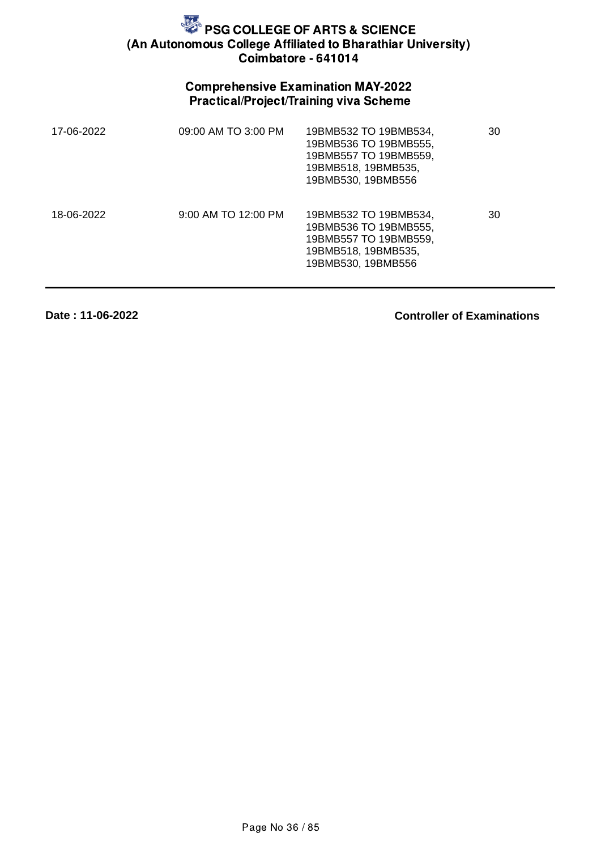## Comprehensive Examination MAY-2022 Practical/Project/Training viva Scheme

| 17-06-2022 | 09:00 AM TO 3:00 PM | 19BMB532 TO 19BMB534,<br>19BMB536 TO 19BMB555,<br>19BMB557 TO 19BMB559,<br>19BMB518, 19BMB535,<br>19BMB530, 19BMB556 | 30 |
|------------|---------------------|----------------------------------------------------------------------------------------------------------------------|----|
| 18-06-2022 | 9:00 AM TO 12:00 PM | 19BMB532 TO 19BMB534,<br>19BMB536 TO 19BMB555,<br>19BMB557 TO 19BMB559,<br>19BMB518, 19BMB535,<br>19BMB530, 19BMB556 | 30 |

**Date : 11-06-2022**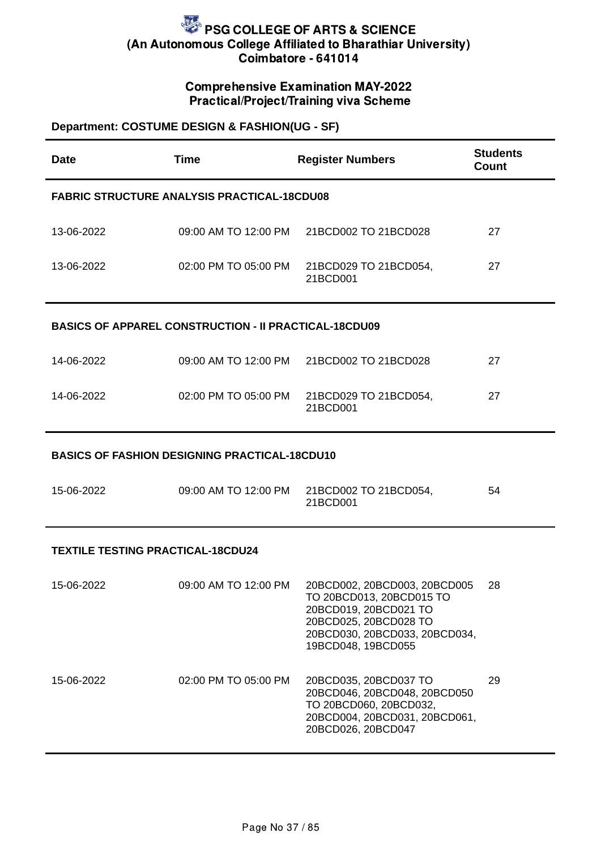## Comprehensive Examination MAY-2022 Practical/Project/Training viva Scheme

## **Department: COSTUME DESIGN & FASHION(UG - SF)**

| <b>Date</b>                                          | <b>Time</b>                                                  | <b>Register Numbers</b>                                                                                                                                           | <b>Students</b><br><b>Count</b> |  |
|------------------------------------------------------|--------------------------------------------------------------|-------------------------------------------------------------------------------------------------------------------------------------------------------------------|---------------------------------|--|
| <b>FABRIC STRUCTURE ANALYSIS PRACTICAL-18CDU08</b>   |                                                              |                                                                                                                                                                   |                                 |  |
| 13-06-2022                                           | 09:00 AM TO 12:00 PM                                         | 21BCD002 TO 21BCD028                                                                                                                                              | 27                              |  |
| 13-06-2022                                           | 02:00 PM TO 05:00 PM                                         | 21BCD029 TO 21BCD054,<br>21BCD001                                                                                                                                 | 27                              |  |
|                                                      | <b>BASICS OF APPAREL CONSTRUCTION - II PRACTICAL-18CDU09</b> |                                                                                                                                                                   |                                 |  |
| 14-06-2022                                           | 09:00 AM TO 12:00 PM                                         | 21BCD002 TO 21BCD028                                                                                                                                              | 27                              |  |
| 14-06-2022                                           | 02:00 PM TO 05:00 PM                                         | 21BCD029 TO 21BCD054,<br>21BCD001                                                                                                                                 | 27                              |  |
| <b>BASICS OF FASHION DESIGNING PRACTICAL-18CDU10</b> |                                                              |                                                                                                                                                                   |                                 |  |
| 15-06-2022                                           | 09:00 AM TO 12:00 PM                                         | 21BCD002 TO 21BCD054,<br>21BCD001                                                                                                                                 | 54                              |  |
| <b>TEXTILE TESTING PRACTICAL-18CDU24</b>             |                                                              |                                                                                                                                                                   |                                 |  |
| 15-06-2022                                           | 09:00 AM TO 12:00 PM                                         | 20BCD002, 20BCD003, 20BCD005<br>TO 20BCD013, 20BCD015 TO<br>20BCD019, 20BCD021 TO<br>20BCD025, 20BCD028 TO<br>20BCD030, 20BCD033, 20BCD034,<br>19BCD048, 19BCD055 | 28                              |  |
| 15-06-2022                                           | 02:00 PM TO 05:00 PM                                         | 20BCD035, 20BCD037 TO<br>20BCD046, 20BCD048, 20BCD050<br>TO 20BCD060, 20BCD032,<br>20BCD004, 20BCD031, 20BCD061,<br>20BCD026, 20BCD047                            | 29                              |  |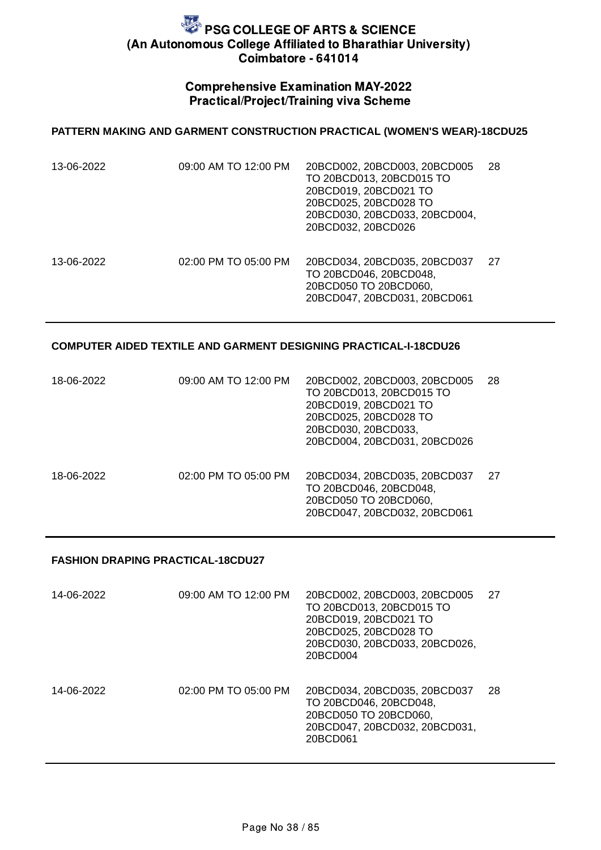### Comprehensive Examination MAY-2022 Practical/Project/Training viva Scheme

#### **PATTERN MAKING AND GARMENT CONSTRUCTION PRACTICAL (WOMEN'S WEAR)-18CDU25**

| 13-06-2022 | 09:00 AM TO 12:00 PM | 20BCD002, 20BCD003, 20BCD005<br>TO 20BCD013, 20BCD015 TO<br>20BCD019, 20BCD021 TO<br>20BCD025, 20BCD028 TO<br>20BCD030, 20BCD033, 20BCD004,<br>20BCD032, 20BCD026 | 28 |
|------------|----------------------|-------------------------------------------------------------------------------------------------------------------------------------------------------------------|----|
| 13-06-2022 | 02:00 PM TO 05:00 PM | 20BCD034, 20BCD035, 20BCD037<br>TO 20BCD046, 20BCD048,<br>20BCD050 TO 20BCD060,<br>20BCD047, 20BCD031, 20BCD061                                                   | 27 |

#### **COMPUTER AIDED TEXTILE AND GARMENT DESIGNING PRACTICAL-I-18CDU26**

| 18-06-2022 | 09:00 AM TO 12:00 PM | 20BCD002, 20BCD003, 20BCD005<br>TO 20BCD013, 20BCD015 TO<br>20BCD019, 20BCD021 TO<br>20BCD025, 20BCD028 TO<br>20BCD030, 20BCD033,<br>20BCD004, 20BCD031, 20BCD026 | 28  |
|------------|----------------------|-------------------------------------------------------------------------------------------------------------------------------------------------------------------|-----|
| 18-06-2022 | 02:00 PM TO 05:00 PM | 20BCD034, 20BCD035, 20BCD037<br>TO 20BCD046, 20BCD048,<br>20BCD050 TO 20BCD060,<br>20BCD047, 20BCD032, 20BCD061                                                   | -27 |

### **FASHION DRAPING PRACTICAL-18CDU27**

| 14-06-2022 | 09:00 AM TO 12:00 PM | 20BCD002, 20BCD003, 20BCD005<br>TO 20BCD013, 20BCD015 TO<br>20BCD019, 20BCD021 TO<br>20BCD025, 20BCD028 TO<br>20BCD030, 20BCD033, 20BCD026,<br>20BCD004 | 27 |
|------------|----------------------|---------------------------------------------------------------------------------------------------------------------------------------------------------|----|
| 14-06-2022 | 02:00 PM TO 05:00 PM | 20BCD034, 20BCD035, 20BCD037<br>TO 20BCD046, 20BCD048,<br>20BCD050 TO 20BCD060,<br>20BCD047, 20BCD032, 20BCD031,<br>20BCD061                            | 28 |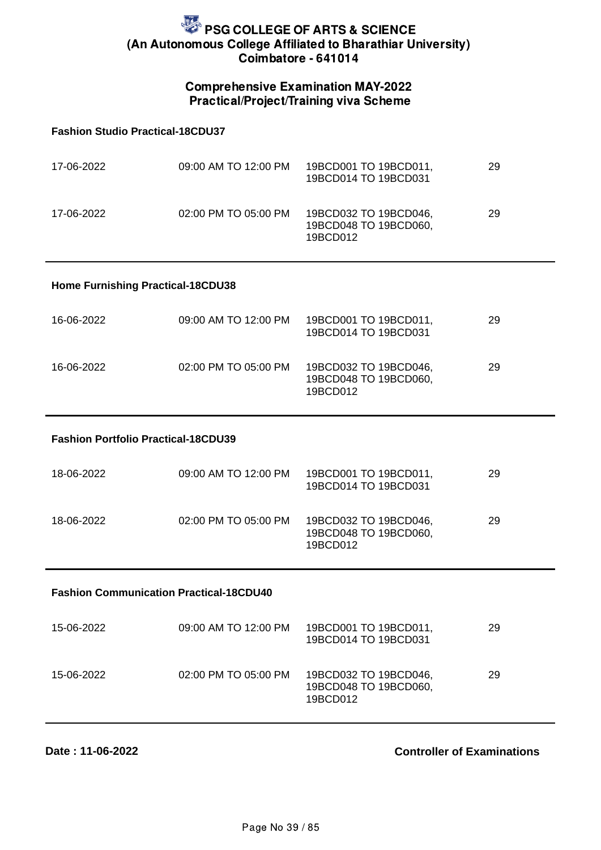### Comprehensive Examination MAY-2022 Practical/Project/Training viva Scheme

#### **Fashion Studio Practical-18CDU37**

| 17-06-2022 | 09:00 AM TO 12:00 PM | 19BCD001 TO 19BCD011,<br>19BCD014 TO 19BCD031              | 29 |
|------------|----------------------|------------------------------------------------------------|----|
| 17-06-2022 | 02:00 PM TO 05:00 PM | 19BCD032 TO 19BCD046,<br>19BCD048 TO 19BCD060,<br>19BCD012 | 29 |

#### **Home Furnishing Practical-18CDU38**

| 16-06-2022 | 09:00 AM TO 12:00 PM | 19BCD001 TO 19BCD011,<br>19BCD014 TO 19BCD031              | 29 |
|------------|----------------------|------------------------------------------------------------|----|
| 16-06-2022 | 02:00 PM TO 05:00 PM | 19BCD032 TO 19BCD046,<br>19BCD048 TO 19BCD060,<br>19BCD012 | 29 |

#### **Fashion Portfolio Practical-18CDU39**

| 18-06-2022 | 09:00 AM TO 12:00 PM | 19BCD001 TO 19BCD011,<br>19BCD014 TO 19BCD031              | 29 |
|------------|----------------------|------------------------------------------------------------|----|
| 18-06-2022 | 02:00 PM TO 05:00 PM | 19BCD032 TO 19BCD046,<br>19BCD048 TO 19BCD060,<br>19BCD012 | 29 |

#### **Fashion Communication Practical-18CDU40**

| 15-06-2022 | 09:00 AM TO 12:00 PM | 19BCD001 TO 19BCD011,<br>19BCD014 TO 19BCD031              | 29 |
|------------|----------------------|------------------------------------------------------------|----|
| 15-06-2022 | 02:00 PM TO 05:00 PM | 19BCD032 TO 19BCD046,<br>19BCD048 TO 19BCD060,<br>19BCD012 | 29 |

**Date : 11-06-2022**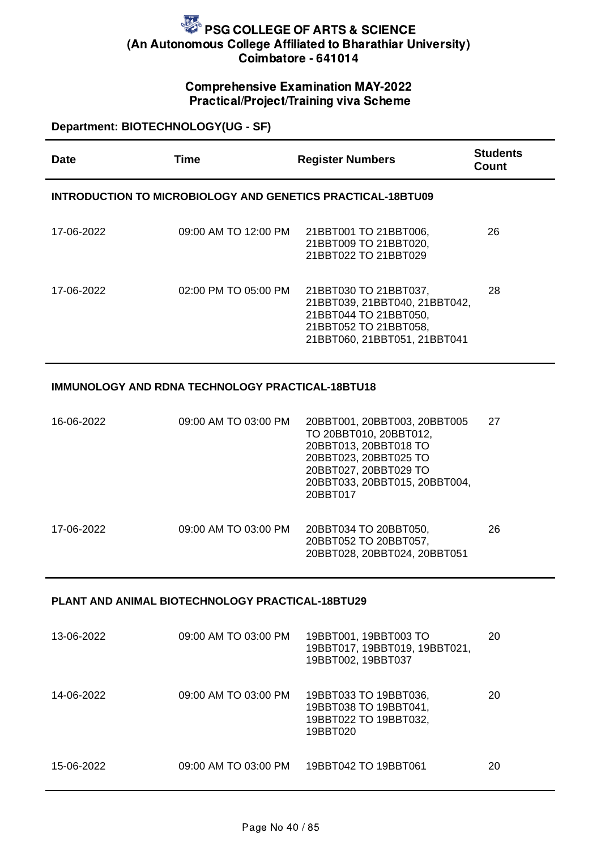### Comprehensive Examination MAY-2022 Practical/Project/Training viva Scheme

### **Department: BIOTECHNOLOGY(UG - SF)**

| Date       | Time                 | <b>Register Numbers</b>                                                                                                                  | <b>Students</b><br>Count |
|------------|----------------------|------------------------------------------------------------------------------------------------------------------------------------------|--------------------------|
|            |                      | INTRODUCTION TO MICROBIOLOGY AND GENETICS PRACTICAL-18BTU09                                                                              |                          |
| 17-06-2022 | 09:00 AM TO 12:00 PM | 21BBT001 TO 21BBT006,<br>21BBT009 TO 21BBT020,<br>21BBT022 TO 21BBT029                                                                   | 26                       |
| 17-06-2022 | 02:00 PM TO 05:00 PM | 21BBT030 TO 21BBT037,<br>21BBT039, 21BBT040, 21BBT042,<br>21BBT044 TO 21BBT050,<br>21BBT052 TO 21BBT058,<br>21BBT060, 21BBT051, 21BBT041 | 28                       |

### **IMMUNOLOGY AND RDNA TECHNOLOGY PRACTICAL-18BTU18**

| 16-06-2022 | 09:00 AM TO 03:00 PM | 20BBT001, 20BBT003, 20BBT005<br>TO 20BBT010, 20BBT012,<br>20BBT013, 20BBT018 TO<br>20BBT023, 20BBT025 TO<br>20BBT027, 20BBT029 TO<br>20BBT033, 20BBT015, 20BBT004,<br>20BBT017 | 27 |
|------------|----------------------|--------------------------------------------------------------------------------------------------------------------------------------------------------------------------------|----|
| 17-06-2022 | 09:00 AM TO 03:00 PM | 20BBT034 TO 20BBT050,<br>20BBT052 TO 20BBT057,<br>20BBT028, 20BBT024, 20BBT051                                                                                                 | 26 |

#### **PLANT AND ANIMAL BIOTECHNOLOGY PRACTICAL-18BTU29**

| 13-06-2022 | 09:00 AM TO 03:00 PM | 19BBT001, 19BBT003 TO<br>19BBT017, 19BBT019, 19BBT021,<br>19BBT002, 19BBT037        | 20 |
|------------|----------------------|-------------------------------------------------------------------------------------|----|
| 14-06-2022 | 09:00 AM TO 03:00 PM | 19BBT033 TO 19BBT036,<br>19BBT038 TO 19BBT041,<br>19BBT022 TO 19BBT032,<br>19BBT020 | 20 |
| 15-06-2022 | 09:00 AM TO 03:00 PM | 19BBT042 TO 19BBT061                                                                | 20 |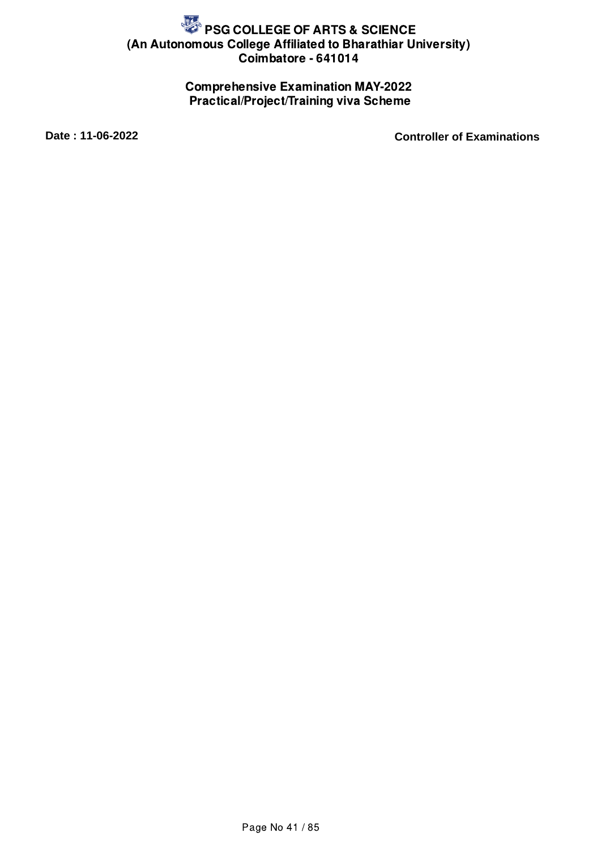## Comprehensive Examination MAY-2022 Practical/Project/Training viva Scheme

**Date : 11-06-2022 Controller of Examinations**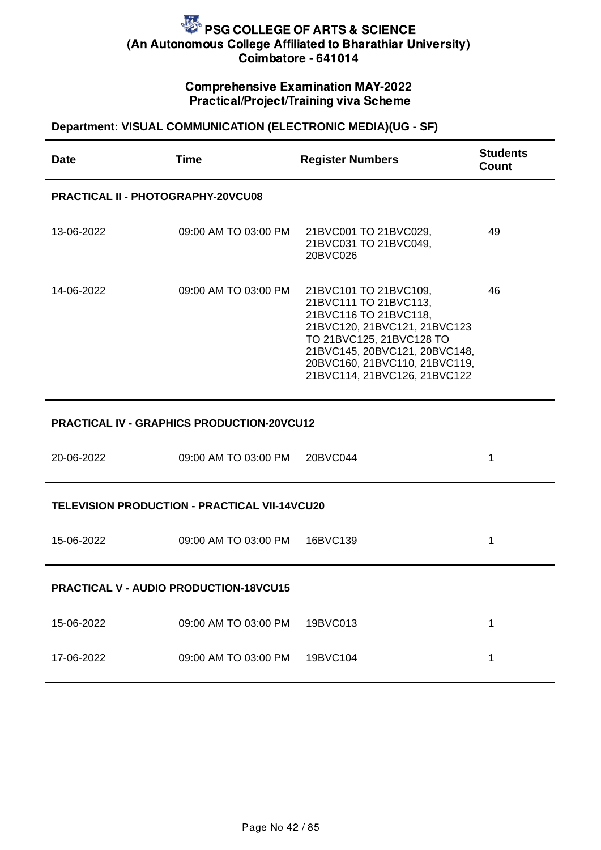## Comprehensive Examination MAY-2022 Practical/Project/Training viva Scheme

## **Department: VISUAL COMMUNICATION (ELECTRONIC MEDIA)(UG - SF)**

| Date                                          | <b>Time</b>                                          | <b>Register Numbers</b>                                                                                                                                                                                                               | <b>Students</b><br><b>Count</b> |  |
|-----------------------------------------------|------------------------------------------------------|---------------------------------------------------------------------------------------------------------------------------------------------------------------------------------------------------------------------------------------|---------------------------------|--|
| <b>PRACTICAL II - PHOTOGRAPHY-20VCU08</b>     |                                                      |                                                                                                                                                                                                                                       |                                 |  |
| 13-06-2022                                    | 09:00 AM TO 03:00 PM                                 | 21BVC001 TO 21BVC029,<br>21BVC031 TO 21BVC049,<br>20BVC026                                                                                                                                                                            | 49                              |  |
| 14-06-2022                                    | 09:00 AM TO 03:00 PM                                 | 21BVC101 TO 21BVC109,<br>21BVC111 TO 21BVC113,<br>21BVC116 TO 21BVC118,<br>21BVC120, 21BVC121, 21BVC123<br>TO 21BVC125, 21BVC128 TO<br>21BVC145, 20BVC121, 20BVC148,<br>20BVC160, 21BVC110, 21BVC119,<br>21BVC114, 21BVC126, 21BVC122 | 46                              |  |
|                                               | <b>PRACTICAL IV - GRAPHICS PRODUCTION-20VCU12</b>    |                                                                                                                                                                                                                                       |                                 |  |
| 20-06-2022                                    | 09:00 AM TO 03:00 PM                                 | 20BVC044                                                                                                                                                                                                                              | $\mathbf 1$                     |  |
|                                               | <b>TELEVISION PRODUCTION - PRACTICAL VII-14VCU20</b> |                                                                                                                                                                                                                                       |                                 |  |
| 15-06-2022                                    | 09:00 AM TO 03:00 PM                                 | 16BVC139                                                                                                                                                                                                                              | $\mathbf 1$                     |  |
| <b>PRACTICAL V - AUDIO PRODUCTION-18VCU15</b> |                                                      |                                                                                                                                                                                                                                       |                                 |  |
| 15-06-2022                                    | 09:00 AM TO 03:00 PM                                 | 19BVC013                                                                                                                                                                                                                              | $\mathbf{1}$                    |  |
| 17-06-2022                                    | 09:00 AM TO 03:00 PM                                 | 19BVC104                                                                                                                                                                                                                              | $\mathbf{1}$                    |  |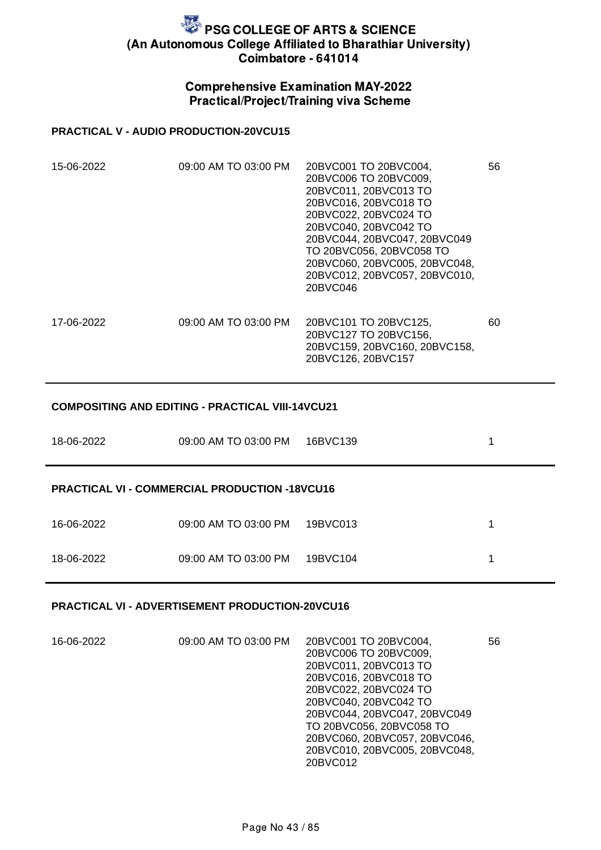### Comprehensive Examination MAY-2022 Practical/Project/Training viva Scheme

#### **PRACTICAL V - AUDIO PRODUCTION-20VCU15**

| 15-06-2022 | 09:00 AM TO 03:00 PM | 20BVC001 TO 20BVC004,<br>20BVC006 TO 20BVC009,<br>20BVC011, 20BVC013 TO<br>20BVC016, 20BVC018 TO<br>20BVC022, 20BVC024 TO<br>20BVC040, 20BVC042 TO<br>20BVC044, 20BVC047, 20BVC049<br>TO 20BVC056, 20BVC058 TO<br>20BVC060, 20BVC005, 20BVC048,<br>20BVC012, 20BVC057, 20BVC010,<br>20BVC046 | 56 |
|------------|----------------------|----------------------------------------------------------------------------------------------------------------------------------------------------------------------------------------------------------------------------------------------------------------------------------------------|----|
| 17-06-2022 | 09:00 AM TO 03:00 PM | 20BVC101 TO 20BVC125,<br>20BVC127 TO 20BVC156,<br>20BVC159, 20BVC160, 20BVC158,<br>20BVC126, 20BVC157                                                                                                                                                                                        | 60 |

#### **COMPOSITING AND EDITING - PRACTICAL VIII-14VCU21**

| 18-06-2022 | 09:00 AM TO 03:00 PM                                 | 16BVC139 | 1 |
|------------|------------------------------------------------------|----------|---|
|            | <b>PRACTICAL VI - COMMERCIAL PRODUCTION -18VCU16</b> |          |   |
| 16-06-2022 | 09:00 AM TO 03:00 PM                                 | 19BVC013 |   |
| 18-06-2022 | 09:00 AM TO 03:00 PM                                 | 19BVC104 |   |

#### **PRACTICAL VI - ADVERTISEMENT PRODUCTION-20VCU16**

| 16-06-2022 | 09:00 AM TO 03:00 PM | 20BVC001 TO 20BVC004,         | 56 |
|------------|----------------------|-------------------------------|----|
|            |                      | 20BVC006 TO 20BVC009,         |    |
|            |                      | 20BVC011, 20BVC013 TO         |    |
|            |                      | 20BVC016, 20BVC018 TO         |    |
|            |                      | 20BVC022, 20BVC024 TO         |    |
|            |                      | 20BVC040, 20BVC042 TO         |    |
|            |                      | 20BVC044, 20BVC047, 20BVC049  |    |
|            |                      | TO 20BVC056, 20BVC058 TO      |    |
|            |                      | 20BVC060, 20BVC057, 20BVC046, |    |
|            |                      | 20BVC010, 20BVC005, 20BVC048, |    |
|            |                      | 20BVC012                      |    |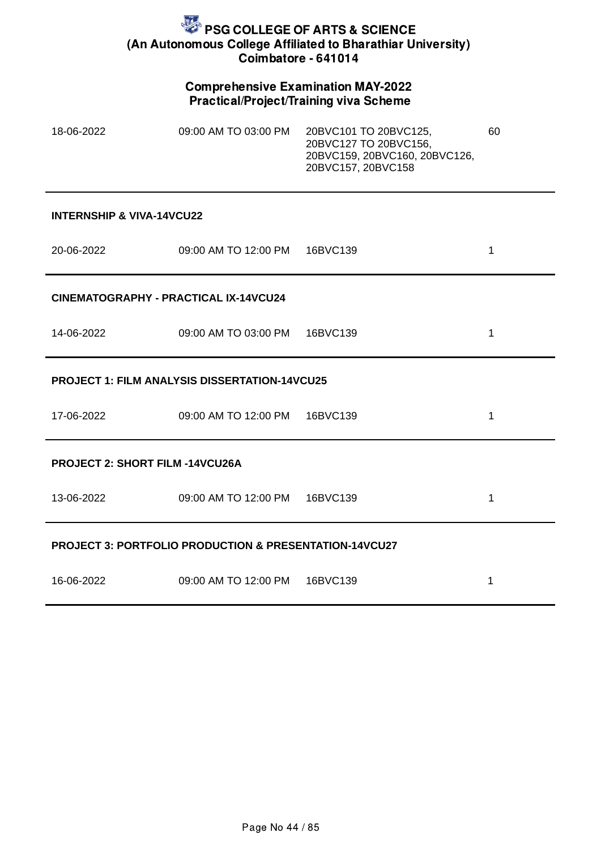### Comprehensive Examination MAY-2022 Practical/Project/Training viva Scheme

| 18-06-2022                           | 09:00 AM TO 03:00 PM | 20BVC101 TO 20BVC125,<br>20BVC127 TO 20BVC156,<br>20BVC159, 20BVC160, 20BVC126,<br>20BVC157, 20BVC158 | 60 |  |  |
|--------------------------------------|----------------------|-------------------------------------------------------------------------------------------------------|----|--|--|
| <b>INTERNSHIP &amp; VIVA-14VCU22</b> |                      |                                                                                                       |    |  |  |
| 20-06-2022                           | 09:00 AM TO 12:00 PM | 16BVC139                                                                                              |    |  |  |

**CINEMATOGRAPHY - PRACTICAL IX-14VCU24**

14-06-2022 09:00 AM TO 03:00 PM 16BVC139 1

### **PROJECT 1: FILM ANALYSIS DISSERTATION-14VCU25**

| 17-06-2022                                                        | 09:00 AM TO 12:00 PM | 16BVC139 | 1 |  |  |
|-------------------------------------------------------------------|----------------------|----------|---|--|--|
| <b>PROJECT 2: SHORT FILM -14VCU26A</b>                            |                      |          |   |  |  |
| 13-06-2022                                                        | 09:00 AM TO 12:00 PM | 16BVC139 | 1 |  |  |
| <b>PROJECT 3: PORTFOLIO PRODUCTION &amp; PRESENTATION-14VCU27</b> |                      |          |   |  |  |
| 16-06-2022                                                        | 09:00 AM TO 12:00 PM | 16BVC139 |   |  |  |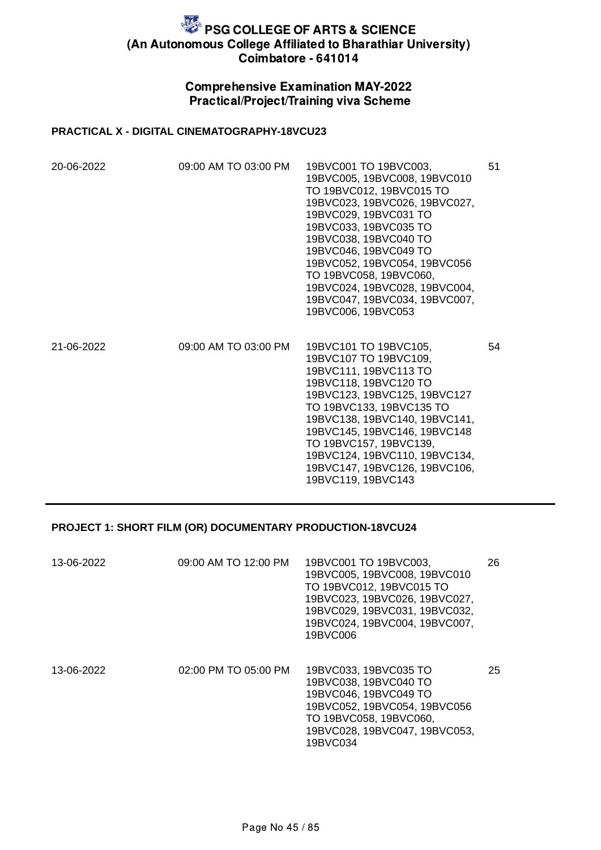## Comprehensive Examination MAY-2022 Practical/Project/Training viva Scheme

### **PRACTICAL X - DIGITAL CINEMATOGRAPHY-18VCU23**

| 20-06-2022 | 09:00 AM TO 03:00 PM | 19BVC001 TO 19BVC003,<br>19BVC005, 19BVC008, 19BVC010<br>TO 19BVC012, 19BVC015 TO<br>19BVC023, 19BVC026, 19BVC027,<br>19BVC029, 19BVC031 TO<br>19BVC033, 19BVC035 TO<br>19BVC038, 19BVC040 TO<br>19BVC046, 19BVC049 TO<br>19BVC052, 19BVC054, 19BVC056<br>TO 19BVC058, 19BVC060,<br>19BVC024, 19BVC028, 19BVC004,<br>19BVC047, 19BVC034, 19BVC007,<br>19BVC006, 19BVC053 | 51 |
|------------|----------------------|--------------------------------------------------------------------------------------------------------------------------------------------------------------------------------------------------------------------------------------------------------------------------------------------------------------------------------------------------------------------------|----|
| 21-06-2022 | 09:00 AM TO 03:00 PM | 19BVC101 TO 19BVC105,<br>19BVC107 TO 19BVC109,<br>19BVC111, 19BVC113 TO<br>19BVC118, 19BVC120 TO<br>19BVC123, 19BVC125, 19BVC127<br>TO 19BVC133, 19BVC135 TO<br>19BVC138, 19BVC140, 19BVC141,<br>19BVC145, 19BVC146, 19BVC148<br>TO 19BVC157, 19BVC139,<br>19BVC124, 19BVC110, 19BVC134,<br>19BVC147, 19BVC126, 19BVC106,<br>19BVC119, 19BVC143                          | 54 |

#### **PROJECT 1: SHORT FILM (OR) DOCUMENTARY PRODUCTION-18VCU24**

| 13-06-2022 | 09:00 AM TO 12:00 PM | 19BVC001 TO 19BVC003,<br>19BVC005, 19BVC008, 19BVC010<br>TO 19BVC012, 19BVC015 TO<br>19BVC023, 19BVC026, 19BVC027,<br>19BVC029, 19BVC031, 19BVC032,<br>19BVC024, 19BVC004, 19BVC007,<br>19BVC006 | 26 |
|------------|----------------------|--------------------------------------------------------------------------------------------------------------------------------------------------------------------------------------------------|----|
| 13-06-2022 | 02:00 PM TO 05:00 PM | 19BVC033, 19BVC035 TO<br>19BVC038, 19BVC040 TO<br>19BVC046, 19BVC049 TO<br>19BVC052, 19BVC054, 19BVC056<br>TO 19BVC058, 19BVC060,<br>19BVC028, 19BVC047, 19BVC053,<br>19BVC034                   | 25 |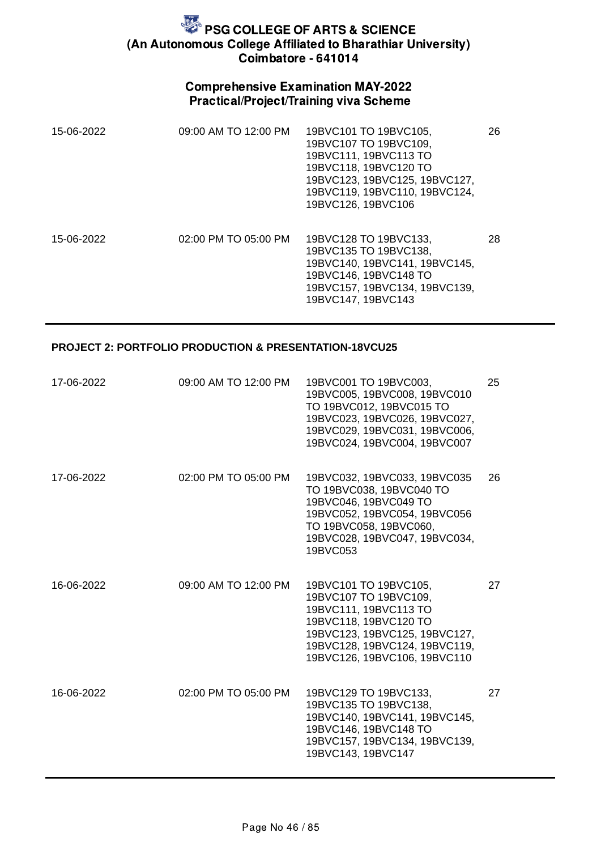## Comprehensive Examination MAY-2022 Practical/Project/Training viva Scheme

| 15-06-2022 | 09:00 AM TO 12:00 PM     | 19BVC101 TO 19BVC105,<br>19BVC107 TO 19BVC109.<br>19BVC111, 19BVC113 TO<br>19BVC118, 19BVC120 TO<br>19BVC123, 19BVC125, 19BVC127,<br>19BVC119, 19BVC110, 19BVC124,<br>19BVC126, 19BVC106 | 26 |
|------------|--------------------------|------------------------------------------------------------------------------------------------------------------------------------------------------------------------------------------|----|
| 15-06-2022 | $02:00$ PM TO $05:00$ PM | 19BVC128 TO 19BVC133,<br>19BVC135 TO 19BVC138,<br>19BVC140, 19BVC141, 19BVC145.<br>19BVC146, 19BVC148 TO<br>19BVC157, 19BVC134, 19BVC139,<br>19BVC147, 19BVC143                          | 28 |

### **PROJECT 2: PORTFOLIO PRODUCTION & PRESENTATION-18VCU25**

| 17-06-2022 | 09:00 AM TO 12:00 PM | 19BVC001 TO 19BVC003,<br>19BVC005, 19BVC008, 19BVC010<br>TO 19BVC012, 19BVC015 TO<br>19BVC023, 19BVC026, 19BVC027,<br>19BVC029, 19BVC031, 19BVC006,<br>19BVC024, 19BVC004, 19BVC007                | 25 |
|------------|----------------------|----------------------------------------------------------------------------------------------------------------------------------------------------------------------------------------------------|----|
| 17-06-2022 | 02:00 PM TO 05:00 PM | 19BVC032, 19BVC033, 19BVC035<br>TO 19BVC038, 19BVC040 TO<br>19BVC046, 19BVC049 TO<br>19BVC052, 19BVC054, 19BVC056<br>TO 19BVC058, 19BVC060,<br>19BVC028, 19BVC047, 19BVC034,<br>19BVC053           | 26 |
| 16-06-2022 | 09:00 AM TO 12:00 PM | 19BVC101 TO 19BVC105,<br>19BVC107 TO 19BVC109,<br>19BVC111, 19BVC113 TO<br>19BVC118, 19BVC120 TO<br>19BVC123, 19BVC125, 19BVC127,<br>19BVC128, 19BVC124, 19BVC119,<br>19BVC126, 19BVC106, 19BVC110 | 27 |
| 16-06-2022 | 02:00 PM TO 05:00 PM | 19BVC129 TO 19BVC133,<br>19BVC135 TO 19BVC138,<br>19BVC140, 19BVC141, 19BVC145,<br>19BVC146, 19BVC148 TO<br>19BVC157, 19BVC134, 19BVC139,<br>19BVC143, 19BVC147                                    | 27 |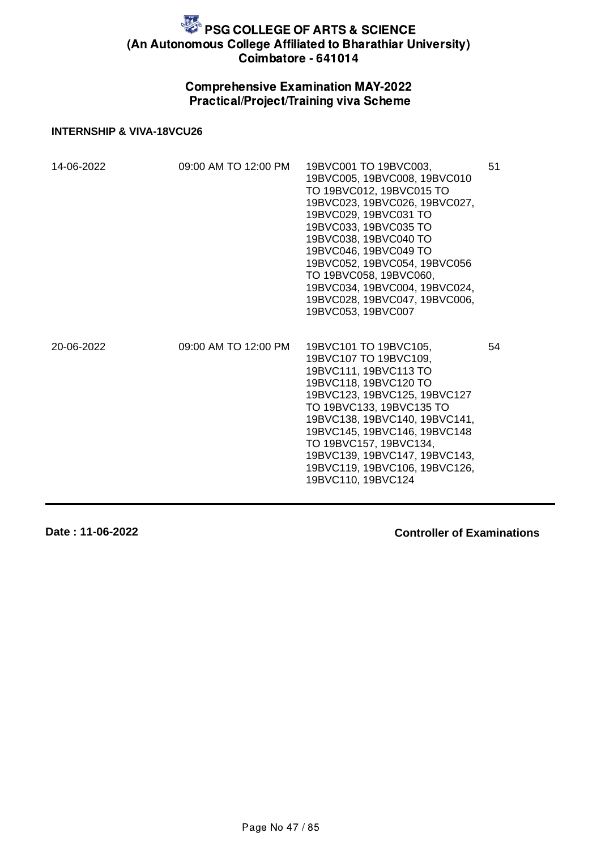## Comprehensive Examination MAY-2022 Practical/Project/Training viva Scheme

#### **INTERNSHIP & VIVA-18VCU26**

| 14-06-2022 | 09:00 AM TO 12:00 PM | 19BVC001 TO 19BVC003,<br>19BVC005, 19BVC008, 19BVC010<br>TO 19BVC012, 19BVC015 TO<br>19BVC023, 19BVC026, 19BVC027,<br>19BVC029, 19BVC031 TO<br>19BVC033, 19BVC035 TO<br>19BVC038, 19BVC040 TO<br>19BVC046, 19BVC049 TO<br>19BVC052, 19BVC054, 19BVC056<br>TO 19BVC058, 19BVC060,<br>19BVC034, 19BVC004, 19BVC024,<br>19BVC028, 19BVC047, 19BVC006,<br>19BVC053, 19BVC007 | 51 |
|------------|----------------------|--------------------------------------------------------------------------------------------------------------------------------------------------------------------------------------------------------------------------------------------------------------------------------------------------------------------------------------------------------------------------|----|
| 20-06-2022 | 09:00 AM TO 12:00 PM | 19BVC101 TO 19BVC105,<br>19BVC107 TO 19BVC109,<br>19BVC111, 19BVC113 TO<br>19BVC118, 19BVC120 TO<br>19BVC123, 19BVC125, 19BVC127<br>TO 19BVC133, 19BVC135 TO<br>19BVC138, 19BVC140, 19BVC141,<br>19BVC145, 19BVC146, 19BVC148<br>TO 19BVC157, 19BVC134,<br>19BVC139, 19BVC147, 19BVC143,<br>19BVC119, 19BVC106, 19BVC126,<br>19BVC110, 19BVC124                          | 54 |

**Date : 11-06-2022**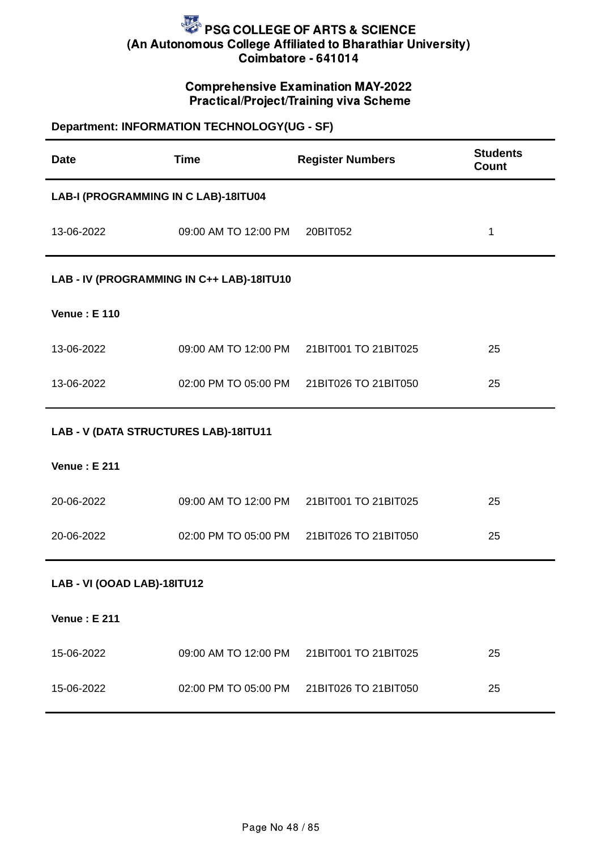### Comprehensive Examination MAY-2022 Practical/Project/Training viva Scheme

## **Department: INFORMATION TECHNOLOGY(UG - SF)**

| <b>Date</b>                           | <b>Time</b>                               | <b>Register Numbers</b>                   | <b>Students</b><br>Count |  |  |
|---------------------------------------|-------------------------------------------|-------------------------------------------|--------------------------|--|--|
|                                       | LAB-I (PROGRAMMING IN C LAB)-18ITU04      |                                           |                          |  |  |
| 13-06-2022                            | 09:00 AM TO 12:00 PM                      | 20BIT052                                  | $\mathbf 1$              |  |  |
|                                       | LAB - IV (PROGRAMMING IN C++ LAB)-18ITU10 |                                           |                          |  |  |
| <b>Venue: E 110</b>                   |                                           |                                           |                          |  |  |
| 13-06-2022                            |                                           | 09:00 AM TO 12:00 PM 21BIT001 TO 21BIT025 | 25                       |  |  |
| 13-06-2022                            |                                           | 02:00 PM TO 05:00 PM 21BIT026 TO 21BIT050 | 25                       |  |  |
| LAB - V (DATA STRUCTURES LAB)-18ITU11 |                                           |                                           |                          |  |  |
| <b>Venue: E 211</b>                   |                                           |                                           |                          |  |  |
| 20-06-2022                            | 09:00 AM TO 12:00 PM                      | 21BIT001 TO 21BIT025                      | 25                       |  |  |
| 20-06-2022                            |                                           | 02:00 PM TO 05:00 PM 21BIT026 TO 21BIT050 | 25                       |  |  |
| LAB - VI (OOAD LAB)-18ITU12           |                                           |                                           |                          |  |  |
| <b>Venue: E 211</b>                   |                                           |                                           |                          |  |  |
| 15-06-2022                            | 09:00 AM TO 12:00 PM                      | 21BIT001 TO 21BIT025                      | 25                       |  |  |
| 15-06-2022                            | 02:00 PM TO 05:00 PM                      | 21BIT026 TO 21BIT050                      | 25                       |  |  |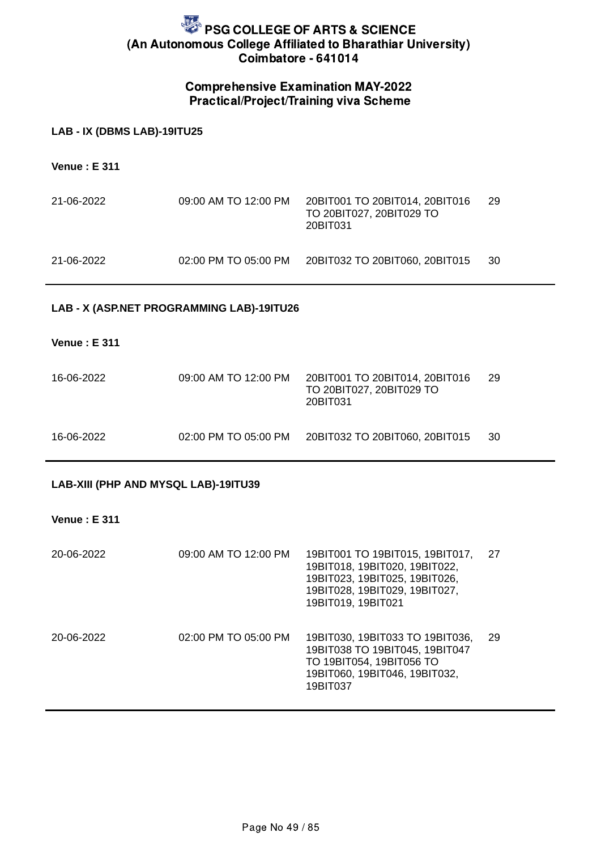### Comprehensive Examination MAY-2022 Practical/Project/Training viva Scheme

#### **LAB - IX (DBMS LAB)-19ITU25**

**Venue : E 311**

| 21-06-2022 | 09:00 AM TO 12:00 PM | 20BIT001 TO 20BIT014, 20BIT016<br>TO 20BIT027, 20BIT029 TO<br>20BIT031 | -29 |
|------------|----------------------|------------------------------------------------------------------------|-----|
| 21-06-2022 | 02:00 PM TO 05:00 PM | 20BIT032 TO 20BIT060, 20BIT015                                         | -30 |

### **LAB - X (ASP.NET PROGRAMMING LAB)-19ITU26**

#### **Venue : E 311**

| 16-06-2022 | 09:00 AM TO 12:00 PM | 20BIT001 TO 20BIT014, 20BIT016<br>TO 20BIT027, 20BIT029 TO<br>20BIT031 | -29 |
|------------|----------------------|------------------------------------------------------------------------|-----|
| 16-06-2022 | 02:00 PM TO 05:00 PM | 20BIT032 TO 20BIT060, 20BIT015                                         | -30 |

### **LAB-XIII (PHP AND MYSQL LAB)-19ITU39**

### **Venue : E 311**

| 20-06-2022 | 09:00 AM TO 12:00 PM | 19BIT001 TO 19BIT015, 19BIT017,<br>19BIT018, 19BIT020, 19BIT022,<br>19BIT023, 19BIT025, 19BIT026,<br>19BIT028, 19BIT029, 19BIT027,<br>19BIT019, 19BIT021 | 27 |
|------------|----------------------|----------------------------------------------------------------------------------------------------------------------------------------------------------|----|
| 20-06-2022 | 02:00 PM TO 05:00 PM | 19BIT030, 19BIT033 TO 19BIT036,<br>19BIT038 TO 19BIT045, 19BIT047<br>TO 19BIT054, 19BIT056 TO<br>19BIT060, 19BIT046, 19BIT032,<br>19BIT037               | 29 |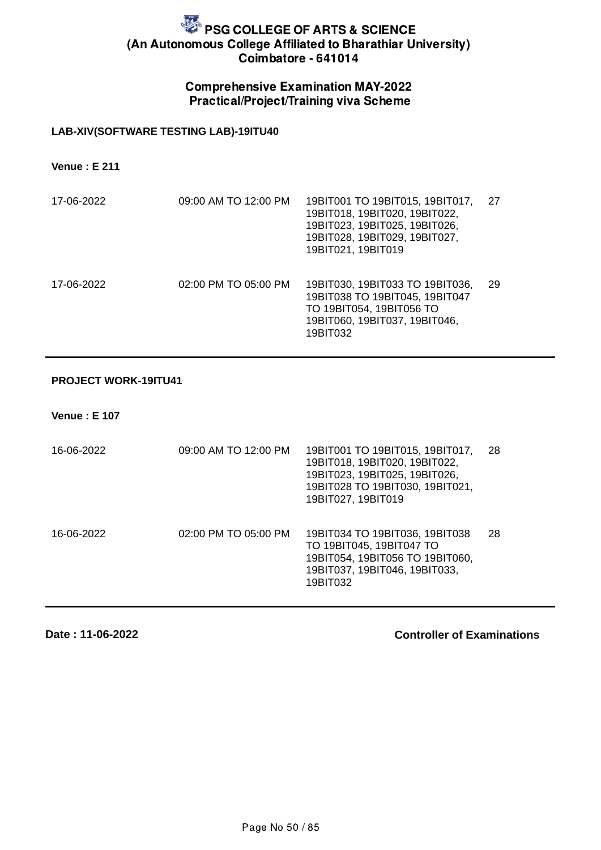### Comprehensive Examination MAY-2022 Practical/Project/Training viva Scheme

### **LAB-XIV(SOFTWARE TESTING LAB)-19ITU40**

**Venue : E 211**

| 17-06-2022 | 09:00 AM TO 12:00 PM | 19BIT001 TO 19BIT015, 19BIT017,<br>19BIT018, 19BIT020, 19BIT022,<br>19BIT023, 19BIT025, 19BIT026,<br>19BIT028, 19BIT029, 19BIT027,<br>19BIT021, 19BIT019 | 27  |
|------------|----------------------|----------------------------------------------------------------------------------------------------------------------------------------------------------|-----|
| 17-06-2022 | 02:00 PM TO 05:00 PM | 19BIT030, 19BIT033 TO 19BIT036,<br>19BIT038 TO 19BIT045, 19BIT047<br>TO 19BIT054, 19BIT056 TO<br>19BIT060, 19BIT037, 19BIT046,<br>19BIT032               | -29 |

#### **PROJECT WORK-19ITU41**

**Venue : E 107**

| 16-06-2022 | 09:00 AM TO 12:00 PM | 19BIT001 TO 19BIT015, 19BIT017,<br>19BIT018, 19BIT020, 19BIT022,<br>19BIT023, 19BIT025, 19BIT026,<br>19BIT028 TO 19BIT030, 19BIT021,<br>19BIT027, 19BIT019 | 28 |
|------------|----------------------|------------------------------------------------------------------------------------------------------------------------------------------------------------|----|
| 16-06-2022 | 02:00 PM TO 05:00 PM | 19BIT034 TO 19BIT036, 19BIT038<br>TO 19BIT045, 19BIT047 TO<br>19BIT054, 19BIT056 TO 19BIT060,<br>19BIT037, 19BIT046, 19BIT033,<br>19BIT032                 | 28 |

**Date : 11-06-2022**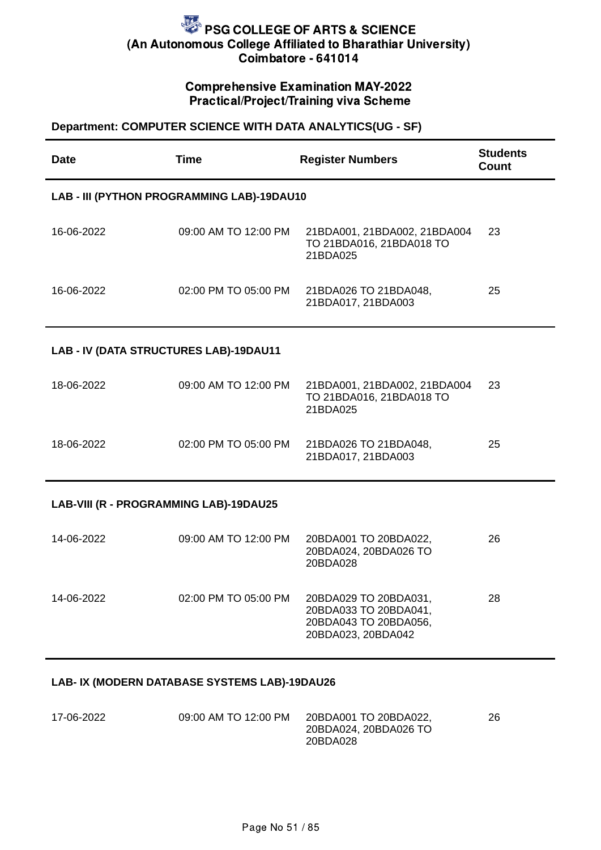## Comprehensive Examination MAY-2022 Practical/Project/Training viva Scheme

### **Department: COMPUTER SCIENCE WITH DATA ANALYTICS(UG - SF)**

| <b>Date</b>                            | <b>Time</b>                                | <b>Register Numbers</b>                                                                       | <b>Students</b><br><b>Count</b> |
|----------------------------------------|--------------------------------------------|-----------------------------------------------------------------------------------------------|---------------------------------|
|                                        | LAB - III (PYTHON PROGRAMMING LAB)-19DAU10 |                                                                                               |                                 |
| 16-06-2022                             | 09:00 AM TO 12:00 PM                       | 21BDA001, 21BDA002, 21BDA004<br>TO 21BDA016, 21BDA018 TO<br>21BDA025                          | 23                              |
| 16-06-2022                             | 02:00 PM TO 05:00 PM                       | 21BDA026 TO 21BDA048,<br>21BDA017, 21BDA003                                                   | 25                              |
| LAB - IV (DATA STRUCTURES LAB)-19DAU11 |                                            |                                                                                               |                                 |
| 18-06-2022                             | 09:00 AM TO 12:00 PM                       | 21BDA001, 21BDA002, 21BDA004<br>TO 21BDA016, 21BDA018 TO<br>21BDA025                          | 23                              |
| 18-06-2022                             | 02:00 PM TO 05:00 PM                       | 21BDA026 TO 21BDA048,<br>21BDA017, 21BDA003                                                   | 25                              |
| LAB-VIII (R - PROGRAMMING LAB)-19DAU25 |                                            |                                                                                               |                                 |
| 14-06-2022                             | 09:00 AM TO 12:00 PM                       | 20BDA001 TO 20BDA022,<br>20BDA024, 20BDA026 TO<br>20BDA028                                    | 26                              |
| 14-06-2022                             | 02:00 PM TO 05:00 PM                       | 20BDA029 TO 20BDA031,<br>20BDA033 TO 20BDA041,<br>20BDA043 TO 20BDA056,<br>20BDA023, 20BDA042 | 28                              |

### **LAB- IX (MODERN DATABASE SYSTEMS LAB)-19DAU26**

| 17-06-2022 | 09:00 AM TO 12:00 PM | 20BDA001 TO 20BDA022, | 26 |
|------------|----------------------|-----------------------|----|
|            |                      | 20BDA024, 20BDA026 TO |    |
|            |                      | 20BDA028              |    |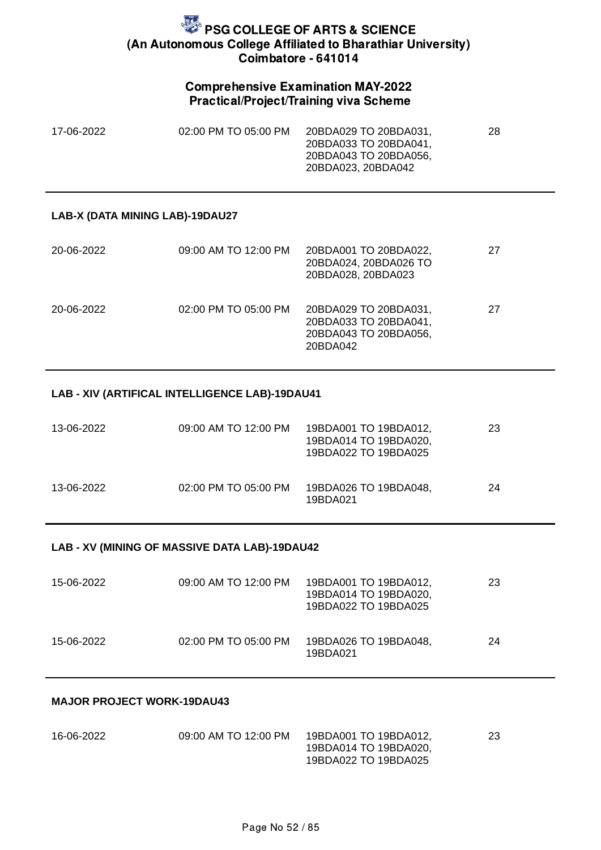### Comprehensive Examination MAY-2022 Practical/Project/Training viva Scheme

| 17-06-2022 | 02:00 PM TO 05:00 PM | 20BDA029 TO 20BDA031, | 28 |
|------------|----------------------|-----------------------|----|
|            |                      | 20BDA033 TO 20BDA041. |    |
|            |                      | 20BDA043 TO 20BDA056, |    |
|            |                      | 20BDA023, 20BDA042    |    |

#### **LAB-X (DATA MINING LAB)-19DAU27**

| 20-06-2022 | 09:00 AM TO 12:00 PM | 20BDA001 TO 20BDA022,<br>20BDA024, 20BDA026 TO<br>20BDA028, 20BDA023                | 27 |
|------------|----------------------|-------------------------------------------------------------------------------------|----|
| 20-06-2022 | 02:00 PM TO 05:00 PM | 20BDA029 TO 20BDA031,<br>20BDA033 TO 20BDA041,<br>20BDA043 TO 20BDA056.<br>20BDA042 | 27 |

### **LAB - XIV (ARTIFICAL INTELLIGENCE LAB)-19DAU41**

| 13-06-2022 | 09:00 AM TO 12:00 PM | 19BDA001 TO 19BDA012,<br>19BDA014 TO 19BDA020,<br>19BDA022 TO 19BDA025 | 23 |
|------------|----------------------|------------------------------------------------------------------------|----|
| 13-06-2022 | 02:00 PM TO 05:00 PM | 19BDA026 TO 19BDA048.<br>19BDA021                                      | 24 |

### **LAB - XV (MINING OF MASSIVE DATA LAB)-19DAU42**

| 15-06-2022 | 09:00 AM TO 12:00 PM | 19BDA001 TO 19BDA012,<br>19BDA014 TO 19BDA020,<br>19BDA022 TO 19BDA025 | 23 |
|------------|----------------------|------------------------------------------------------------------------|----|
| 15-06-2022 | 02:00 PM TO 05:00 PM | 19BDA026 TO 19BDA048,<br>19BDA021                                      | 24 |

#### **MAJOR PROJECT WORK-19DAU43**

| 16-06-2022 | 09:00 AM TO 12:00 PM | 19BDA001 TO 19BDA012. | 23 |
|------------|----------------------|-----------------------|----|
|            |                      | 19BDA014 TO 19BDA020, |    |
|            |                      | 19BDA022 TO 19BDA025  |    |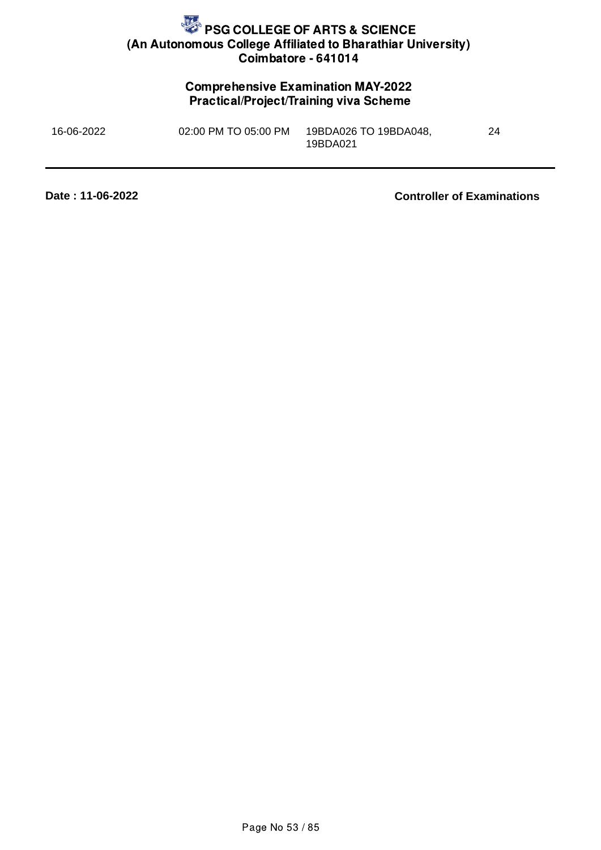## Comprehensive Examination MAY-2022 Practical/Project/Training viva Scheme

| 16-06-2022 | 02:00 PM TO 05:00 PM | 19BDA026 TO 19BDA048, | 24 |
|------------|----------------------|-----------------------|----|
|            |                      | 19BDA021              |    |

**Date : 11-06-2022**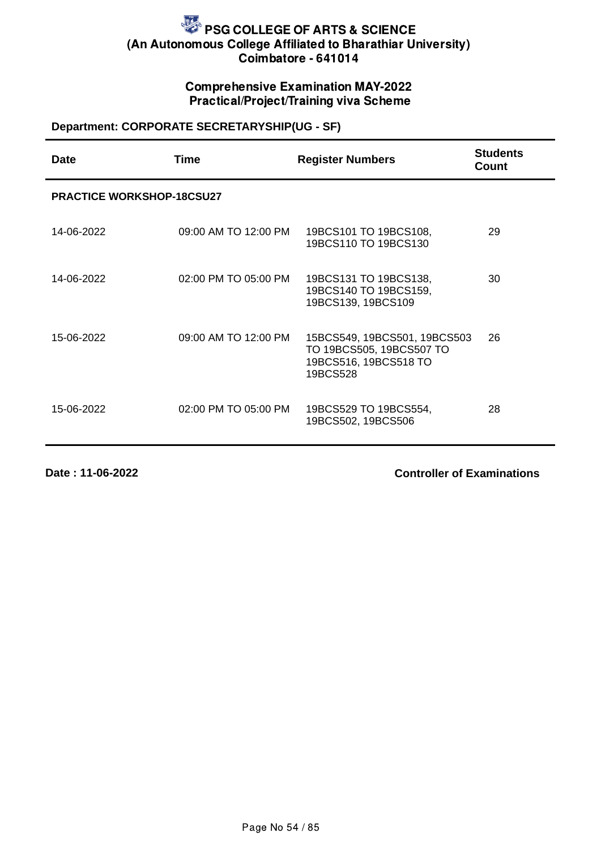## Comprehensive Examination MAY-2022 Practical/Project/Training viva Scheme

## **Department: CORPORATE SECRETARYSHIP(UG - SF)**

| <b>Date</b>                      | <b>Time</b>          | <b>Register Numbers</b>                                                                       | <b>Students</b><br>Count |
|----------------------------------|----------------------|-----------------------------------------------------------------------------------------------|--------------------------|
| <b>PRACTICE WORKSHOP-18CSU27</b> |                      |                                                                                               |                          |
| 14-06-2022                       | 09:00 AM TO 12:00 PM | 19BCS101 TO 19BCS108,<br>19BCS110 TO 19BCS130                                                 | 29                       |
| 14-06-2022                       | 02:00 PM TO 05:00 PM | 19BCS131 TO 19BCS138,<br>19BCS140 TO 19BCS159,<br>19BCS139, 19BCS109                          | 30                       |
| 15-06-2022                       | 09:00 AM TO 12:00 PM | 15BCS549, 19BCS501, 19BCS503<br>TO 19BCS505, 19BCS507 TO<br>19BCS516, 19BCS518 TO<br>19BCS528 | 26                       |
| 15-06-2022                       | 02:00 PM TO 05:00 PM | 19BCS529 TO 19BCS554,<br>19BCS502, 19BCS506                                                   | 28                       |

**Date : 11-06-2022**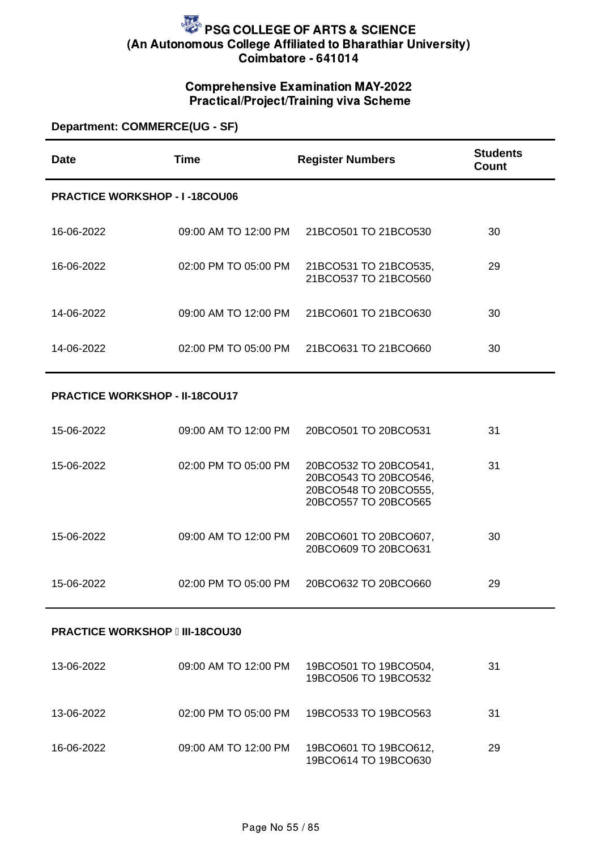## Comprehensive Examination MAY-2022 Practical/Project/Training viva Scheme

### **Department: COMMERCE(UG - SF)**

| Date                                 | <b>Time</b>              | <b>Register Numbers</b>                       | <b>Students</b><br>Count |
|--------------------------------------|--------------------------|-----------------------------------------------|--------------------------|
| <b>PRACTICE WORKSHOP - I-18COU06</b> |                          |                                               |                          |
| 16-06-2022                           | 09:00 AM TO 12:00 PM     | 21BCO501 TO 21BCO530                          | 30                       |
| 16-06-2022                           | $02:00$ PM TO $05:00$ PM | 21BCO531 TO 21BCO535,<br>21BCO537 TO 21BCO560 | 29                       |
| 14-06-2022                           | 09:00 AM TO 12:00 PM     | 21BCO601 TO 21BCO630                          | 30                       |
| 14-06-2022                           | 02:00 PM TO 05:00 PM     | 21BCO631 TO 21BCO660                          | 30                       |

#### **PRACTICE WORKSHOP - II-18COU17**

| 15-06-2022 | 09:00 AM TO 12:00 PM | 20BCO501 TO 20BCO531                                                                            | 31 |
|------------|----------------------|-------------------------------------------------------------------------------------------------|----|
| 15-06-2022 | 02:00 PM TO 05:00 PM | 20BCO532 TO 20BCO541,<br>20BCO543 TO 20BCO546,<br>20BCO548 TO 20BCO555,<br>20BCO557 TO 20BCO565 | 31 |
| 15-06-2022 | 09:00 AM TO 12:00 PM | 20BCO601 TO 20BCO607,<br>20BCO609 TO 20BCO631                                                   | 30 |
| 15-06-2022 | 02:00 PM TO 05:00 PM | 20BCO632 TO 20BCO660                                                                            | 29 |

#### **PRACTICE WORKSHOP III-18COU30**

| 13-06-2022 | 09:00 AM TO 12:00 PM | 19BCO501 TO 19BCO504,<br>19BCO506 TO 19BCO532 | 31 |
|------------|----------------------|-----------------------------------------------|----|
| 13-06-2022 | 02:00 PM TO 05:00 PM | 19BCO533 TO 19BCO563                          | 31 |
| 16-06-2022 | 09:00 AM TO 12:00 PM | 19BCO601 TO 19BCO612,<br>19BCO614 TO 19BCO630 | 29 |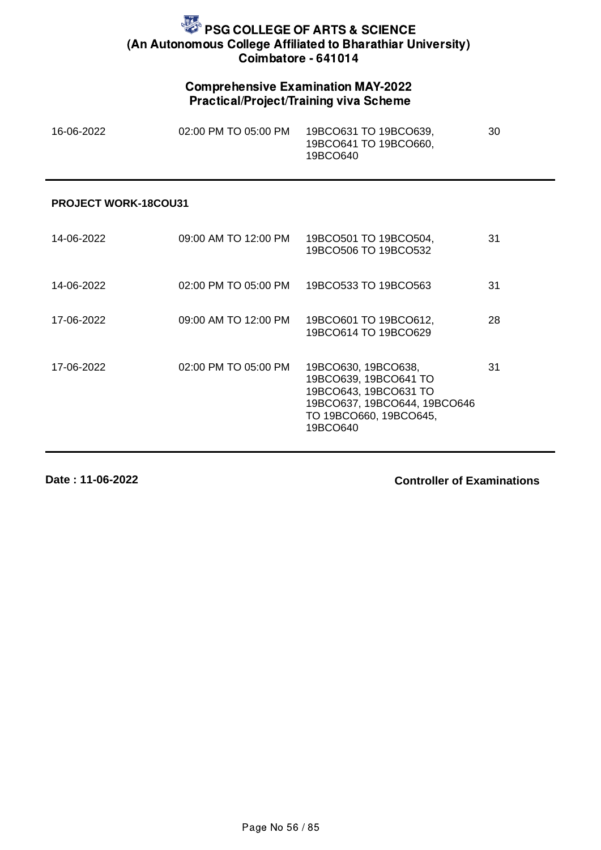## Comprehensive Examination MAY-2022 Practical/Project/Training viva Scheme

| 16-06-2022 | 02:00 PM TO 05:00 PM | 19BCO631 TO 19BCO639, | 30 |
|------------|----------------------|-----------------------|----|
|            |                      | 19BCO641 TO 19BCO660, |    |
|            |                      | 19BCO640              |    |

#### **PROJECT WORK-18COU31**

| 14-06-2022 | 09:00 AM TO 12:00 PM | 19BCO501 TO 19BCO504,<br>19BCO506 TO 19BCO532                                                                                               | 31 |
|------------|----------------------|---------------------------------------------------------------------------------------------------------------------------------------------|----|
| 14-06-2022 | 02:00 PM TO 05:00 PM | 19BCO533 TO 19BCO563                                                                                                                        | 31 |
| 17-06-2022 | 09:00 AM TO 12:00 PM | 19BCO601 TO 19BCO612,<br>19BCO614 TO 19BCO629                                                                                               | 28 |
| 17-06-2022 | 02:00 PM TO 05:00 PM | 19BCO630, 19BCO638,<br>19BCO639, 19BCO641 TO<br>19BCO643, 19BCO631 TO<br>19BCO637, 19BCO644, 19BCO646<br>TO 19BCO660, 19BCO645,<br>19BCO640 | 31 |

**Date : 11-06-2022**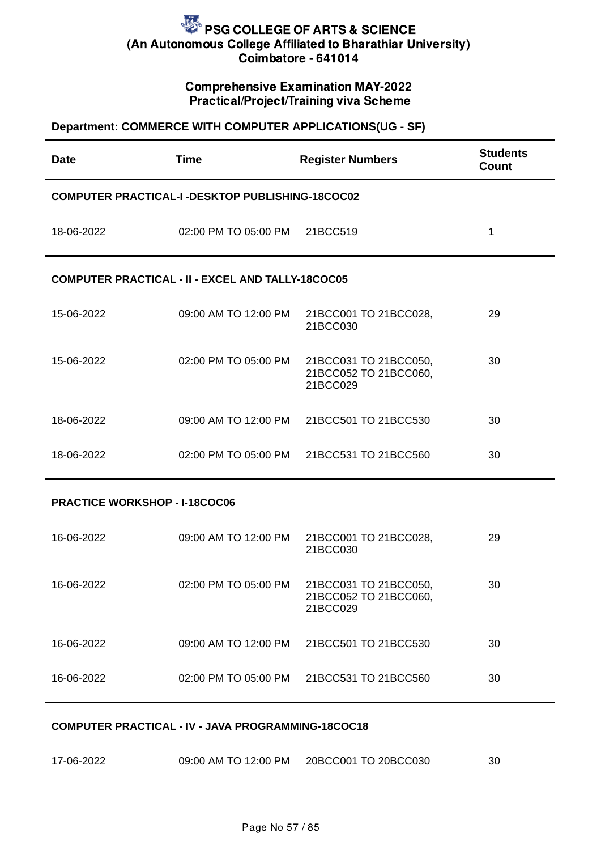### Comprehensive Examination MAY-2022 Practical/Project/Training viva Scheme

#### **Department: COMMERCE WITH COMPUTER APPLICATIONS(UG - SF)**

| <b>Date</b>                                             | <b>Time</b>                                              | <b>Register Numbers</b>                                    | <b>Students</b><br>Count |  |
|---------------------------------------------------------|----------------------------------------------------------|------------------------------------------------------------|--------------------------|--|
| <b>COMPUTER PRACTICAL-I -DESKTOP PUBLISHING-18COC02</b> |                                                          |                                                            |                          |  |
| 18-06-2022                                              | 02:00 PM TO 05:00 PM                                     | 21BCC519                                                   | $\mathbf{1}$             |  |
|                                                         | <b>COMPUTER PRACTICAL - II - EXCEL AND TALLY-18COC05</b> |                                                            |                          |  |
| 15-06-2022                                              | 09:00 AM TO 12:00 PM                                     | 21BCC001 TO 21BCC028,<br>21BCC030                          | 29                       |  |
| 15-06-2022                                              | 02:00 PM TO 05:00 PM                                     | 21BCC031 TO 21BCC050,<br>21BCC052 TO 21BCC060,<br>21BCC029 | 30                       |  |
| 18-06-2022                                              | 09:00 AM TO 12:00 PM                                     | 21BCC501 TO 21BCC530                                       | 30                       |  |
| 18-06-2022                                              | 02:00 PM TO 05:00 PM                                     | 21BCC531 TO 21BCC560                                       | 30                       |  |
| <b>PRACTICE WORKSHOP - I-18COC06</b>                    |                                                          |                                                            |                          |  |
| 16-06-2022                                              | 09:00 AM TO 12:00 PM                                     | 21BCC001 TO 21BCC028,<br>21BCC030                          | 29                       |  |
| 16-06-2022                                              | 02:00 PM TO 05:00 PM                                     | 21BCC031 TO 21BCC050,<br>21BCC052 TO 21BCC060,<br>21BCC029 | 30                       |  |
| 16-06-2022                                              | 09:00 AM TO 12:00 PM                                     | 21BCC501 TO 21BCC530                                       | 30                       |  |

#### **COMPUTER PRACTICAL - IV - JAVA PROGRAMMING-18COC18**

| 17-06-2022 | 09:00 AM TO 12:00 PM | 20BCC001 TO 20BCC030 | 30 |
|------------|----------------------|----------------------|----|
|------------|----------------------|----------------------|----|

16-06-2022 02:00 PM TO 05:00 PM 21BCC531 TO 21BCC560 30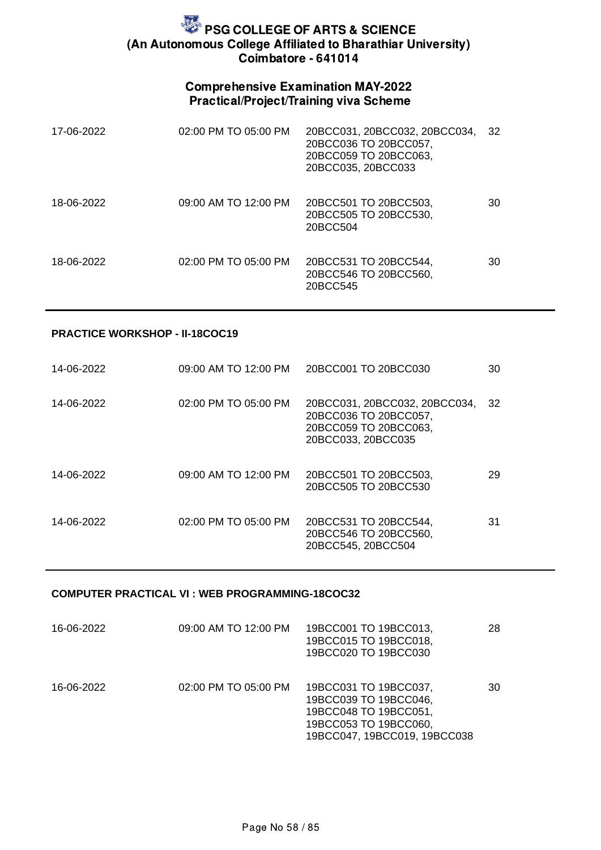## Comprehensive Examination MAY-2022 Practical/Project/Training viva Scheme

| 17-06-2022 | 02:00 PM TO 05:00 PM | 20BCC031, 20BCC032, 20BCC034,<br>20BCC036 TO 20BCC057,<br>20BCC059 TO 20BCC063,<br>20BCC035, 20BCC033 | 32 |
|------------|----------------------|-------------------------------------------------------------------------------------------------------|----|
| 18-06-2022 | 09:00 AM TO 12:00 PM | 20BCC501 TO 20BCC503,<br>20BCC505 TO 20BCC530,<br>20BCC504                                            | 30 |
| 18-06-2022 | 02:00 PM TO 05:00 PM | 20BCC531 TO 20BCC544,<br>20BCC546 TO 20BCC560,<br>20BCC545                                            | 30 |

#### **PRACTICE WORKSHOP - II-18COC19**

| 14-06-2022 | 09:00 AM TO 12:00 PM | 20BCC001 TO 20BCC030                                                                                  | 30 |
|------------|----------------------|-------------------------------------------------------------------------------------------------------|----|
| 14-06-2022 | 02:00 PM TO 05:00 PM | 20BCC031, 20BCC032, 20BCC034,<br>20BCC036 TO 20BCC057.<br>20BCC059 TO 20BCC063,<br>20BCC033, 20BCC035 | 32 |
| 14-06-2022 | 09:00 AM TO 12:00 PM | 20BCC501 TO 20BCC503,<br>20BCC505 TO 20BCC530                                                         | 29 |
| 14-06-2022 | 02:00 PM TO 05:00 PM | 20BCC531 TO 20BCC544,<br>20BCC546 TO 20BCC560,<br>20BCC545, 20BCC504                                  | 31 |

### **COMPUTER PRACTICAL VI : WEB PROGRAMMING-18COC32**

| 16-06-2022 | 09:00 AM TO 12:00 PM | 19BCC001 TO 19BCC013,<br>19BCC015 TO 19BCC018,<br>19BCC020 TO 19BCC030                                                           | 28 |
|------------|----------------------|----------------------------------------------------------------------------------------------------------------------------------|----|
| 16-06-2022 | 02:00 PM TO 05:00 PM | 19BCC031 TO 19BCC037,<br>19BCC039 TO 19BCC046,<br>19BCC048 TO 19BCC051,<br>19BCC053 TO 19BCC060,<br>19BCC047, 19BCC019, 19BCC038 | 30 |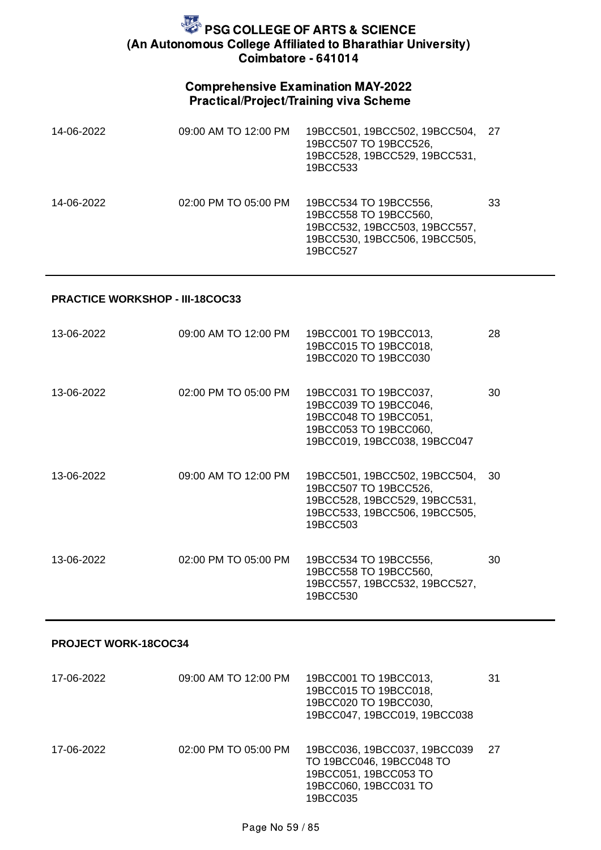## Comprehensive Examination MAY-2022 Practical/Project/Training viva Scheme

| 14-06-2022 | 09:00 AM TO 12:00 PM | 19BCC501, 19BCC502, 19BCC504,<br>19BCC507 TO 19BCC526,<br>19BCC528, 19BCC529, 19BCC531,<br>19BCC533                          | 27 |
|------------|----------------------|------------------------------------------------------------------------------------------------------------------------------|----|
| 14-06-2022 | 02:00 PM TO 05:00 PM | 19BCC534 TO 19BCC556,<br>19BCC558 TO 19BCC560,<br>19BCC532, 19BCC503, 19BCC557,<br>19BCC530, 19BCC506, 19BCC505,<br>19BCC527 | 33 |

#### **PRACTICE WORKSHOP - III-18COC33**

| 13-06-2022 | 09:00 AM TO 12:00 PM | 19BCC001 TO 19BCC013,<br>19BCC015 TO 19BCC018,<br>19BCC020 TO 19BCC030                                                               | 28 |
|------------|----------------------|--------------------------------------------------------------------------------------------------------------------------------------|----|
| 13-06-2022 | 02:00 PM TO 05:00 PM | 19BCC031 TO 19BCC037,<br>19BCC039 TO 19BCC046,<br>19BCC048 TO 19BCC051,<br>19BCC053 TO 19BCC060,<br>19BCC019, 19BCC038, 19BCC047     | 30 |
| 13-06-2022 | 09:00 AM TO 12:00 PM | 19BCC501, 19BCC502, 19BCC504,<br>19BCC507 TO 19BCC526,<br>19BCC528, 19BCC529, 19BCC531,<br>19BCC533, 19BCC506, 19BCC505,<br>19BCC503 | 30 |
| 13-06-2022 | 02:00 PM TO 05:00 PM | 19BCC534 TO 19BCC556,<br>19BCC558 TO 19BCC560,<br>19BCC557, 19BCC532, 19BCC527,<br>19BCC530                                          | 30 |

#### **PROJECT WORK-18COC34**

| 17-06-2022 | 09:00 AM TO 12:00 PM | 19BCC001 TO 19BCC013,<br>19BCC015 TO 19BCC018,<br>19BCC020 TO 19BCC030,<br>19BCC047, 19BCC019, 19BCC038                | 31 |
|------------|----------------------|------------------------------------------------------------------------------------------------------------------------|----|
| 17-06-2022 | 02:00 PM TO 05:00 PM | 19BCC036, 19BCC037, 19BCC039<br>TO 19BCC046, 19BCC048 TO<br>19BCC051, 19BCC053 TO<br>19BCC060, 19BCC031 TO<br>19BCC035 | 27 |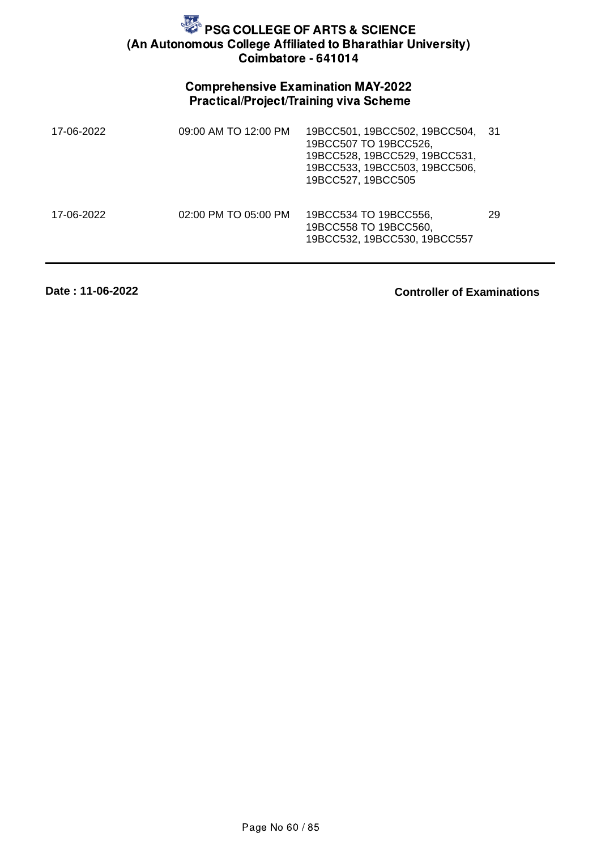## Comprehensive Examination MAY-2022 Practical/Project/Training viva Scheme

| 17-06-2022 | 09:00 AM TO 12:00 PM | 19BCC501, 19BCC502, 19BCC504,<br>19BCC507 TO 19BCC526,<br>19BCC528, 19BCC529, 19BCC531,<br>19BCC533, 19BCC503, 19BCC506,<br>19BCC527, 19BCC505 | -31 |
|------------|----------------------|------------------------------------------------------------------------------------------------------------------------------------------------|-----|
| 17-06-2022 | 02:00 PM TO 05:00 PM | 19BCC534 TO 19BCC556,<br>19BCC558 TO 19BCC560,<br>19BCC532, 19BCC530, 19BCC557                                                                 | 29  |

**Date : 11-06-2022**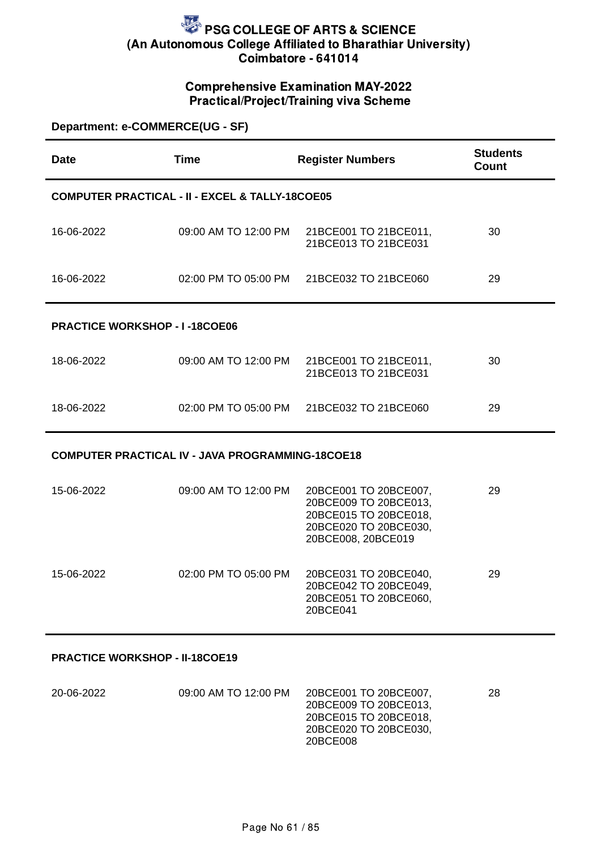## Comprehensive Examination MAY-2022 Practical/Project/Training viva Scheme

| Department: e-COMMERCE(UG - SF)      |                                                            |                                                                                                                        |                                 |
|--------------------------------------|------------------------------------------------------------|------------------------------------------------------------------------------------------------------------------------|---------------------------------|
| <b>Date</b>                          | <b>Time</b>                                                | <b>Register Numbers</b>                                                                                                | <b>Students</b><br><b>Count</b> |
|                                      | <b>COMPUTER PRACTICAL - II - EXCEL &amp; TALLY-18COE05</b> |                                                                                                                        |                                 |
| 16-06-2022                           | 09:00 AM TO 12:00 PM                                       | 21BCE001 TO 21BCE011,<br>21BCE013 TO 21BCE031                                                                          | 30                              |
| 16-06-2022                           | 02:00 PM TO 05:00 PM                                       | 21BCE032 TO 21BCE060                                                                                                   | 29                              |
| <b>PRACTICE WORKSHOP - I-18COE06</b> |                                                            |                                                                                                                        |                                 |
| 18-06-2022                           | 09:00 AM TO 12:00 PM                                       | 21BCE001 TO 21BCE011,<br>21BCE013 TO 21BCE031                                                                          | 30                              |
| 18-06-2022                           | 02:00 PM TO 05:00 PM                                       | 21BCE032 TO 21BCE060                                                                                                   | 29                              |
|                                      | <b>COMPUTER PRACTICAL IV - JAVA PROGRAMMING-18COE18</b>    |                                                                                                                        |                                 |
| 15-06-2022                           | 09:00 AM TO 12:00 PM                                       | 20BCE001 TO 20BCE007,<br>20BCE009 TO 20BCE013,<br>20BCE015 TO 20BCE018,<br>20BCE020 TO 20BCE030,<br>20BCE008, 20BCE019 | 29                              |
| 15-06-2022                           | 02:00 PM TO 05:00 PM                                       | 20BCE031 TO 20BCE040,<br>20BCE042 TO 20BCE049,<br>20BCE051 TO 20BCE060,                                                | 29                              |

#### **PRACTICE WORKSHOP - II-18COE19**

| 20-06-2022 | 09:00 AM TO 12:00 PM | 20BCE001 TO 20BCE007.<br>20BCE009 TO 20BCE013.<br>20BCE015 TO 20BCE018, | 28 |
|------------|----------------------|-------------------------------------------------------------------------|----|
|            |                      | 20BCE020 TO 20BCE030,                                                   |    |
|            |                      | 20BCE008                                                                |    |

20BCE041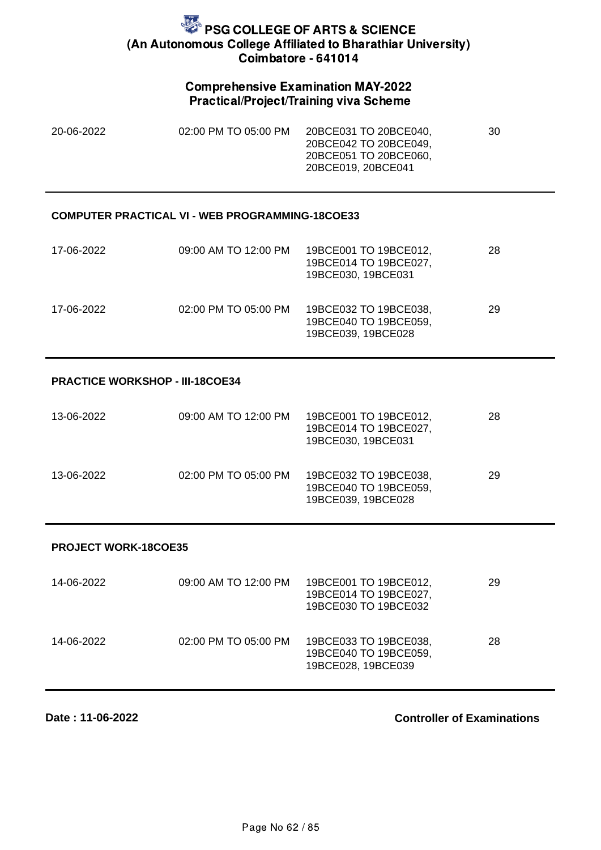### Comprehensive Examination MAY-2022 Practical/Project/Training viva Scheme

| 20-06-2022 | 02:00 PM TO 05:00 PM | 20BCE031 TO 20BCE040, | 30 |
|------------|----------------------|-----------------------|----|
|            |                      | 20BCE042 TO 20BCE049. |    |
|            |                      | 20BCE051 TO 20BCE060. |    |
|            |                      | 20BCE019.20BCE041     |    |

#### **COMPUTER PRACTICAL VI - WEB PROGRAMMING-18COE33**

| 17-06-2022 | 09:00 AM TO 12:00 PM | 19BCE001 TO 19BCE012,<br>19BCE014 TO 19BCE027,<br>19BCE030, 19BCE031 | 28 |
|------------|----------------------|----------------------------------------------------------------------|----|
| 17-06-2022 | 02:00 PM TO 05:00 PM | 19BCE032 TO 19BCE038,<br>19BCE040 TO 19BCE059,<br>19BCE039, 19BCE028 | 29 |

#### **PRACTICE WORKSHOP - III-18COE34**

| 13-06-2022 | 09:00 AM TO 12:00 PM | 19BCE001 TO 19BCE012,<br>19BCE014 TO 19BCE027,<br>19BCE030, 19BCE031 | 28 |
|------------|----------------------|----------------------------------------------------------------------|----|
| 13-06-2022 | 02:00 PM TO 05:00 PM | 19BCE032 TO 19BCE038,<br>19BCE040 TO 19BCE059,<br>19BCE039, 19BCE028 | 29 |

#### **PROJECT WORK-18COE35**

| 14-06-2022 | 09:00 AM TO 12:00 PM | 19BCE001 TO 19BCE012,<br>19BCE014 TO 19BCE027,<br>19BCE030 TO 19BCE032 | 29 |
|------------|----------------------|------------------------------------------------------------------------|----|
| 14-06-2022 | 02:00 PM TO 05:00 PM | 19BCE033 TO 19BCE038,<br>19BCE040 TO 19BCE059,<br>19BCE028, 19BCE039   | 28 |

**Date : 11-06-2022**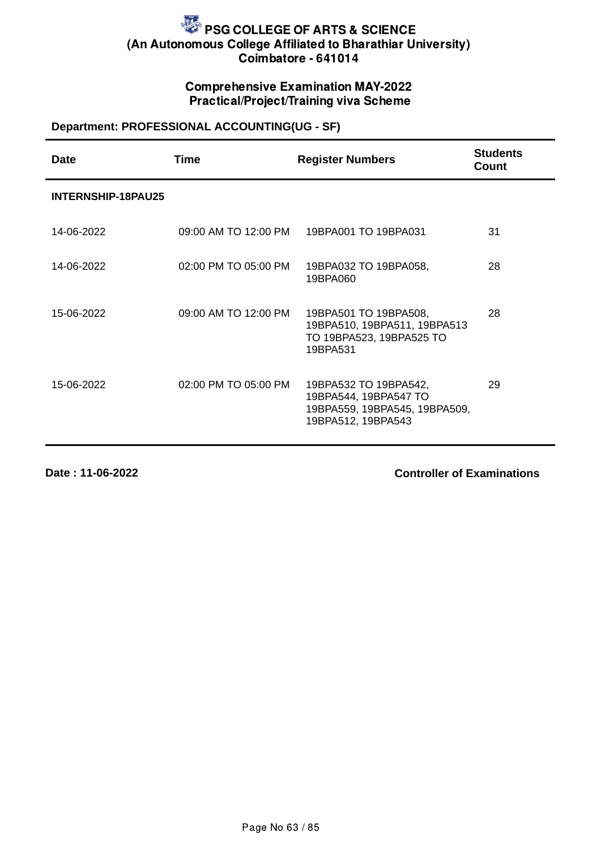## Comprehensive Examination MAY-2022 Practical/Project/Training viva Scheme

## **Department: PROFESSIONAL ACCOUNTING(UG - SF)**

| Date                      | Time                 | <b>Register Numbers</b>                                                                               | <b>Students</b><br>Count |
|---------------------------|----------------------|-------------------------------------------------------------------------------------------------------|--------------------------|
| <b>INTERNSHIP-18PAU25</b> |                      |                                                                                                       |                          |
| 14-06-2022                | 09:00 AM TO 12:00 PM | 19BPA001 TO 19BPA031                                                                                  | 31                       |
| 14-06-2022                | 02:00 PM TO 05:00 PM | 19BPA032 TO 19BPA058,<br>19BPA060                                                                     | 28                       |
| 15-06-2022                | 09:00 AM TO 12:00 PM | 19BPA501 TO 19BPA508,<br>19BPA510, 19BPA511, 19BPA513<br>TO 19BPA523, 19BPA525 TO<br>19BPA531         | 28                       |
| 15-06-2022                | 02:00 PM TO 05:00 PM | 19BPA532 TO 19BPA542,<br>19BPA544, 19BPA547 TO<br>19BPA559, 19BPA545, 19BPA509,<br>19BPA512, 19BPA543 | 29                       |

**Date : 11-06-2022**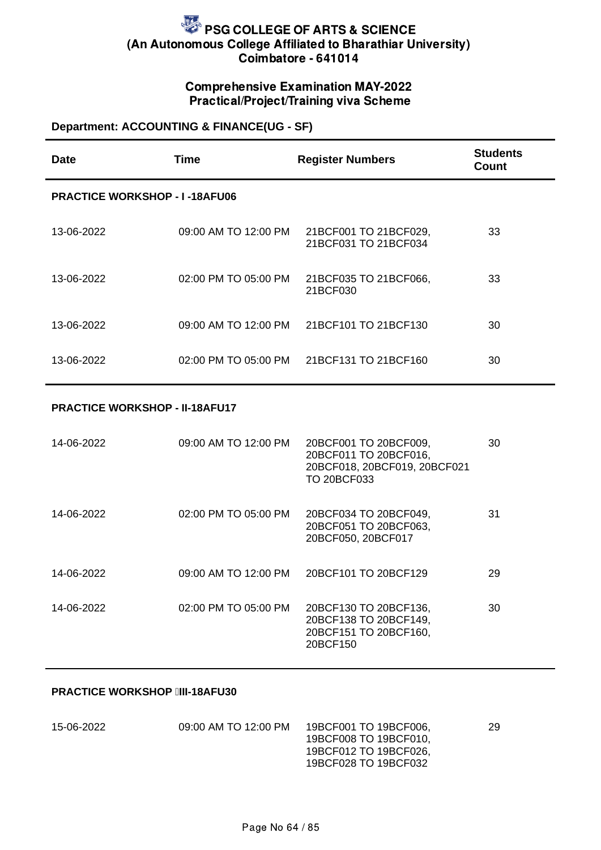## Comprehensive Examination MAY-2022 Practical/Project/Training viva Scheme

## **Department: ACCOUNTING & FINANCE(UG - SF)**

| Date                                 | Time                 | <b>Register Numbers</b>                       | <b>Students</b><br>Count |  |
|--------------------------------------|----------------------|-----------------------------------------------|--------------------------|--|
| <b>PRACTICE WORKSHOP - I-18AFU06</b> |                      |                                               |                          |  |
| 13-06-2022                           | 09:00 AM TO 12:00 PM | 21BCF001 TO 21BCF029,<br>21BCF031 TO 21BCF034 | 33                       |  |
| 13-06-2022                           | 02:00 PM TO 05:00 PM | 21BCF035 TO 21BCF066,<br>21BCF030             | 33                       |  |
| 13-06-2022                           | 09:00 AM TO 12:00 PM | 21BCF101 TO 21BCF130                          | 30                       |  |
| 13-06-2022                           | 02:00 PM TO 05:00 PM | 21BCF131 TO 21BCF160                          | 30                       |  |

#### **PRACTICE WORKSHOP - II-18AFU17**

| 14-06-2022 | 09:00 AM TO 12:00 PM | 20BCF001 TO 20BCF009,<br>20BCF011 TO 20BCF016,<br>20BCF018, 20BCF019, 20BCF021<br><b>TO 20BCF033</b> | 30 |
|------------|----------------------|------------------------------------------------------------------------------------------------------|----|
| 14-06-2022 | 02:00 PM TO 05:00 PM | 20BCF034 TO 20BCF049,<br>20BCF051 TO 20BCF063,<br>20BCF050, 20BCF017                                 | 31 |
| 14-06-2022 | 09:00 AM TO 12:00 PM | 20BCF101 TO 20BCF129                                                                                 | 29 |
| 14-06-2022 | 02:00 PM TO 05:00 PM | 20BCF130 TO 20BCF136,<br>20BCF138 TO 20BCF149,<br>20BCF151 TO 20BCF160,<br>20BCF150                  | 30 |

#### **PRACTICE WORKSHOP III-18AFU30**

| 15-06-2022 | 09:00 AM TO 12:00 PM | 19BCF001 TO 19BCF006.                          | 29 |
|------------|----------------------|------------------------------------------------|----|
|            |                      | 19BCF008 TO 19BCF010.<br>19BCF012 TO 19BCF026. |    |
|            |                      | 19BCF028 TO 19BCF032                           |    |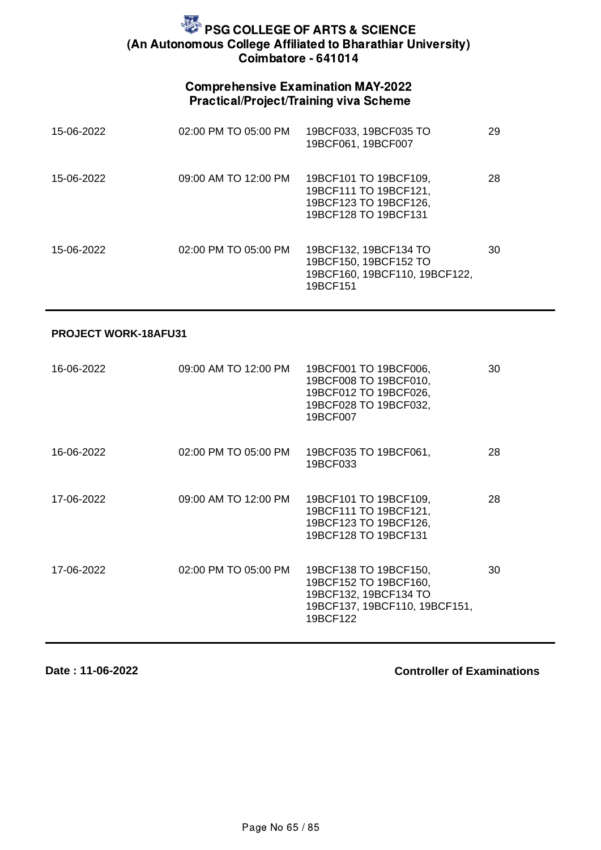## Comprehensive Examination MAY-2022 Practical/Project/Training viva Scheme

| 15-06-2022 | 02:00 PM TO 05:00 PM     | 19BCF033, 19BCF035 TO<br>19BCF061, 19BCF007                                                     | 29 |
|------------|--------------------------|-------------------------------------------------------------------------------------------------|----|
| 15-06-2022 | 09:00 AM TO 12:00 PM     | 19BCF101 TO 19BCF109,<br>19BCF111 TO 19BCF121,<br>19BCF123 TO 19BCF126,<br>19BCF128 TO 19BCF131 | 28 |
| 15-06-2022 | $02:00$ PM TO $05:00$ PM | 19BCF132, 19BCF134 TO<br>19BCF150, 19BCF152 TO<br>19BCF160, 19BCF110, 19BCF122,<br>19BCF151     | 30 |

#### **PROJECT WORK-18AFU31**

| 16-06-2022 | 09:00 AM TO 12:00 PM | 19BCF001 TO 19BCF006,<br>19BCF008 TO 19BCF010,<br>19BCF012 TO 19BCF026,<br>19BCF028 TO 19BCF032,<br>19BCF007         | 30 |
|------------|----------------------|----------------------------------------------------------------------------------------------------------------------|----|
| 16-06-2022 | 02:00 PM TO 05:00 PM | 19BCF035 TO 19BCF061,<br>19BCF033                                                                                    | 28 |
| 17-06-2022 | 09:00 AM TO 12:00 PM | 19BCF101 TO 19BCF109,<br>19BCF111 TO 19BCF121,<br>19BCF123 TO 19BCF126,<br>19BCF128 TO 19BCF131                      | 28 |
| 17-06-2022 | 02:00 PM TO 05:00 PM | 19BCF138 TO 19BCF150,<br>19BCF152 TO 19BCF160,<br>19BCF132, 19BCF134 TO<br>19BCF137, 19BCF110, 19BCF151,<br>19BCF122 | 30 |

**Date : 11-06-2022**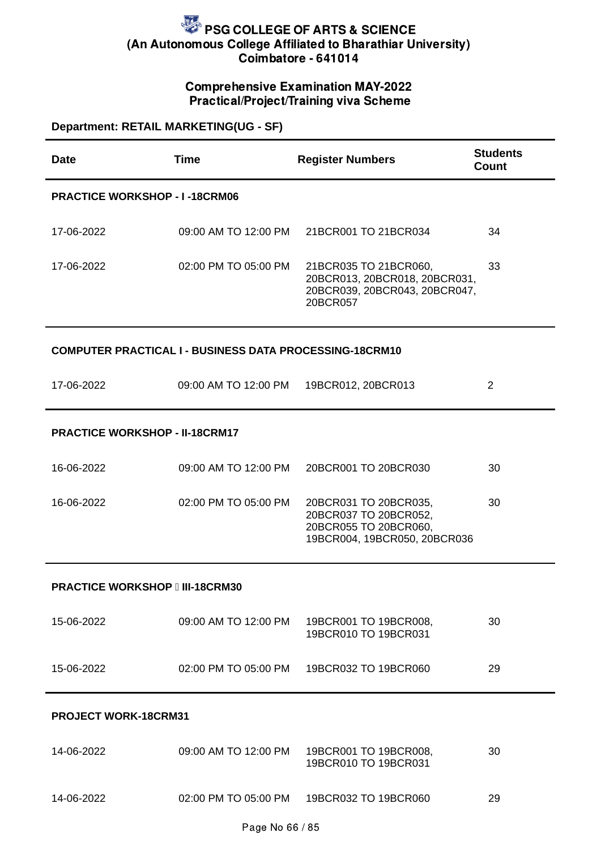## Comprehensive Examination MAY-2022 Practical/Project/Training viva Scheme

| Department: RETAIL MARKETING(UG - SF) |                                                                |                                                                                                         |                                 |  |  |
|---------------------------------------|----------------------------------------------------------------|---------------------------------------------------------------------------------------------------------|---------------------------------|--|--|
| <b>Date</b>                           | <b>Time</b>                                                    | <b>Register Numbers</b>                                                                                 | <b>Students</b><br><b>Count</b> |  |  |
| <b>PRACTICE WORKSHOP - I-18CRM06</b>  |                                                                |                                                                                                         |                                 |  |  |
| 17-06-2022                            | 09:00 AM TO 12:00 PM                                           | 21BCR001 TO 21BCR034                                                                                    | 34                              |  |  |
| 17-06-2022                            | 02:00 PM TO 05:00 PM                                           | 21BCR035 TO 21BCR060,<br>20BCR013, 20BCR018, 20BCR031,<br>20BCR039, 20BCR043, 20BCR047,<br>20BCR057     | 33                              |  |  |
|                                       | <b>COMPUTER PRACTICAL I - BUSINESS DATA PROCESSING-18CRM10</b> |                                                                                                         |                                 |  |  |
| 17-06-2022                            | 09:00 AM TO 12:00 PM                                           | 19BCR012, 20BCR013                                                                                      | $\overline{2}$                  |  |  |
|                                       | <b>PRACTICE WORKSHOP - II-18CRM17</b>                          |                                                                                                         |                                 |  |  |
| 16-06-2022                            | 09:00 AM TO 12:00 PM                                           | 20BCR001 TO 20BCR030                                                                                    | 30                              |  |  |
| 16-06-2022                            | 02:00 PM TO 05:00 PM                                           | 20BCR031 TO 20BCR035,<br>20BCR037 TO 20BCR052,<br>20BCR055 TO 20BCR060,<br>19BCR004, 19BCR050, 20BCR036 | 30                              |  |  |
| <b>PRACTICE WORKSHOP III-18CRM30</b>  |                                                                |                                                                                                         |                                 |  |  |
| 15-06-2022                            | 09:00 AM TO 12:00 PM                                           | 19BCR001 TO 19BCR008,<br>19BCR010 TO 19BCR031                                                           | 30                              |  |  |
| 15-06-2022                            |                                                                | 02:00 PM TO 05:00 PM 19BCR032 TO 19BCR060                                                               | 29                              |  |  |
| <b>PROJECT WORK-18CRM31</b>           |                                                                |                                                                                                         |                                 |  |  |
| 14-06-2022                            | 09:00 AM TO 12:00 PM                                           | 19BCR001 TO 19BCR008,<br>19BCR010 TO 19BCR031                                                           | 30                              |  |  |

14-06-2022 02:00 PM TO 05:00 PM 19BCR032 TO 19BCR060 29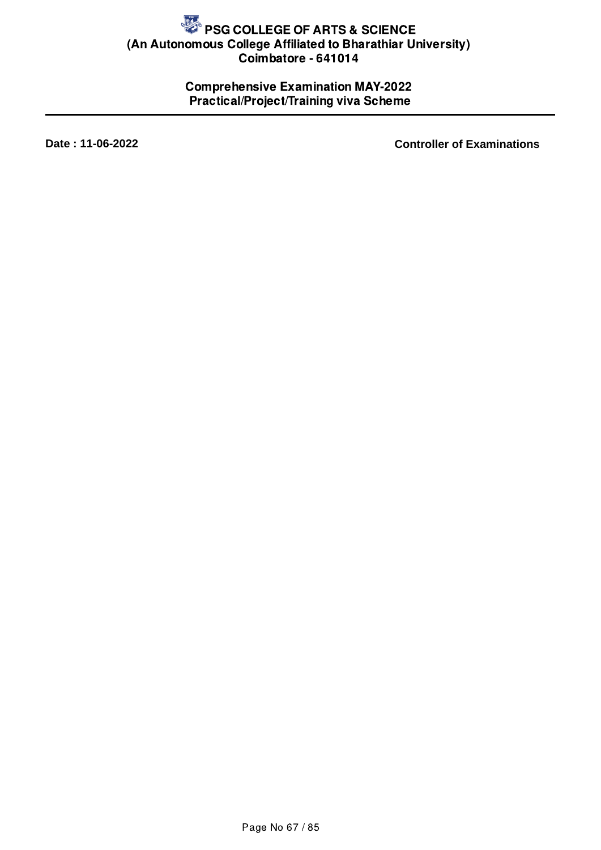## Comprehensive Examination MAY-2022 Practical/Project/Training viva Scheme

**Date : 11-06-2022 Controller of Examinations**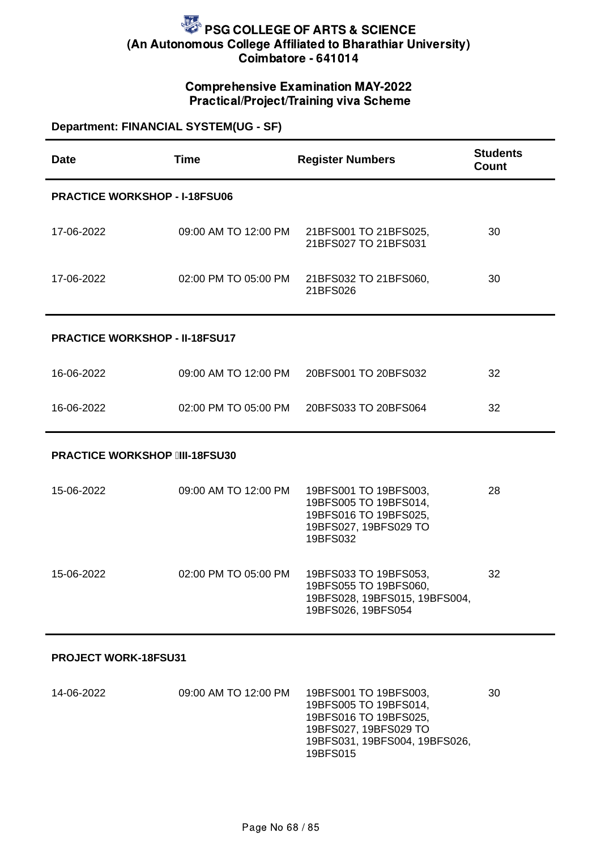### Comprehensive Examination MAY-2022 Practical/Project/Training viva Scheme

### **Department: FINANCIAL SYSTEM(UG - SF)**

| <b>Date</b>                           | <b>Time</b>          | <b>Register Numbers</b>                                                                                      | <b>Students</b><br><b>Count</b> |  |
|---------------------------------------|----------------------|--------------------------------------------------------------------------------------------------------------|---------------------------------|--|
| <b>PRACTICE WORKSHOP - I-18FSU06</b>  |                      |                                                                                                              |                                 |  |
| 17-06-2022                            | 09:00 AM TO 12:00 PM | 21BFS001 TO 21BFS025,<br>21BFS027 TO 21BFS031                                                                | 30                              |  |
| 17-06-2022                            | 02:00 PM TO 05:00 PM | 21BFS032 TO 21BFS060,<br>21BFS026                                                                            | 30                              |  |
| <b>PRACTICE WORKSHOP - II-18FSU17</b> |                      |                                                                                                              |                                 |  |
| 16-06-2022                            | 09:00 AM TO 12:00 PM | 20BFS001 TO 20BFS032                                                                                         | 32                              |  |
| 16-06-2022                            | 02:00 PM TO 05:00 PM | 20BFS033 TO 20BFS064                                                                                         | 32                              |  |
| <b>PRACTICE WORKSHOP IIII-18FSU30</b> |                      |                                                                                                              |                                 |  |
| 15-06-2022                            | 09:00 AM TO 12:00 PM | 19BFS001 TO 19BFS003,<br>19BFS005 TO 19BFS014,<br>19BFS016 TO 19BFS025,<br>19BFS027, 19BFS029 TO<br>19BFS032 | 28                              |  |
| 15-06-2022                            | 02:00 PM TO 05:00 PM | 19BFS033 TO 19BFS053,<br>19BFS055 TO 19BFS060,<br>19BFS028, 19BFS015, 19BFS004,<br>19BFS026, 19BFS054        | 32                              |  |
| PROJECT WORK-18FSU31                  |                      |                                                                                                              |                                 |  |

| 14-06-2022 | 09:00 AM TO 12:00 PM | 19BFS001 TO 19BFS003.         | 30 |
|------------|----------------------|-------------------------------|----|
|            |                      | 19BFS005 TO 19BFS014.         |    |
|            |                      | 19BFS016 TO 19BFS025.         |    |
|            |                      | 19BFS027, 19BFS029 TO         |    |
|            |                      | 19BFS031, 19BFS004, 19BFS026, |    |
|            |                      | 19BFS015                      |    |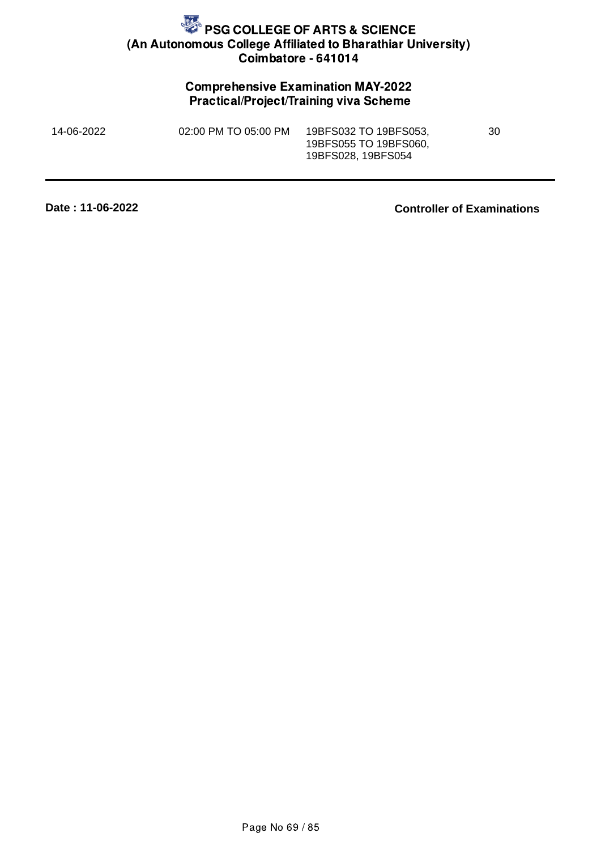## Comprehensive Examination MAY-2022 Practical/Project/Training viva Scheme

| 14-06-2022 | 02:00 PM TO 05:00 PM | 19BFS032 TO 19BFS053. | 30 |
|------------|----------------------|-----------------------|----|
|            |                      | 19BFS055 TO 19BFS060, |    |
|            |                      | 19BFS028, 19BFS054    |    |

**Date : 11-06-2022**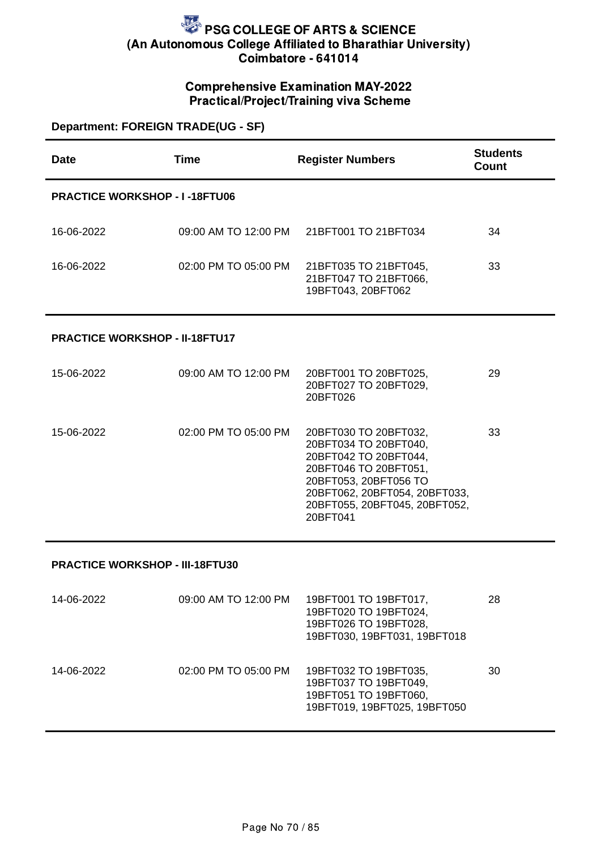### Comprehensive Examination MAY-2022 Practical/Project/Training viva Scheme

## **Department: FOREIGN TRADE(UG - SF)**

| <b>Date</b>                            | <b>Time</b>          | <b>Register Numbers</b>                                                                                                                                                                                 | <b>Students</b><br><b>Count</b> |
|----------------------------------------|----------------------|---------------------------------------------------------------------------------------------------------------------------------------------------------------------------------------------------------|---------------------------------|
| <b>PRACTICE WORKSHOP - I-18FTU06</b>   |                      |                                                                                                                                                                                                         |                                 |
| 16-06-2022                             | 09:00 AM TO 12:00 PM | 21BFT001 TO 21BFT034                                                                                                                                                                                    | 34                              |
| 16-06-2022                             | 02:00 PM TO 05:00 PM | 21BFT035 TO 21BFT045,<br>21BFT047 TO 21BFT066,<br>19BFT043, 20BFT062                                                                                                                                    | 33                              |
| <b>PRACTICE WORKSHOP - II-18FTU17</b>  |                      |                                                                                                                                                                                                         |                                 |
| 15-06-2022                             | 09:00 AM TO 12:00 PM | 20BFT001 TO 20BFT025,<br>20BFT027 TO 20BFT029,<br>20BFT026                                                                                                                                              | 29                              |
| 15-06-2022                             | 02:00 PM TO 05:00 PM | 20BFT030 TO 20BFT032,<br>20BFT034 TO 20BFT040,<br>20BFT042 TO 20BFT044,<br>20BFT046 TO 20BFT051,<br>20BFT053, 20BFT056 TO<br>20BFT062, 20BFT054, 20BFT033,<br>20BFT055, 20BFT045, 20BFT052,<br>20BFT041 | 33                              |
| <b>PRACTICE WORKSHOP - III-18FTU30</b> |                      |                                                                                                                                                                                                         |                                 |
| 14-06-2022                             | 09:00 AM TO 12:00 PM | 19BFT001 TO 19BFT017,<br>19BFT020 TO 19BFT024,<br>19BFT026 TO 19BFT028,<br>19BFT030, 19BFT031, 19BFT018                                                                                                 | 28                              |
| 14-06-2022                             | 02:00 PM TO 05:00 PM | 19BFT032 TO 19BFT035,<br>19BFT037 TO 19BFT049,<br>19BFT051 TO 19BFT060,<br>19BFT019, 19BFT025, 19BFT050                                                                                                 | 30                              |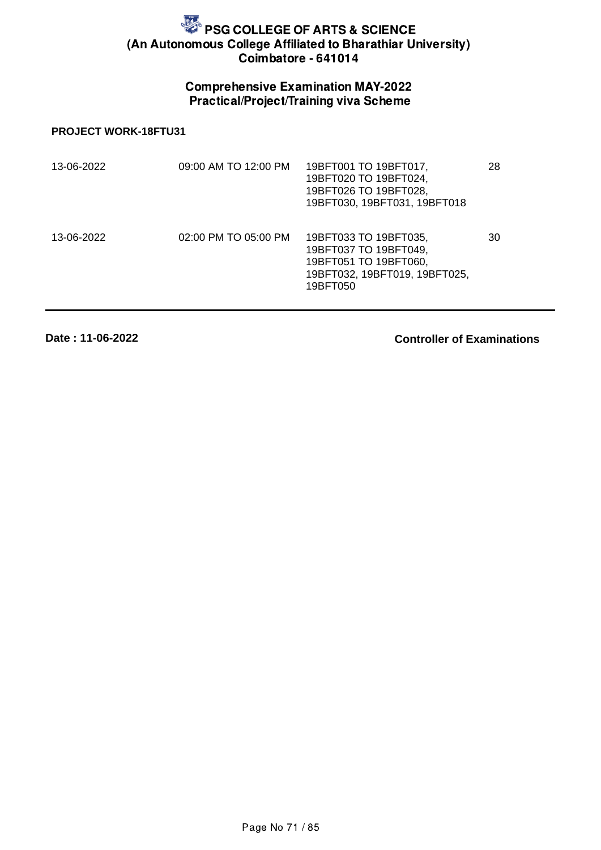## Comprehensive Examination MAY-2022 Practical/Project/Training viva Scheme

#### **PROJECT WORK-18FTU31**

| 13-06-2022 | 09:00 AM TO 12:00 PM | 19BFT001 TO 19BFT017,<br>19BFT020 TO 19BFT024,<br>19BFT026 TO 19BFT028,<br>19BFT030, 19BFT031, 19BFT018              | 28 |
|------------|----------------------|----------------------------------------------------------------------------------------------------------------------|----|
| 13-06-2022 | 02:00 PM TO 05:00 PM | 19BFT033 TO 19BFT035,<br>19BFT037 TO 19BFT049,<br>19BFT051 TO 19BFT060,<br>19BFT032, 19BFT019, 19BFT025,<br>19BFT050 | 30 |

**Date : 11-06-2022**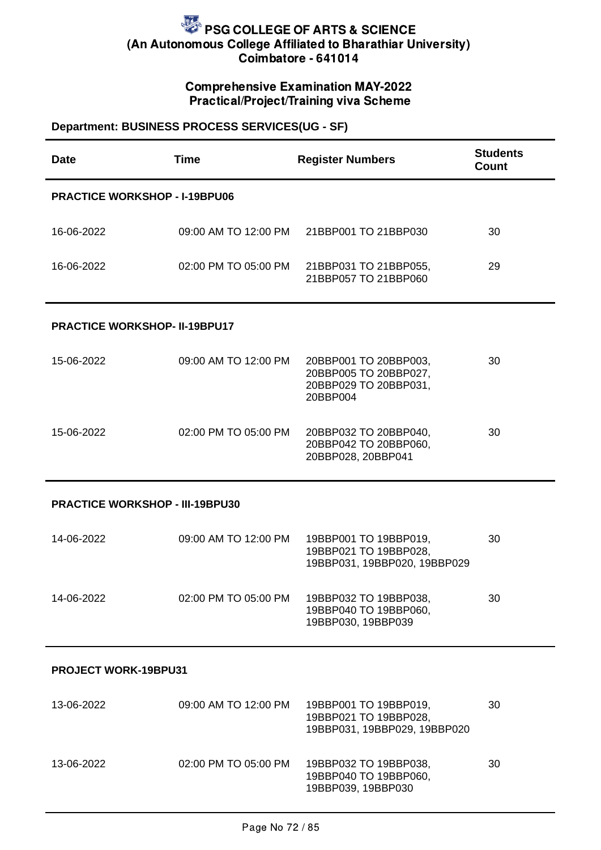## Comprehensive Examination MAY-2022 Practical/Project/Training viva Scheme

## **Department: BUSINESS PROCESS SERVICES(UG - SF)**

| <b>Date</b>                            | <b>Time</b>          | <b>Register Numbers</b>                                                                   | <b>Students</b><br>Count |  |
|----------------------------------------|----------------------|-------------------------------------------------------------------------------------------|--------------------------|--|
| <b>PRACTICE WORKSHOP - I-19BPU06</b>   |                      |                                                                                           |                          |  |
| 16-06-2022                             |                      | 09:00 AM TO 12:00 PM 21BBP001 TO 21BBP030                                                 | 30                       |  |
| 16-06-2022                             | 02:00 PM TO 05:00 PM | 21BBP031 TO 21BBP055,<br>21BBP057 TO 21BBP060                                             | 29                       |  |
| <b>PRACTICE WORKSHOP- II-19BPU17</b>   |                      |                                                                                           |                          |  |
| 15-06-2022                             | 09:00 AM TO 12:00 PM | 20BBP001 TO 20BBP003,<br>20BBP005 TO 20BBP027,<br>20BBP029 TO 20BBP031,<br>20BBP004       | 30                       |  |
| 15-06-2022                             | 02:00 PM TO 05:00 PM | 20BBP032 TO 20BBP040,<br>20BBP042 TO 20BBP060,<br>20BBP028, 20BBP041                      | 30                       |  |
| <b>PRACTICE WORKSHOP - III-19BPU30</b> |                      |                                                                                           |                          |  |
| 14-06-2022                             | 09:00 AM TO 12:00 PM | 19BBP001 TO 19BBP019,<br>19BBP021 TO 19BBP028,<br>19BBP031, 19BBP020, 19BBP029            | 30                       |  |
| 14-06-2022                             |                      | 02:00 PM TO 05:00 PM 19BBP032 TO 19BBP038,<br>19BBP040 TO 19BBP060,<br>19BBP030, 19BBP039 | 30                       |  |
| <b>PROJECT WORK-19BPU31</b>            |                      |                                                                                           |                          |  |
| 13-06-2022                             | 09:00 AM TO 12:00 PM | 19BBP001 TO 19BBP019,<br>19BBP021 TO 19BBP028,<br>19BBP031, 19BBP029, 19BBP020            | 30                       |  |
| 13-06-2022                             | 02:00 PM TO 05:00 PM | 19BBP032 TO 19BBP038,<br>19BBP040 TO 19BBP060,<br>19BBP039, 19BBP030                      | 30                       |  |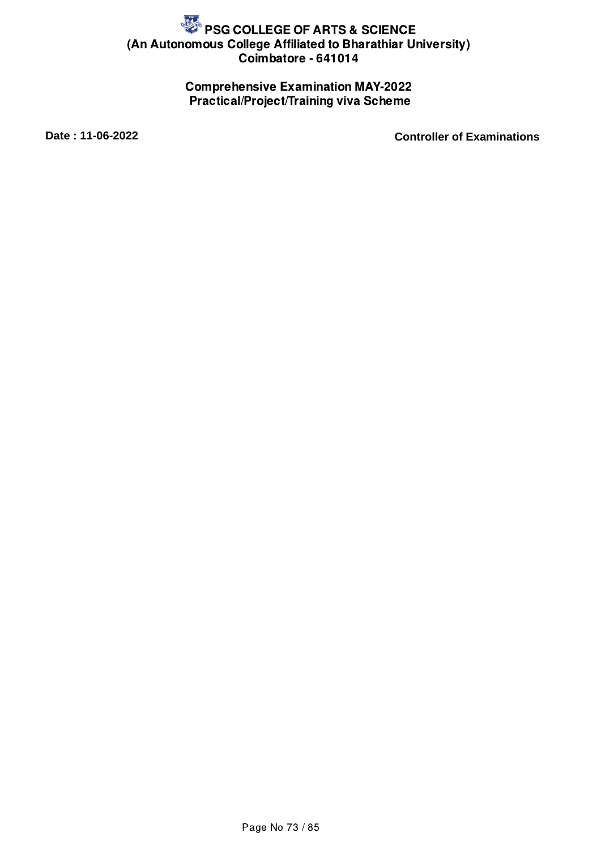## Comprehensive Examination MAY-2022 Practical/Project/Training viva Scheme

**Date : 11-06-2022 Controller of Examinations**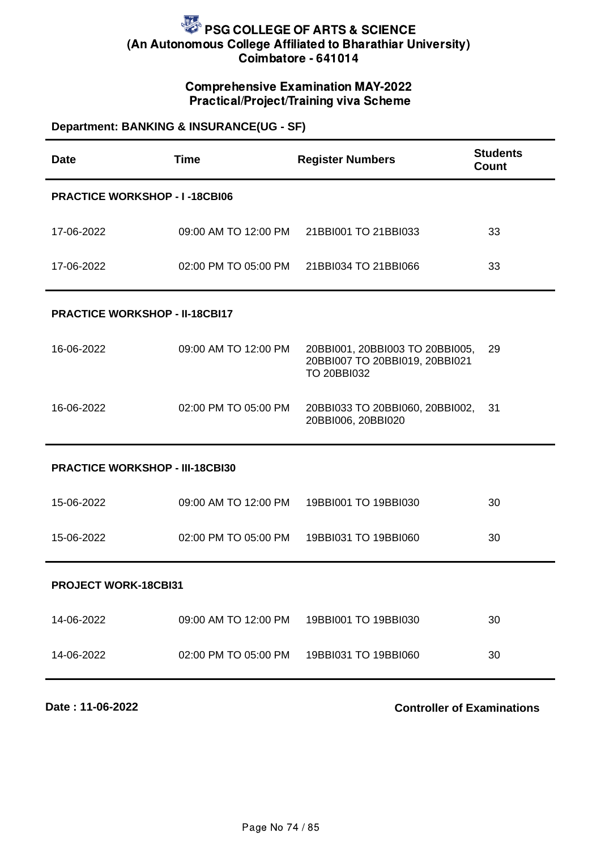## Comprehensive Examination MAY-2022 Practical/Project/Training viva Scheme

## **Department: BANKING & INSURANCE(UG - SF)**

| Date                                   | <b>Time</b>          | <b>Register Numbers</b>                                                                 | <b>Students</b><br><b>Count</b> |  |
|----------------------------------------|----------------------|-----------------------------------------------------------------------------------------|---------------------------------|--|
| <b>PRACTICE WORKSHOP - I-18CBI06</b>   |                      |                                                                                         |                                 |  |
| 17-06-2022                             | 09:00 AM TO 12:00 PM | 21BBI001 TO 21BBI033                                                                    | 33                              |  |
| 17-06-2022                             | 02:00 PM TO 05:00 PM | 21BBI034 TO 21BBI066                                                                    | 33                              |  |
| <b>PRACTICE WORKSHOP - II-18CBI17</b>  |                      |                                                                                         |                                 |  |
| 16-06-2022                             | 09:00 AM TO 12:00 PM | 20BBI001, 20BBI003 TO 20BBI005,<br>20BBI007 TO 20BBI019, 20BBI021<br><b>TO 20BBI032</b> | 29                              |  |
| 16-06-2022                             | 02:00 PM TO 05:00 PM | 20BBI033 TO 20BBI060, 20BBI002,<br>20BBI006, 20BBI020                                   | 31                              |  |
| <b>PRACTICE WORKSHOP - III-18CBI30</b> |                      |                                                                                         |                                 |  |
| 15-06-2022                             | 09:00 AM TO 12:00 PM | 19BBI001 TO 19BBI030                                                                    | 30                              |  |
| 15-06-2022                             | 02:00 PM TO 05:00 PM | 19BBI031 TO 19BBI060                                                                    | 30                              |  |
| PROJECT WORK-18CBI31                   |                      |                                                                                         |                                 |  |
| 14-06-2022                             | 09:00 AM TO 12:00 PM | 19BBI001 TO 19BBI030                                                                    | 30                              |  |
| 14-06-2022                             | 02:00 PM TO 05:00 PM | 19BBI031 TO 19BBI060                                                                    | 30                              |  |
|                                        |                      |                                                                                         |                                 |  |

**Date : 11-06-2022**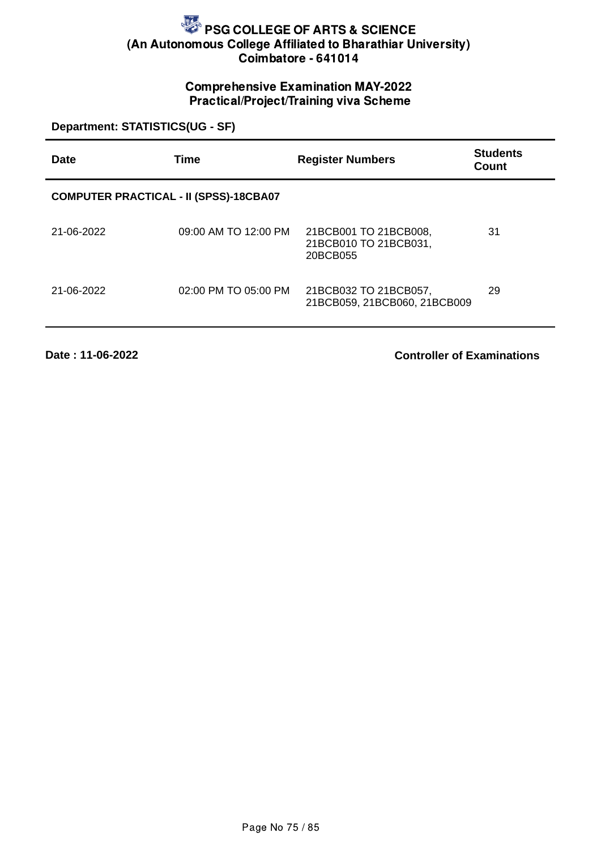## Comprehensive Examination MAY-2022 Practical/Project/Training viva Scheme

**Department: STATISTICS(UG - SF)**

| Date                                          | Time                 | <b>Register Numbers</b>                                    | <b>Students</b><br>Count |  |
|-----------------------------------------------|----------------------|------------------------------------------------------------|--------------------------|--|
| <b>COMPUTER PRACTICAL - II (SPSS)-18CBA07</b> |                      |                                                            |                          |  |
| 21-06-2022                                    | 09:00 AM TO 12:00 PM | 21BCB001 TO 21BCB008,<br>21BCB010 TO 21BCB031,<br>20BCB055 | 31                       |  |
| 21-06-2022                                    | 02:00 PM TO 05:00 PM | 21BCB032 TO 21BCB057,<br>21BCB059, 21BCB060, 21BCB009      | 29                       |  |

**Date : 11-06-2022**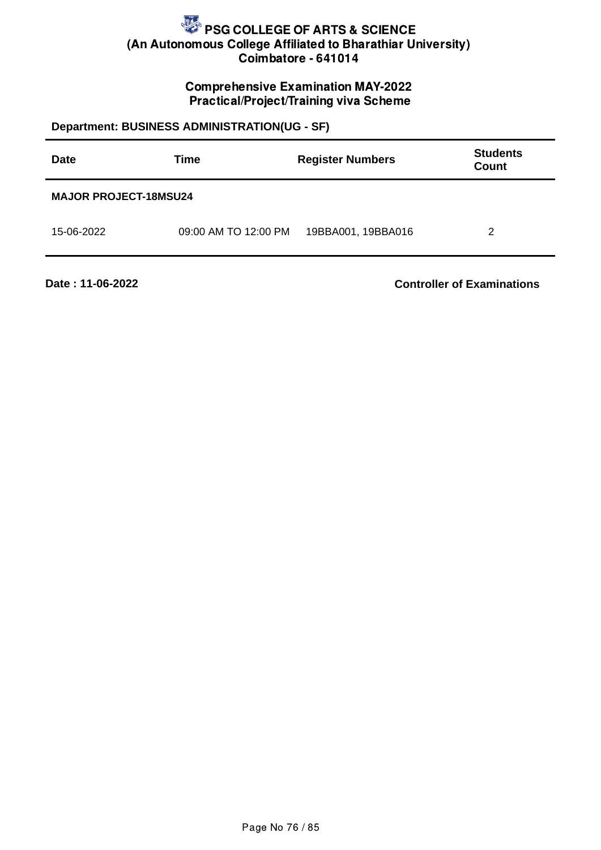## Comprehensive Examination MAY-2022 Practical/Project/Training viva Scheme

## **Department: BUSINESS ADMINISTRATION(UG - SF)**

| <b>Date</b>                  | Time                 | <b>Register Numbers</b> | <b>Students</b><br><b>Count</b> |  |
|------------------------------|----------------------|-------------------------|---------------------------------|--|
| <b>MAJOR PROJECT-18MSU24</b> |                      |                         |                                 |  |
| 15-06-2022                   | 09:00 AM TO 12:00 PM | 19BBA001, 19BBA016      | 2                               |  |

**Date : 11-06-2022**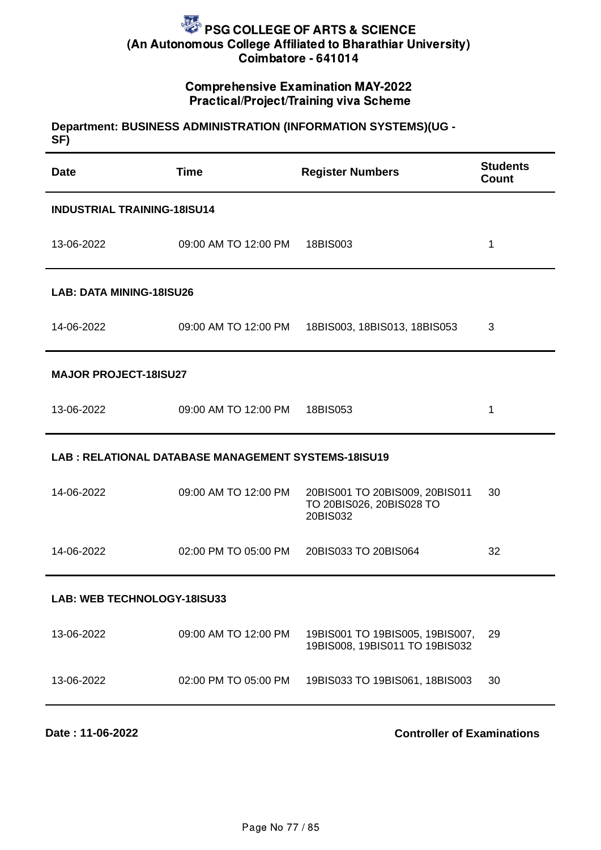## Comprehensive Examination MAY-2022 Practical/Project/Training viva Scheme

#### **Department: BUSINESS ADMINISTRATION (INFORMATION SYSTEMS)(UG - SF)**

| <b>Date</b>                     | <b>Time</b>                                         | <b>Register Numbers</b>                                                | <b>Students</b><br>Count |  |  |
|---------------------------------|-----------------------------------------------------|------------------------------------------------------------------------|--------------------------|--|--|
|                                 | <b>INDUSTRIAL TRAINING-18ISU14</b>                  |                                                                        |                          |  |  |
| 13-06-2022                      | 09:00 AM TO 12:00 PM 18BIS003                       |                                                                        | $\mathbf 1$              |  |  |
| <b>LAB: DATA MINING-18ISU26</b> |                                                     |                                                                        |                          |  |  |
| 14-06-2022                      |                                                     | 09:00 AM TO 12:00 PM 18BIS003, 18BIS013, 18BIS053                      | 3                        |  |  |
| <b>MAJOR PROJECT-18ISU27</b>    |                                                     |                                                                        |                          |  |  |
| 13-06-2022                      | 09:00 AM TO 12:00 PM 18BIS053                       |                                                                        | 1                        |  |  |
|                                 | LAB: RELATIONAL DATABASE MANAGEMENT SYSTEMS-18ISU19 |                                                                        |                          |  |  |
| 14-06-2022                      | 09:00 AM TO 12:00 PM                                | 20BIS001 TO 20BIS009, 20BIS011<br>TO 20BIS026, 20BIS028 TO<br>20BIS032 | 30                       |  |  |
| 14-06-2022                      |                                                     | 02:00 PM TO 05:00 PM 20BIS033 TO 20BIS064                              | 32                       |  |  |
| LAB: WEB TECHNOLOGY-18ISU33     |                                                     |                                                                        |                          |  |  |
| 13-06-2022                      | 09:00 AM TO 12:00 PM                                | 19BIS001 TO 19BIS005, 19BIS007,<br>19BIS008, 19BIS011 TO 19BIS032      | 29                       |  |  |
| 13-06-2022                      | 02:00 PM TO 05:00 PM                                | 19BIS033 TO 19BIS061, 18BIS003                                         | 30                       |  |  |
|                                 |                                                     |                                                                        |                          |  |  |

**Date : 11-06-2022**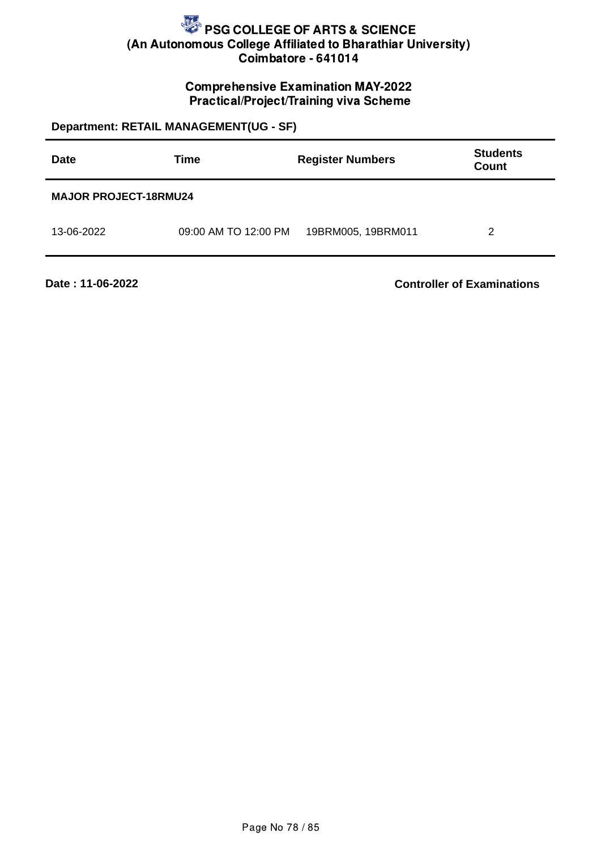### Comprehensive Examination MAY-2022 Practical/Project/Training viva Scheme

**Department: RETAIL MANAGEMENT(UG - SF) Date Time Register Numbers Students Count MAJOR PROJECT-18RMU24** 13-06-2022 09:00 AM TO 12:00 PM 19BRM005, 19BRM011 2

**Date : 11-06-2022**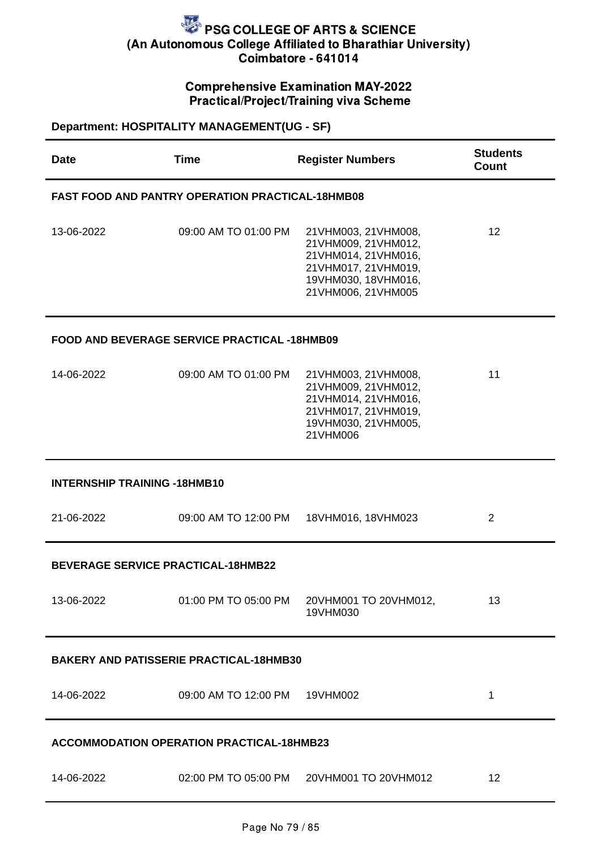## Comprehensive Examination MAY-2022 Practical/Project/Training viva Scheme

**Department: HOSPITALITY MANAGEMENT(UG - SF)**

| <b>Time</b>                                             | <b>Register Numbers</b>                                                                                                               | <b>Students</b><br>Count                                                                                                                                                                                                                                                                 |  |  |
|---------------------------------------------------------|---------------------------------------------------------------------------------------------------------------------------------------|------------------------------------------------------------------------------------------------------------------------------------------------------------------------------------------------------------------------------------------------------------------------------------------|--|--|
| <b>FAST FOOD AND PANTRY OPERATION PRACTICAL-18HMB08</b> |                                                                                                                                       |                                                                                                                                                                                                                                                                                          |  |  |
| 09:00 AM TO 01:00 PM                                    | 21VHM003, 21VHM008,<br>21VHM009, 21VHM012,<br>21VHM014, 21VHM016,<br>21VHM017, 21VHM019,<br>19VHM030, 18VHM016,<br>21VHM006, 21VHM005 | 12                                                                                                                                                                                                                                                                                       |  |  |
|                                                         |                                                                                                                                       |                                                                                                                                                                                                                                                                                          |  |  |
| 09:00 AM TO 01:00 PM                                    | 21VHM003, 21VHM008,<br>21VHM009, 21VHM012,<br>21VHM014, 21VHM016,<br>21VHM017, 21VHM019,<br>19VHM030, 21VHM005,<br>21VHM006           | 11                                                                                                                                                                                                                                                                                       |  |  |
| <b>INTERNSHIP TRAINING -18HMB10</b>                     |                                                                                                                                       |                                                                                                                                                                                                                                                                                          |  |  |
| 09:00 AM TO 12:00 PM                                    | 18VHM016, 18VHM023                                                                                                                    | $\overline{2}$                                                                                                                                                                                                                                                                           |  |  |
| <b>BEVERAGE SERVICE PRACTICAL-18HMB22</b>               |                                                                                                                                       |                                                                                                                                                                                                                                                                                          |  |  |
|                                                         | 19VHM030                                                                                                                              | 13                                                                                                                                                                                                                                                                                       |  |  |
|                                                         |                                                                                                                                       |                                                                                                                                                                                                                                                                                          |  |  |
|                                                         |                                                                                                                                       | $\mathbf{1}$                                                                                                                                                                                                                                                                             |  |  |
|                                                         |                                                                                                                                       |                                                                                                                                                                                                                                                                                          |  |  |
|                                                         |                                                                                                                                       | 12                                                                                                                                                                                                                                                                                       |  |  |
|                                                         |                                                                                                                                       | <b>FOOD AND BEVERAGE SERVICE PRACTICAL -18HMB09</b><br>01:00 PM TO 05:00 PM 20VHM001 TO 20VHM012,<br><b>BAKERY AND PATISSERIE PRACTICAL-18HMB30</b><br>09:00 AM TO 12:00 PM  19VHM002<br><b>ACCOMMODATION OPERATION PRACTICAL-18HMB23</b><br>02:00 PM TO 05:00 PM   20VHM001 TO 20VHM012 |  |  |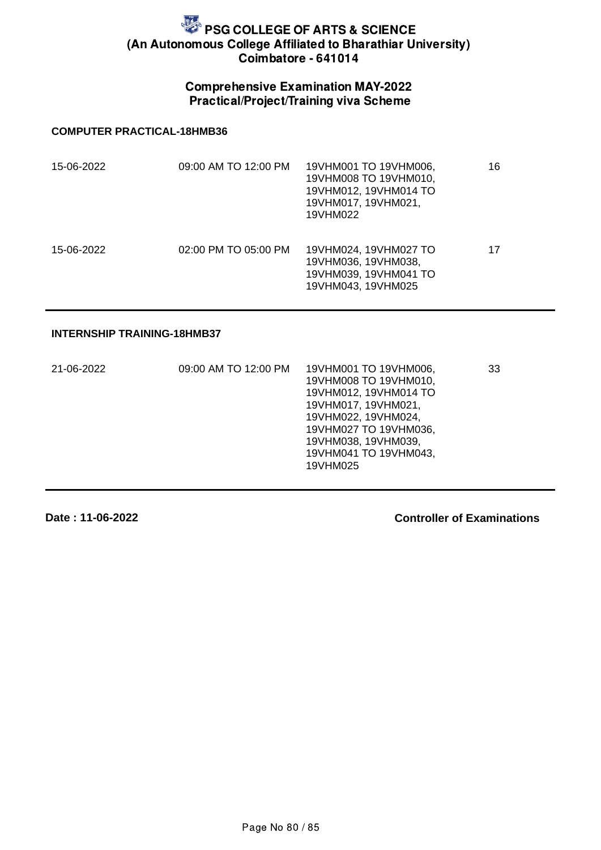## Comprehensive Examination MAY-2022 Practical/Project/Training viva Scheme

#### **COMPUTER PRACTICAL-18HMB36**

| 15-06-2022 | 09:00 AM TO 12:00 PM | 19VHM001 TO 19VHM006,<br>19VHM008 TO 19VHM010,<br>19VHM012, 19VHM014 TO<br>19VHM017, 19VHM021,<br>19VHM022 | 16 |
|------------|----------------------|------------------------------------------------------------------------------------------------------------|----|
| 15-06-2022 | 02:00 PM TO 05:00 PM | 19VHM024, 19VHM027 TO<br>19VHM036, 19VHM038,<br>19VHM039, 19VHM041 TO<br>19VHM043, 19VHM025                | 17 |

#### **INTERNSHIP TRAINING-18HMB37**

| 21-06-2022 | 09:00 AM TO 12:00 PM | 19VHM001 TO 19VHM006,<br>19VHM008 TO 19VHM010,<br>19VHM012, 19VHM014 TO<br>19VHM017, 19VHM021,<br>19VHM022, 19VHM024,<br>19VHM027 TO 19VHM036,<br>19VHM038, 19VHM039,<br>19VHM041 TO 19VHM043,<br>19VHM025 | 33 |
|------------|----------------------|------------------------------------------------------------------------------------------------------------------------------------------------------------------------------------------------------------|----|
|            |                      |                                                                                                                                                                                                            |    |

**Date : 11-06-2022**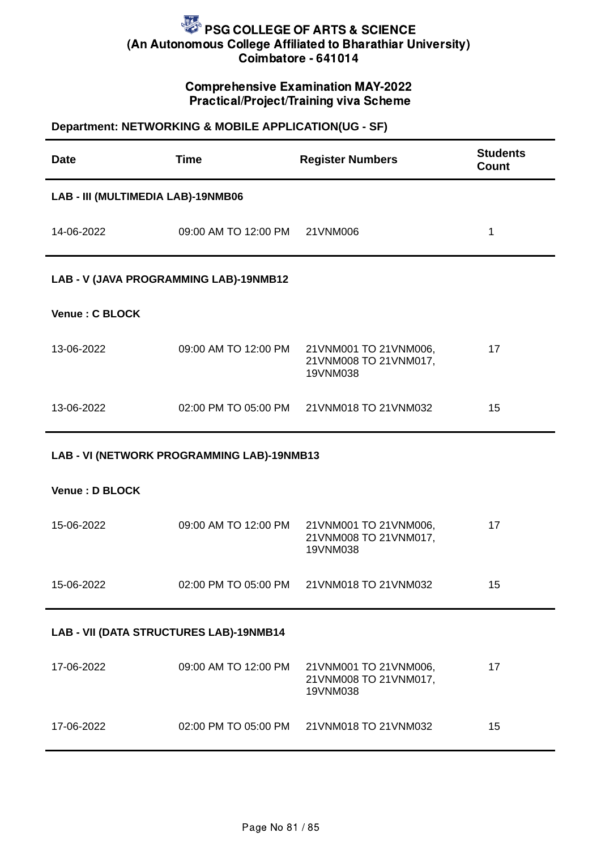### Comprehensive Examination MAY-2022 Practical/Project/Training viva Scheme

## **Department: NETWORKING & MOBILE APPLICATION(UG - SF)**

| <b>Date</b>                             | <b>Time</b>                                | <b>Register Numbers</b>                                    | <b>Students</b><br><b>Count</b> |  |
|-----------------------------------------|--------------------------------------------|------------------------------------------------------------|---------------------------------|--|
| LAB - III (MULTIMEDIA LAB)-19NMB06      |                                            |                                                            |                                 |  |
| 14-06-2022                              | 09:00 AM TO 12:00 PM                       | 21VNM006                                                   | $\mathbf{1}$                    |  |
| LAB - V (JAVA PROGRAMMING LAB)-19NMB12  |                                            |                                                            |                                 |  |
| Venue: C BLOCK                          |                                            |                                                            |                                 |  |
| 13-06-2022                              | 09:00 AM TO 12:00 PM                       | 21VNM001 TO 21VNM006,<br>21VNM008 TO 21VNM017,<br>19VNM038 | 17                              |  |
| 13-06-2022                              | 02:00 PM TO 05:00 PM                       | 21VNM018 TO 21VNM032                                       | 15                              |  |
|                                         | LAB - VI (NETWORK PROGRAMMING LAB)-19NMB13 |                                                            |                                 |  |
| Venue : D BLOCK                         |                                            |                                                            |                                 |  |
| 15-06-2022                              | 09:00 AM TO 12:00 PM                       | 21VNM001 TO 21VNM006,<br>21VNM008 TO 21VNM017,<br>19VNM038 | 17                              |  |
| 15-06-2022                              | 02:00 PM TO 05:00 PM                       | 21VNM018 TO 21VNM032                                       | 15                              |  |
| LAB - VII (DATA STRUCTURES LAB)-19NMB14 |                                            |                                                            |                                 |  |
| 17-06-2022                              | 09:00 AM TO 12:00 PM                       | 21VNM001 TO 21VNM006,<br>21VNM008 TO 21VNM017,<br>19VNM038 | 17                              |  |
| 17-06-2022                              | 02:00 PM TO 05:00 PM                       | 21VNM018 TO 21VNM032                                       | 15                              |  |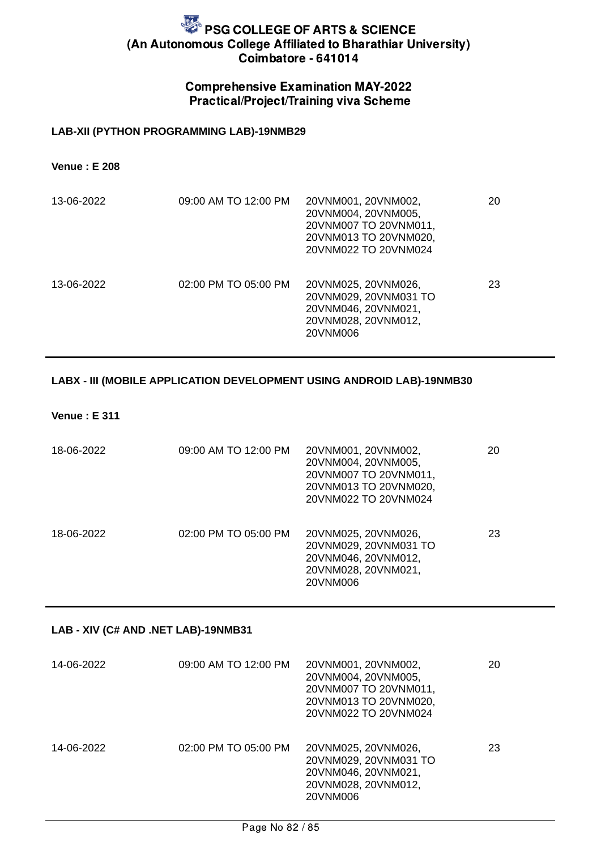### Comprehensive Examination MAY-2022 Practical/Project/Training viva Scheme

#### **LAB-XII (PYTHON PROGRAMMING LAB)-19NMB29**

**Venue : E 208**

| 13-06-2022 | 09:00 AM TO 12:00 PM | 20VNM001, 20VNM002,<br>20VNM004, 20VNM005,<br>20VNM007 TO 20VNM011,<br>20VNM013 TO 20VNM020,<br>20VNM022 TO 20VNM024 | 20 |
|------------|----------------------|----------------------------------------------------------------------------------------------------------------------|----|
| 13-06-2022 | 02:00 PM TO 05:00 PM | 20VNM025, 20VNM026,<br>20VNM029, 20VNM031 TO<br>20VNM046, 20VNM021,<br>20VNM028, 20VNM012,<br>20VNM006               | 23 |

#### **LABX - III (MOBILE APPLICATION DEVELOPMENT USING ANDROID LAB)-19NMB30**

**Venue : E 311**

| 18-06-2022 | 09:00 AM TO 12:00 PM | 20VNM001, 20VNM002,<br>20VNM004, 20VNM005,<br>20VNM007 TO 20VNM011,<br>20VNM013 TO 20VNM020,<br>20VNM022 TO 20VNM024 | 20 |
|------------|----------------------|----------------------------------------------------------------------------------------------------------------------|----|
| 18-06-2022 | 02:00 PM TO 05:00 PM | 20VNM025, 20VNM026,<br>20VNM029, 20VNM031 TO<br>20VNM046, 20VNM012,<br>20VNM028, 20VNM021,<br>20VNM006               | 23 |

#### **LAB - XIV (C# AND .NET LAB)-19NMB31**

| 14-06-2022 | 09:00 AM TO 12:00 PM | 20VNM001, 20VNM002,<br>20VNM004, 20VNM005,<br>20VNM007 TO 20VNM011,<br>20VNM013 TO 20VNM020,<br>20VNM022 TO 20VNM024 | 20 |
|------------|----------------------|----------------------------------------------------------------------------------------------------------------------|----|
| 14-06-2022 | 02:00 PM TO 05:00 PM | 20VNM025, 20VNM026,<br>20VNM029, 20VNM031 TO<br>20VNM046, 20VNM021,<br>20VNM028, 20VNM012,<br>20VNM006               | 23 |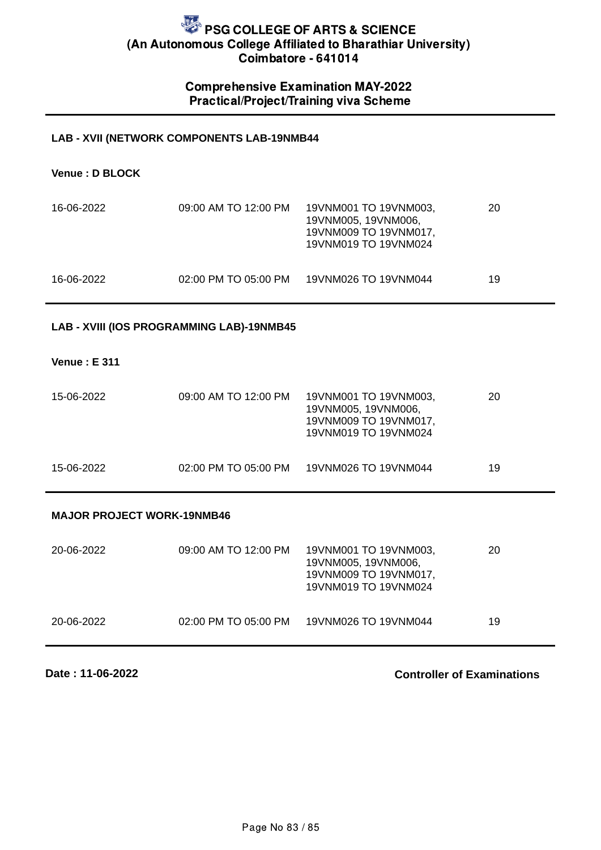### Comprehensive Examination MAY-2022 Practical/Project/Training viva Scheme

#### **LAB - XVII (NETWORK COMPONENTS LAB-19NMB44**

| Venue: D BLOCK |                      |                                                                                               |    |
|----------------|----------------------|-----------------------------------------------------------------------------------------------|----|
| 16-06-2022     | 09:00 AM TO 12:00 PM | 19VNM001 TO 19VNM003,<br>19VNM005, 19VNM006,<br>19VNM009 TO 19VNM017,<br>19VNM019 TO 19VNM024 | 20 |
| 16-06-2022     | 02:00 PM TO 05:00 PM | 19VNM026 TO 19VNM044                                                                          | 19 |

#### **LAB - XVIII (IOS PROGRAMMING LAB)-19NMB45**

#### **Venue : E 311**

| 15-06-2022 | 09:00 AM TO 12:00 PM | 19VNM001 TO 19VNM003,<br>19VNM005, 19VNM006,<br>19VNM009 TO 19VNM017.<br>19VNM019 TO 19VNM024 | 20 |
|------------|----------------------|-----------------------------------------------------------------------------------------------|----|
| 15-06-2022 | 02:00 PM TO 05:00 PM | 19VNM026 TO 19VNM044                                                                          | 19 |

#### **MAJOR PROJECT WORK-19NMB46**

| 20-06-2022 | 09:00 AM TO 12:00 PM | 19VNM001 TO 19VNM003.<br>19VNM005, 19VNM006,<br>19VNM009 TO 19VNM017,<br>19VNM019 TO 19VNM024 | 20 |
|------------|----------------------|-----------------------------------------------------------------------------------------------|----|
| 20-06-2022 | 02:00 PM TO 05:00 PM | 19VNM026 TO 19VNM044                                                                          | 19 |

**Date : 11-06-2022**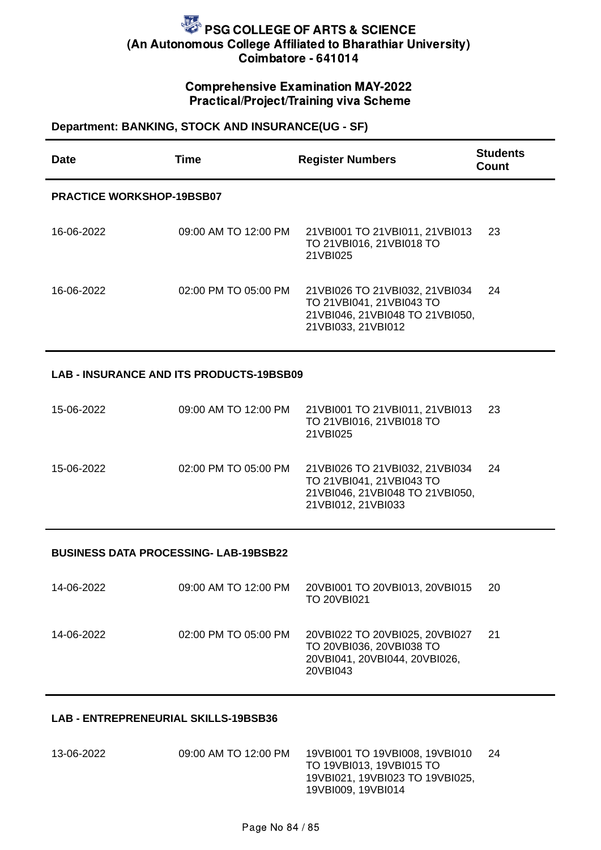#### Comprehensive Examination MAY-2022 Practical/Project/Training viva Scheme

#### **Department: BANKING, STOCK AND INSURANCE(UG - SF)**

| <b>Date</b>                                     | <b>Time</b>          | <b>Register Numbers</b>                                                                                             | <b>Students</b><br><b>Count</b> |  |
|-------------------------------------------------|----------------------|---------------------------------------------------------------------------------------------------------------------|---------------------------------|--|
| <b>PRACTICE WORKSHOP-19BSB07</b>                |                      |                                                                                                                     |                                 |  |
| 16-06-2022                                      | 09:00 AM TO 12:00 PM | 21VBI001 TO 21VBI011, 21VBI013<br>TO 21VBI016, 21VBI018 TO<br>21VBI025                                              | 23                              |  |
| 16-06-2022                                      | 02:00 PM TO 05:00 PM | 21VBI026 TO 21VBI032, 21VBI034<br>TO 21VBI041, 21VBI043 TO<br>21VBI046, 21VBI048 TO 21VBI050,<br>21VBI033, 21VBI012 | 24                              |  |
| <b>LAB - INSURANCE AND ITS PRODUCTS-19BSB09</b> |                      |                                                                                                                     |                                 |  |
| 15-06-2022                                      | 09:00 AM TO 12:00 PM | 21VBI001 TO 21VBI011, 21VBI013<br>TO 21VBI016, 21VBI018 TO<br>21VBI025                                              | 23                              |  |
| 15-06-2022                                      | 02:00 PM TO 05:00 PM | 21VBI026 TO 21VBI032, 21VBI034<br>TO 21VBI041, 21VBI043 TO<br>21VBI046, 21VBI048 TO 21VBI050,<br>21VBI012, 21VBI033 | 24                              |  |
| <b>BUSINESS DATA PROCESSING- LAB-19BSB22</b>    |                      |                                                                                                                     |                                 |  |
| 14-06-2022                                      | 09:00 AM TO 12:00 PM | 20VBI001 TO 20VBI013, 20VBI015<br>TO 20VBI021                                                                       | 20                              |  |
| 14-06-2022                                      | 02:00 PM TO 05:00 PM | 20VBI022 TO 20VBI025, 20VBI027<br>TO 20VBI036, 20VBI038 TO<br>20VBI041, 20VBI044, 20VBI026,<br>20VBI043             | 21                              |  |

#### **LAB - ENTREPRENEURIAL SKILLS-19BSB36**

13-06-2022 09:00 AM TO 12:00 PM 19VBI001 TO 19VBI008, 19VBI010 TO 19VBI013, 19VBI015 TO 19VBI021, 19VBI023 TO 19VBI025, 19VBI009, 19VBI014 24